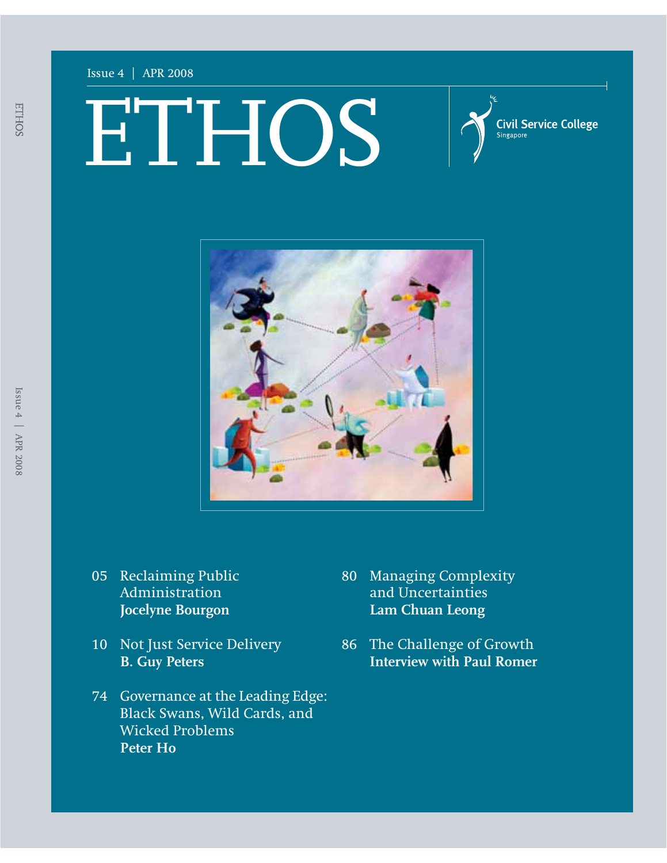#### Issue 4 | APR 2008

ETHOS

**Civil Service College** ngapore



- 05 Reclaiming Public Administration **Jocelyne Bourgon**
- 10 Not Just Service Delivery **B. Guy Peters**
- 74 Governance at the Leading Edge: Black Swans, Wild Cards, and Wicked Problems **Peter Ho**
- 80 Managing Complexity and Uncertainties **Lam Chuan Leong**
- 86 The Challenge of Growth **Interview with Paul Romer**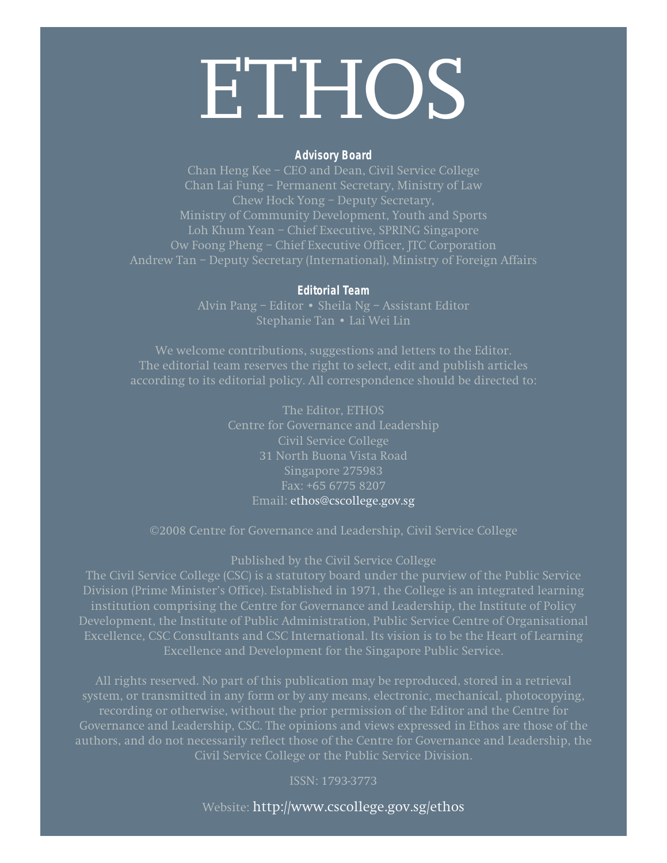# **ETHOS**

#### **Advisory Board**

Chan Heng Kee – CEO and Dean, Civil Service College Chan Lai Fung – Permanent Secretary, Ministry of Law Chew Hock Yong – Deputy Secretary, Ministry of Community Development, Youth and Sports Loh Khum Yean – Chief Executive, SPRING Singapore Ow Foong Pheng – Chief Executive Officer, JTC Corporation Andrew Tan – Deputy Secretary (International), Ministry of Foreign Affairs

#### **Editorial Team**

Alvin Pang – Editor • Sheila Ng – Assistant Editor Stephanie Tan • Lai Wei Lin

We welcome contributions, suggestions and letters to the Editor. The editorial team reserves the right to select, edit and publish articles according to its editorial policy. All correspondence should be directed to:

> The Editor, ETHOS Centre for Governance and Leadership Civil Service College 31 North Buona Vista Road Singapore 275983 Fax: +65 6775 8207 Email: ethos@cscollege.gov.sg

©2008 Centre for Governance and Leadership, Civil Service College

Published by the Civil Service College

Division (Prime Minister's Office). Established in 1971, the College is an integrated learning institution comprising the Centre for Governance and Leadership, the Institute of Policy Development, the Institute of Public Administration, Public Service Centre of Organisational Excellence, CSC Consultants and CSC International. Its vision is to be the Heart of Learning Excellence and Development for the Singapore Public Service.

All rights reserved. No part of this publication may be reproduced, stored in a retrieval system, or transmitted in any form or by any means, electronic, mechanical, photocopying, Governance and Leadership, CSC. The opinions and views expressed in Ethos are those of the authors, and do not necessarily reflect those of the Centre for Governance and Leadership, the Civil Service College or the Public Service Division.

Website: http://www.cscollege.gov.sg/ethos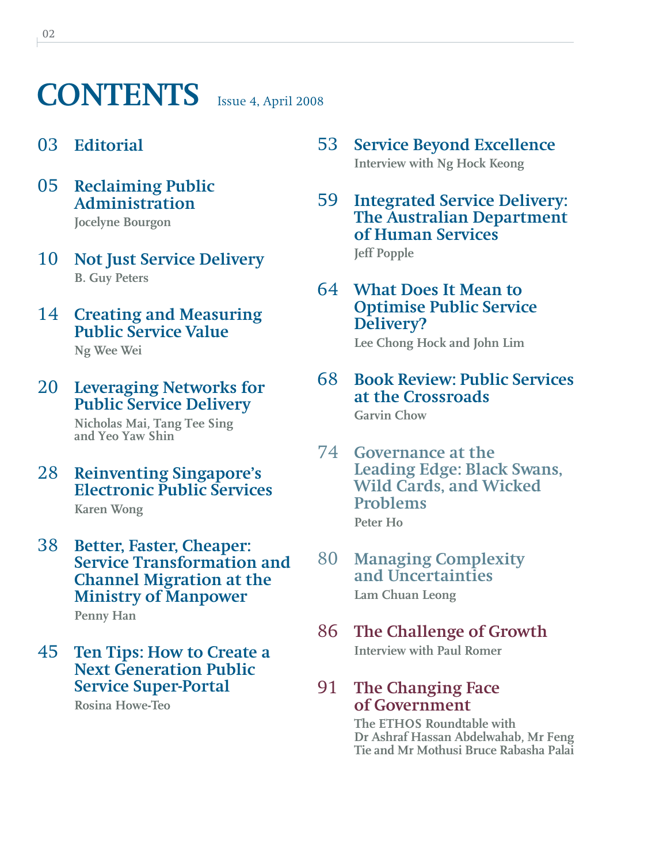### **CONTENTS** Issue 4, April 2008

#### 03 **Editorial**

05 **Reclaiming Public Administration**

**Jocelyne Bourgon**

- 10 **Not Just Service Delivery B. Guy Peters**
- 14 **Creating and Measuring Public Service Value**

**Ng Wee Wei**

#### 20 **Leveraging Networks for Public Service Delivery**

**Nicholas Mai, Tang Tee Sing and Yeo Yaw Shin**

28 **Reinventing Singapore's Electronic Public Services**

**Karen Wong**

38 **Better, Faster, Cheaper: Service Transformation and Channel Migration at the Ministry of Manpower Penny Han**

#### 45 **Ten Tips: How to Create a Next Generation Public Service Super-Portal**

**Rosina Howe-Teo**

- 53 **Service Beyond Excellence Interview with Ng Hock Keong**
- 59 **Integrated Service Delivery: The Australian Department of Human Services Jeff Popple**

64 **What Does It Mean to Optimise Public Service Delivery?**

**Lee Chong Hock and John Lim**

#### 68 **Book Review: Public Services at the Crossroads**

**Garvin Chow**

- 74 **Governance at the Leading Edge: Black Swans, Wild Cards, and Wicked Problems Peter Ho**
- 80 **Managing Complexity and Uncertainties Lam Chuan Leong**
- 86 **The Challenge of Growth Interview with Paul Romer**
- 91 **The Changing Face of Government**

**The ETHOS Roundtable with Dr Ashraf Hassan Abdelwahab, Mr Feng Tie and Mr Mothusi Bruce Rabasha Palai**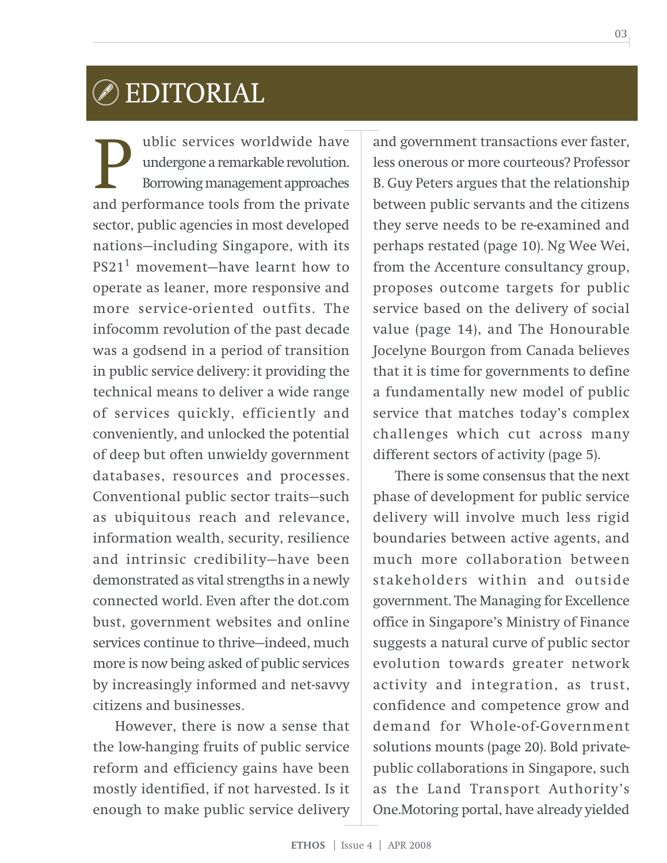### EDITORIAL

ublic services worldwide have undergone a remarkable revolution. Borrowing management approaches **and performance tools from the private**<br>and performance tools from the private sector, public agencies in most developed nations—including Singapore, with its PS211 movement—have learnt how to operate as leaner, more responsive and more service-oriented outfits. The infocomm revolution of the past decade was a godsend in a period of transition in public service delivery: it providing the technical means to deliver a wide range of services quickly, efficiently and conveniently, and unlocked the potential of deep but often unwieldy government databases, resources and processes. Conventional public sector traits—such as ubiquitous reach and relevance, information wealth, security, resilience and intrinsic credibility—have been demonstrated as vital strengths in a newly connected world. Even after the dot.com bust, government websites and online services continue to thrive—indeed, much more is now being asked of public services by increasingly informed and net-savvy citizens and businesses.

However, there is now a sense that the low-hanging fruits of public service reform and efficiency gains have been mostly identified, if not harvested. Is it enough to make public service delivery

and government transactions ever faster, less onerous or more courteous? Professor B. Guy Peters argues that the relationship between public servants and the citizens they serve needs to be re-examined and perhaps restated (page 10). Ng Wee Wei, from the Accenture consultancy group, proposes outcome targets for public service based on the delivery of social value (page 14), and The Honourable Jocelyne Bourgon from Canada believes that it is time for governments to define a fundamentally new model of public service that matches today's complex challenges which cut across many different sectors of activity (page 5).

There is some consensus that the next phase of development for public service delivery will involve much less rigid boundaries between active agents, and much more collaboration between stakeholders within and outside government. The Managing for Excellence office in Singapore's Ministry of Finance suggests a natural curve of public sector evolution towards greater network activity and integration, as trust, confidence and competence grow and demand for Whole-of-Government solutions mounts (page 20). Bold privatepublic collaborations in Singapore, such as the Land Transport Authority's One.Motoring portal, have already yielded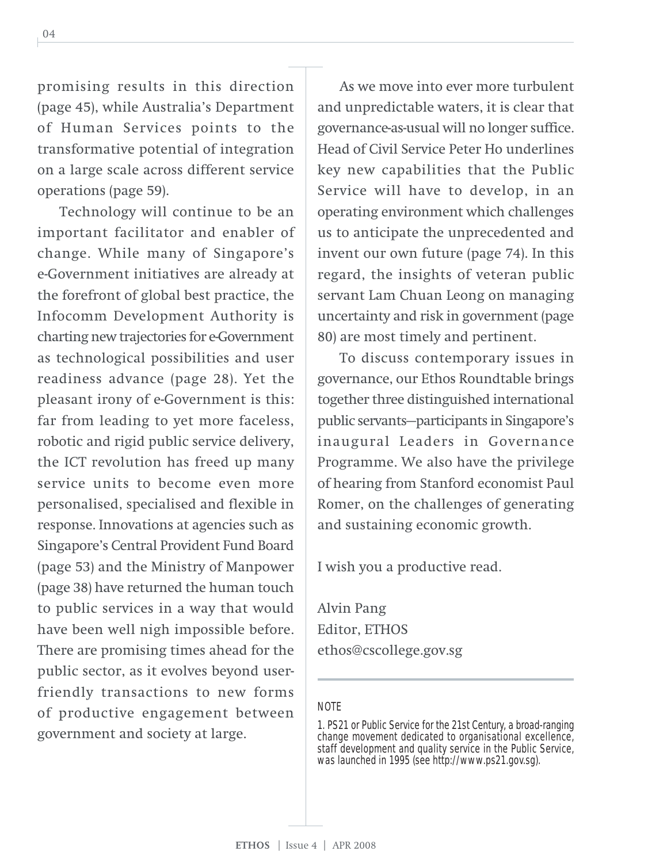04

promising results in this direction (page 45), while Australia's Department of Human Services points to the transformative potential of integration on a large scale across different service operations (page 59).

Technology will continue to be an important facilitator and enabler of change. While many of Singapore's e-Government initiatives are already at the forefront of global best practice, the Infocomm Development Authority is charting new trajectories for e-Government as technological possibilities and user readiness advance (page 28). Yet the pleasant irony of e-Government is this: far from leading to yet more faceless, robotic and rigid public service delivery, the ICT revolution has freed up many service units to become even more personalised, specialised and flexible in response. Innovations at agencies such as Singapore's Central Provident Fund Board (page 53) and the Ministry of Manpower (page 38) have returned the human touch to public services in a way that would have been well nigh impossible before. There are promising times ahead for the public sector, as it evolves beyond userfriendly transactions to new forms of productive engagement between government and society at large.

As we move into ever more turbulent and unpredictable waters, it is clear that governance-as-usual will no longer suffice. Head of Civil Service Peter Ho underlines key new capabilities that the Public Service will have to develop, in an operating environment which challenges us to anticipate the unprecedented and invent our own future (page 74). In this regard, the insights of veteran public servant Lam Chuan Leong on managing uncertainty and risk in government (page 80) are most timely and pertinent.

To discuss contemporary issues in governance, our Ethos Roundtable brings together three distinguished international public servants—participants in Singapore's inaugural Leaders in Governance Programme. We also have the privilege of hearing from Stanford economist Paul Romer, on the challenges of generating and sustaining economic growth.

I wish you a productive read.

Alvin Pang Editor, ETHOS ethos@cscollege.gov.sg

#### NOTE

1. PS21 or Public Service for the 21st Century, a broad-ranging change movement dedicated to organisational excellence, staff development and quality service in the Public Service, was launched in 1995 (see http://www.ps21.gov.sg).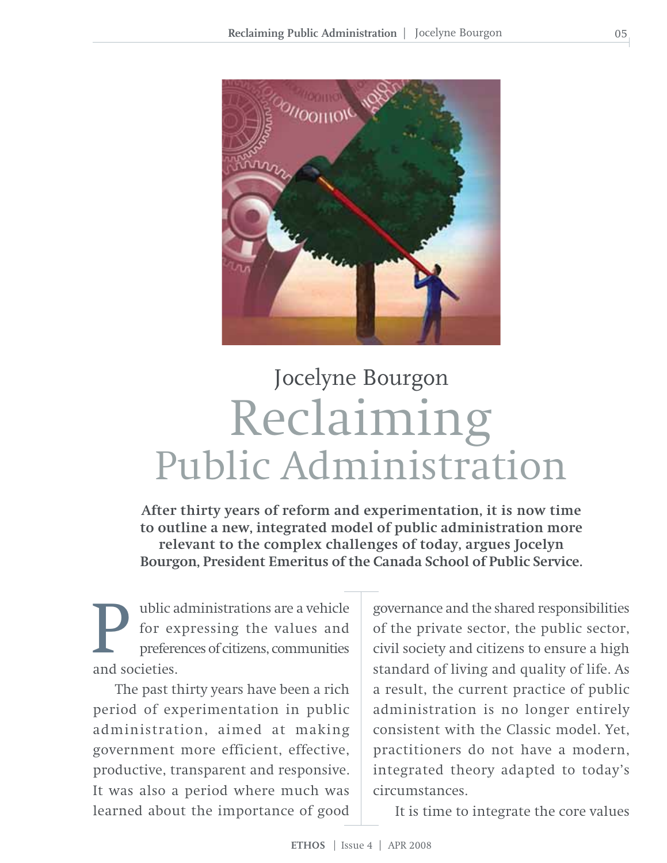

# Reclaiming Public Administration Jocelyne Bourgon

**After thirty years of reform and experimentation, it is now time to outline a new, integrated model of public administration more relevant to the complex challenges of today, argues Jocelyn Bourgon, President Emeritus of the Canada School of Public Service.**

ublic administrations are a vehicle for expressing the values and preferences of citizens, communities **P** for ex<br>prefere<br>and societies.

The past thirty years have been a rich period of experimentation in public administration, aimed at making government more efficient, effective, productive, transparent and responsive. It was also a period where much was learned about the importance of good governance and the shared responsibilities of the private sector, the public sector, civil society and citizens to ensure a high standard of living and quality of life. As a result, the current practice of public administration is no longer entirely consistent with the Classic model. Yet, practitioners do not have a modern, integrated theory adapted to today's circumstances.

It is time to integrate the core values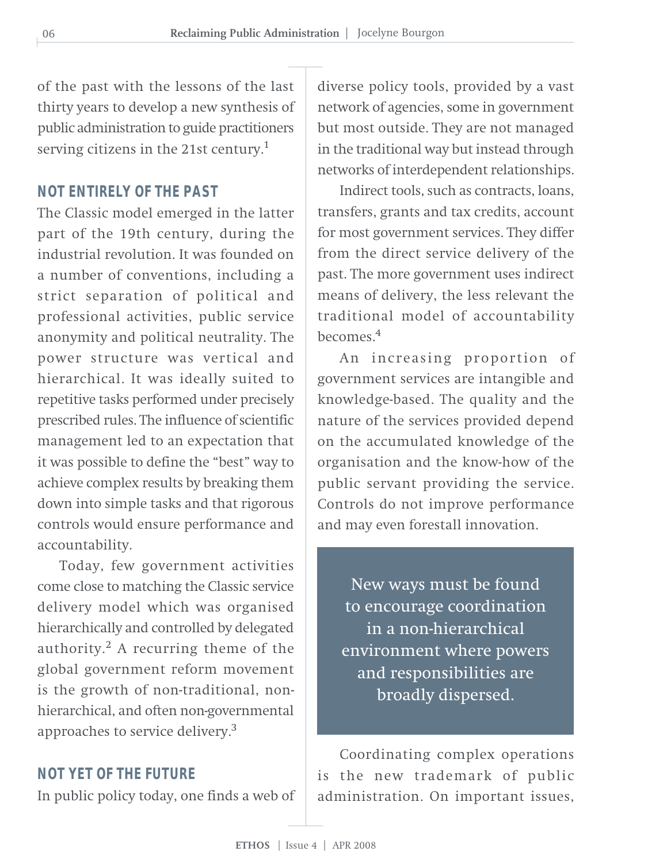of the past with the lessons of the last thirty years to develop a new synthesis of public administration to guide practitioners serving citizens in the 21st century.<sup>1</sup>

#### **NOT ENTIRELY OF THE PAST**

The Classic model emerged in the latter part of the 19th century, during the industrial revolution. It was founded on a number of conventions, including a strict separation of political and professional activities, public service anonymity and political neutrality. The power structure was vertical and hierarchical. It was ideally suited to repetitive tasks performed under precisely prescribed rules. The influence of scientific management led to an expectation that it was possible to define the "best" way to achieve complex results by breaking them down into simple tasks and that rigorous controls would ensure performance and accountability.

Today, few government activities come close to matching the Classic service delivery model which was organised hierarchically and controlled by delegated authority. $^{2}$  A recurring theme of the global government reform movement is the growth of non-traditional, nonhierarchical, and often non-governmental approaches to service delivery.<sup>3</sup>

#### **NOT YET OF THE FUTURE**

In public policy today, one finds a web of

diverse policy tools, provided by a vast network of agencies, some in government but most outside. They are not managed in the traditional way but instead through networks of interdependent relationships.

Indirect tools, such as contracts, loans, transfers, grants and tax credits, account for most government services. They differ from the direct service delivery of the past. The more government uses indirect means of delivery, the less relevant the traditional model of accountability becomes  $4$ 

An increasing proportion of government services are intangible and knowledge-based. The quality and the nature of the services provided depend on the accumulated knowledge of the organisation and the know-how of the public servant providing the service. Controls do not improve performance and may even forestall innovation.

New ways must be found to encourage coordination in a non-hierarchical environment where powers and responsibilities are broadly dispersed.

Coordinating complex operations is the new trademark of public administration. On important issues,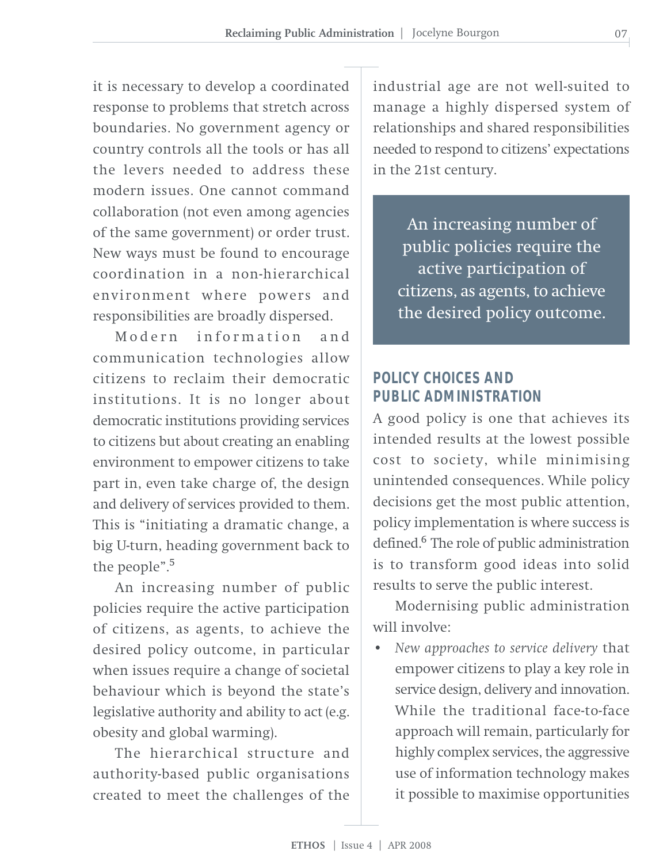it is necessary to develop a coordinated response to problems that stretch across boundaries. No government agency or country controls all the tools or has all the levers needed to address these modern issues. One cannot command collaboration (not even among agencies of the same government) or order trust. New ways must be found to encourage coordination in a non-hierarchical environment where powers and responsibilities are broadly dispersed.

Modern information and communication technologies allow citizens to reclaim their democratic institutions. It is no longer about democratic institutions providing services to citizens but about creating an enabling environment to empower citizens to take part in, even take charge of, the design and delivery of services provided to them. This is "initiating a dramatic change, a big U-turn, heading government back to the people".<sup>5</sup>

An increasing number of public policies require the active participation of citizens, as agents, to achieve the desired policy outcome, in particular when issues require a change of societal behaviour which is beyond the state's legislative authority and ability to act (e.g. obesity and global warming).

The hierarchical structure and authority-based public organisations created to meet the challenges of the

industrial age are not well-suited to manage a highly dispersed system of relationships and shared responsibilities needed to respond to citizens' expectations in the 21st century.

An increasing number of public policies require the active participation of citizens, as agents, to achieve the desired policy outcome.

#### **POLICY CHOICES AND PUBLIC ADMINISTRATION**

A good policy is one that achieves its intended results at the lowest possible cost to society, while minimising unintended consequences. While policy decisions get the most public attention, policy implementation is where success is defined.<sup>6</sup> The role of public administration is to transform good ideas into solid results to serve the public interest.

Modernising public administration will involve:

• *New approaches to service delivery* that empower citizens to play a key role in service design, delivery and innovation. While the traditional face-to-face approach will remain, particularly for highly complex services, the aggressive use of information technology makes it possible to maximise opportunities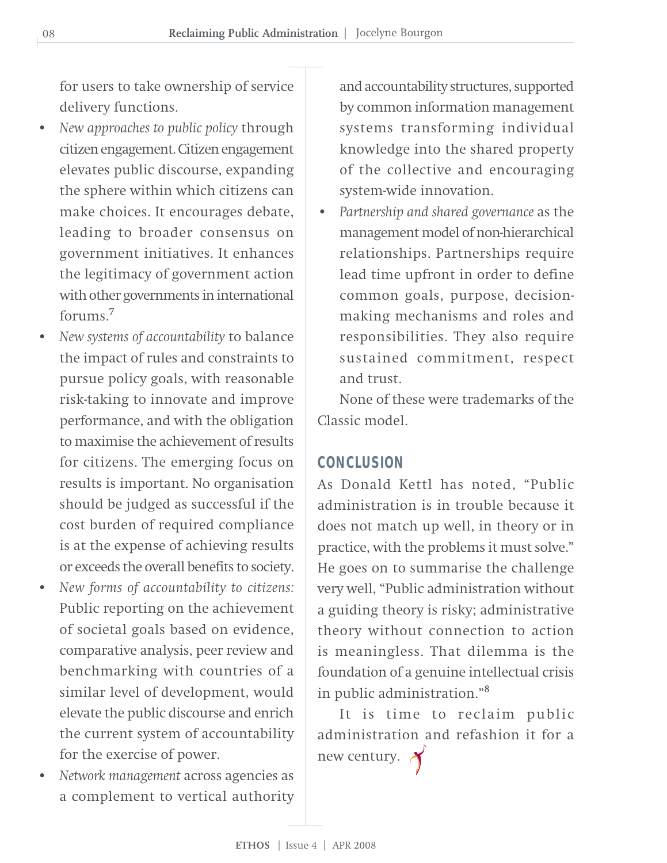for users to take ownership of service delivery functions.

- *New approaches to public policy* through citizen engagement. Citizen engagement elevates public discourse, expanding the sphere within which citizens can make choices. It encourages debate, leading to broader consensus on government initiatives. It enhances the legitimacy of government action with other governments in international forums.<sup>7</sup>
- *New systems of accountability* to balance the impact of rules and constraints to pursue policy goals, with reasonable risk-taking to innovate and improve performance, and with the obligation to maximise the achievement of results for citizens. The emerging focus on results is important. No organisation should be judged as successful if the cost burden of required compliance is at the expense of achieving results or exceeds the overall benefits to society.
- *New forms of accountability to citizens:* Public reporting on the achievement of societal goals based on evidence, comparative analysis, peer review and benchmarking with countries of a similar level of development, would elevate the public discourse and enrich the current system of accountability for the exercise of power.
- *Network management* across agencies as a complement to vertical authority

and accountability structures, supported by common information management systems transforming individual knowledge into the shared property of the collective and encouraging system-wide innovation.

• *Partnership and shared governance* as the management model of non-hierarchical relationships. Partnerships require lead time upfront in order to define common goals, purpose, decisionmaking mechanisms and roles and responsibilities. They also require sustained commitment, respect and trust.

None of these were trademarks of the Classic model.

#### **CONCLUSION**

As Donald Kettl has noted, "Public administration is in trouble because it does not match up well, in theory or in practice, with the problems it must solve." He goes on to summarise the challenge very well, "Public administration without a guiding theory is risky; administrative theory without connection to action is meaningless. That dilemma is the foundation of a genuine intellectual crisis in public administration."<sup>8</sup>

It is time to reclaim public administration and refashion it for a new century.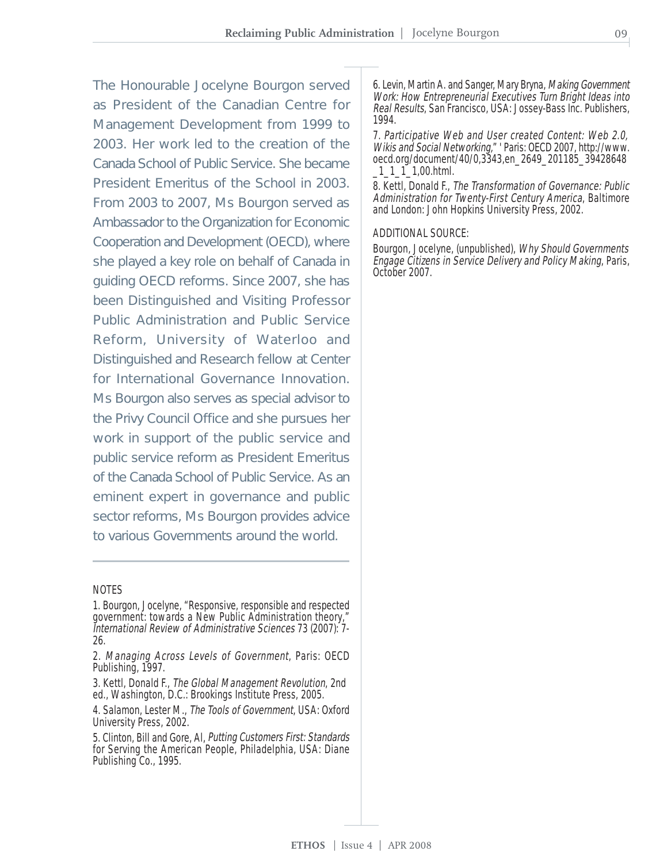The Honourable Jocelyne Bourgon served as President of the Canadian Centre for Management Development from 1999 to 2003. Her work led to the creation of the Canada School of Public Service. She became President Emeritus of the School in 2003. From 2003 to 2007, Ms Bourgon served as Ambassador to the Organization for Economic Cooperation and Development (OECD), where she played a key role on behalf of Canada in guiding OECD reforms. Since 2007, she has been Distinguished and Visiting Professor Public Administration and Public Service Reform, University of Waterloo and Distinguished and Research fellow at Center for International Governance Innovation. Ms Bourgon also serves as special advisor to the Privy Council Office and she pursues her work in support of the public service and public service reform as President Emeritus of the Canada School of Public Service. As an eminent expert in governance and public sector reforms, Ms Bourgon provides advice to various Governments around the world.

#### NOTES

- 1. Bourgon, Jocelyne, "Responsive, responsible and respected government: towards a New Public Administration theory," International Review of Administrative Sciences 73 (2007): 7- 26.
- 2. Managing Across Levels of Government, Paris: OECD Publishing, 1997.
- 3. Kettl, Donald F., The Global Management Revolution, 2nd ed., Washington, D.C.: Brookings Institute Press, 2005.
- 4. Salamon, Lester M., The Tools of Government, USA: Oxford University Press, 2002.
- 5. Clinton, Bill and Gore, Al, Putting Customers First: Standards for Serving the American People, Philadelphia, USA: Diane Publishing Co., 1995.

6. Levin, Martin A. and Sanger, Mary Bryna, Making Government Work: How Entrepreneurial Executives Turn Bright Ideas into Real Results, San Francisco, USA: Jossey-Bass Inc. Publishers, 1994.

7. Participative Web and User created Content: Web 2.0, Wikis and Social Networking," ' Paris: OECD 2007, http://www. oecd.org/document/40/0,3343,en\_2649\_201185\_39428648 \_1\_1\_1\_1,00.html.

8. Kettl, Donald F., The Transformation of Governance: Public Administration for Twenty-First Century America, Baltimore and London: John Hopkins University Press, 2002.

#### ADDITIONAL SOURCE:

Bourgon, Jocelyne, (unpublished), Why Should Governments Engage Citizens in Service Delivery and Policy Making, Paris, October 2007.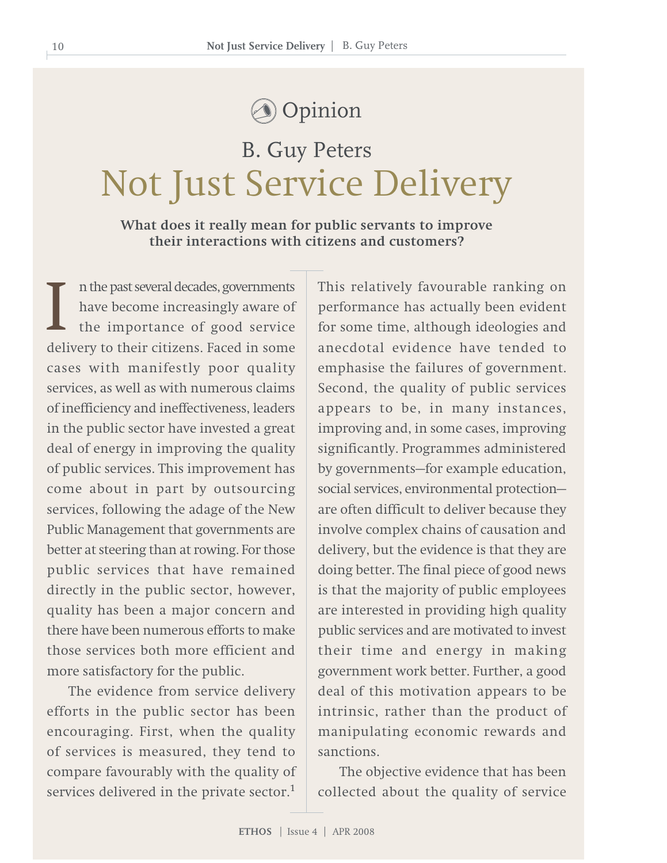### Opinion

## Not Just Service Delivery B. Guy Peters

#### **What does it really mean for public servants to improve their interactions with citizens and customers?**

n the past several decades, governments have become increasingly aware of the importance of good service I are past several decades, governments<br>have become increasingly aware of<br>the importance of good service<br>delivery to their citizens. Faced in some cases with manifestly poor quality services, as well as with numerous claims of inefficiency and ineffectiveness, leaders in the public sector have invested a great deal of energy in improving the quality of public services. This improvement has come about in part by outsourcing services, following the adage of the New Public Management that governments are better at steering than at rowing. For those public services that have remained directly in the public sector, however, quality has been a major concern and there have been numerous efforts to make those services both more efficient and more satisfactory for the public.

The evidence from service delivery efforts in the public sector has been encouraging. First, when the quality of services is measured, they tend to compare favourably with the quality of services delivered in the private sector. $1$  This relatively favourable ranking on performance has actually been evident for some time, although ideologies and anecdotal evidence have tended to emphasise the failures of government. Second, the quality of public services appears to be, in many instances, improving and, in some cases, improving significantly. Programmes administered by governments—for example education, social services, environmental protection are often difficult to deliver because they involve complex chains of causation and delivery, but the evidence is that they are doing better. The final piece of good news is that the majority of public employees are interested in providing high quality public services and are motivated to invest their time and energy in making government work better. Further, a good deal of this motivation appears to be intrinsic, rather than the product of manipulating economic rewards and sanctions.

The objective evidence that has been collected about the quality of service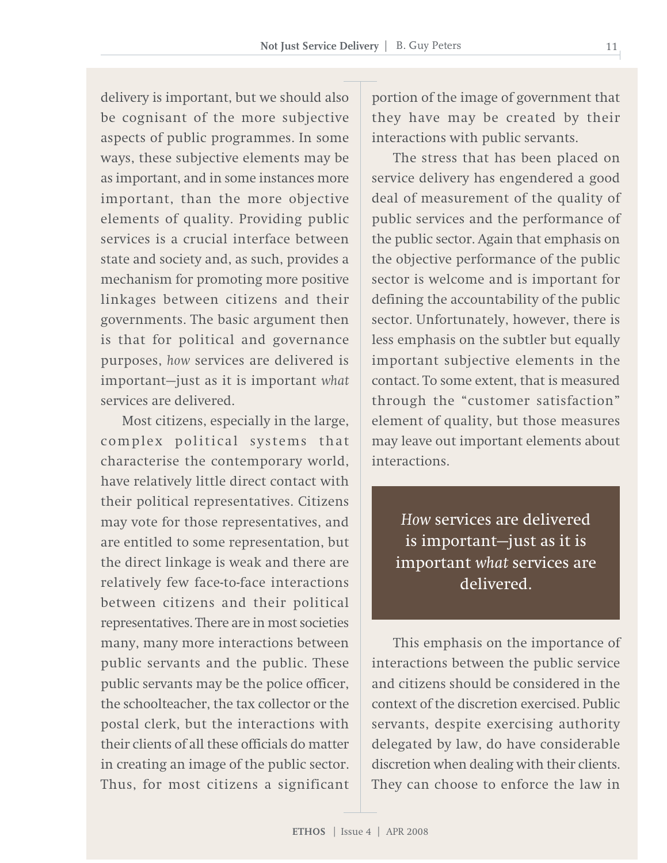delivery is important, but we should also be cognisant of the more subjective aspects of public programmes. In some ways, these subjective elements may be as important, and in some instances more important, than the more objective elements of quality. Providing public services is a crucial interface between state and society and, as such, provides a mechanism for promoting more positive linkages between citizens and their governments. The basic argument then is that for political and governance purposes, *how* services are delivered is important—just as it is important *what* services are delivered.

Most citizens, especially in the large, complex political systems that characterise the contemporary world, have relatively little direct contact with their political representatives. Citizens may vote for those representatives, and are entitled to some representation, but the direct linkage is weak and there are relatively few face-to-face interactions between citizens and their political representatives. There are in most societies many, many more interactions between public servants and the public. These public servants may be the police officer, the schoolteacher, the tax collector or the postal clerk, but the interactions with their clients of all these officials do matter in creating an image of the public sector. Thus, for most citizens a significant

portion of the image of government that they have may be created by their interactions with public servants.

The stress that has been placed on service delivery has engendered a good deal of measurement of the quality of public services and the performance of the public sector. Again that emphasis on the objective performance of the public sector is welcome and is important for defining the accountability of the public sector. Unfortunately, however, there is less emphasis on the subtler but equally important subjective elements in the contact. To some extent, that is measured through the "customer satisfaction" element of quality, but those measures may leave out important elements about interactions.

*How* services are delivered is important—just as it is important *what* services are delivered.

This emphasis on the importance of interactions between the public service and citizens should be considered in the context of the discretion exercised. Public servants, despite exercising authority delegated by law, do have considerable discretion when dealing with their clients. They can choose to enforce the law in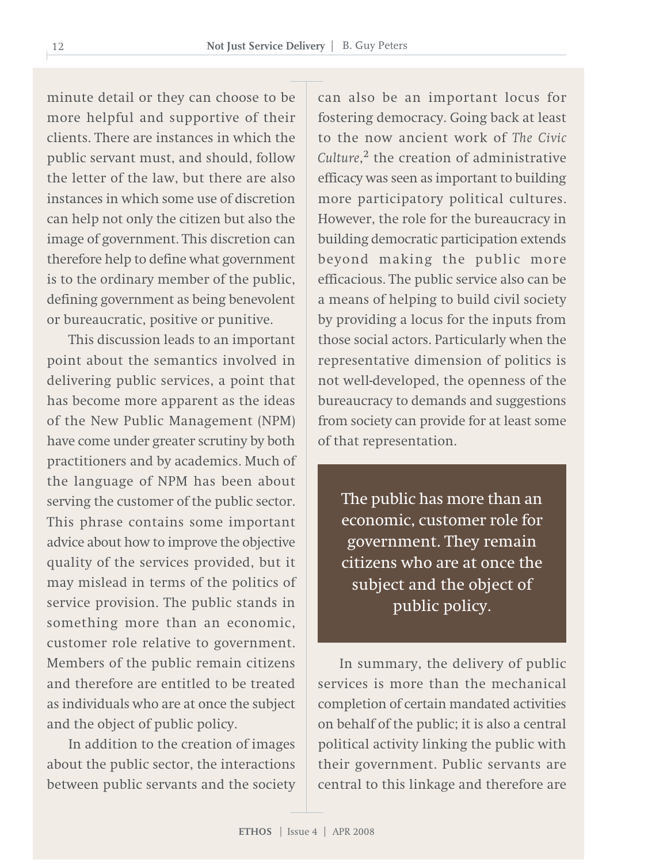minute detail or they can choose to be more helpful and supportive of their clients. There are instances in which the public servant must, and should, follow the letter of the law, but there are also instances in which some use of discretion can help not only the citizen but also the image of government. This discretion can therefore help to define what government is to the ordinary member of the public, defining government as being benevolent or bureaucratic, positive or punitive.

This discussion leads to an important point about the semantics involved in delivering public services, a point that has become more apparent as the ideas of the New Public Management (NPM) have come under greater scrutiny by both practitioners and by academics. Much of the language of NPM has been about serving the customer of the public sector. This phrase contains some important advice about how to improve the objective quality of the services provided, but it may mislead in terms of the politics of service provision. The public stands in something more than an economic, customer role relative to government. Members of the public remain citizens and therefore are entitled to be treated as individuals who are at once the subject and the object of public policy.

In addition to the creation of images about the public sector, the interactions between public servants and the society

can also be an important locus for fostering democracy. Going back at least to the now ancient work of *The Civic Culture*, <sup>2</sup> the creation of administrative efficacy was seen as important to building more participatory political cultures. However, the role for the bureaucracy in building democratic participation extends beyond making the public more efficacious. The public service also can be a means of helping to build civil society by providing a locus for the inputs from those social actors. Particularly when the representative dimension of politics is not well-developed, the openness of the bureaucracy to demands and suggestions from society can provide for at least some of that representation.

The public has more than an economic, customer role for government. They remain citizens who are at once the subject and the object of public policy.

In summary, the delivery of public services is more than the mechanical completion of certain mandated activities on behalf of the public; it is also a central political activity linking the public with their government. Public servants are central to this linkage and therefore are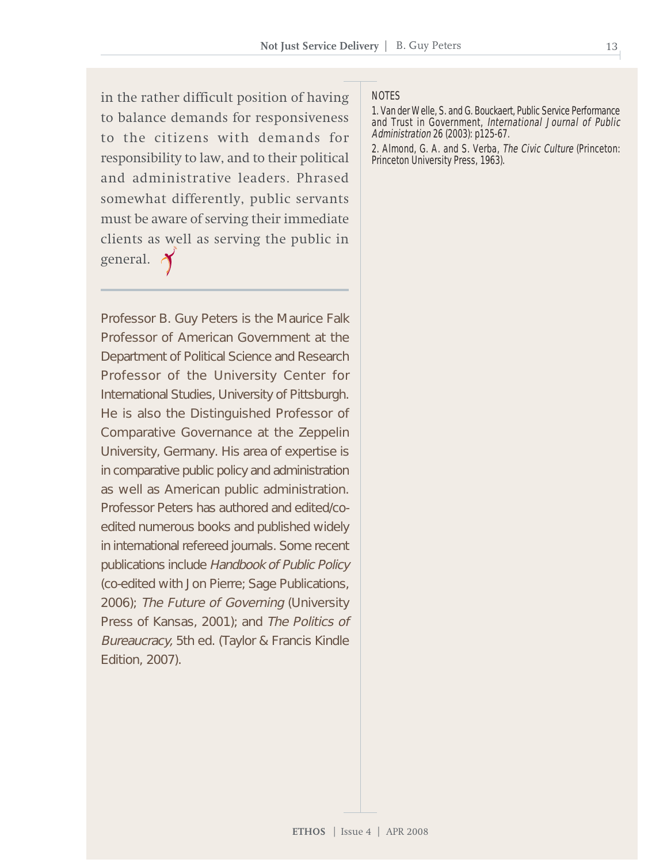in the rather difficult position of having to balance demands for responsiveness to the citizens with demands for responsibility to law, and to their political and administrative leaders. Phrased somewhat differently, public servants must be aware of serving their immediate clients as well as serving the public in general.

Professor B. Guy Peters is the Maurice Falk Professor of American Government at the Department of Political Science and Research Professor of the University Center for International Studies, University of Pittsburgh. He is also the Distinguished Professor of Comparative Governance at the Zeppelin University, Germany. His area of expertise is in comparative public policy and administration as well as American public administration. Professor Peters has authored and edited/coedited numerous books and published widely in international refereed journals. Some recent publications include Handbook of Public Policy (co-edited with Jon Pierre; Sage Publications, 2006); The Future of Governing (University Press of Kansas, 2001); and The Politics of Bureaucracy, 5th ed. (Taylor & Francis Kindle Edition, 2007).

#### **NOTES**

1. Van der Welle, S. and G. Bouckaert, Public Service Performance and Trust in Government, International Journal of Public Administration 26 (2003): p125-67.

2. Almond, G. A. and S. Verba, The Civic Culture (Princeton: Princeton University Press, 1963).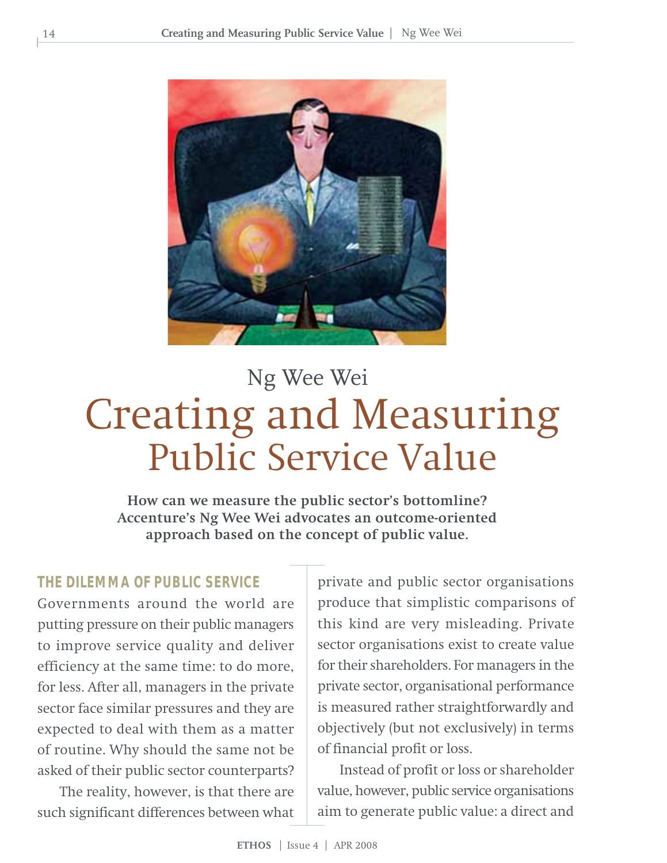

# Creating and Measuring Public Service Value Ng Wee Wei

**How can we measure the public sector's bottomline? Accenture's Ng Wee Wei advocates an outcome-oriented approach based on the concept of public value.**

#### **THE DILEMMA OF PUBLIC SERVICE**

Governments around the world are putting pressure on their public managers to improve service quality and deliver efficiency at the same time: to do more, for less. After all, managers in the private sector face similar pressures and they are expected to deal with them as a matter of routine. Why should the same not be asked of their public sector counterparts?

The reality, however, is that there are such significant differences between what

private and public sector organisations produce that simplistic comparisons of this kind are very misleading. Private sector organisations exist to create value for their shareholders. For managers in the private sector, organisational performance is measured rather straightforwardly and objectively (but not exclusively) in terms of financial profit or loss.

Instead of profit or loss or shareholder value, however, public service organisations aim to generate public value: a direct and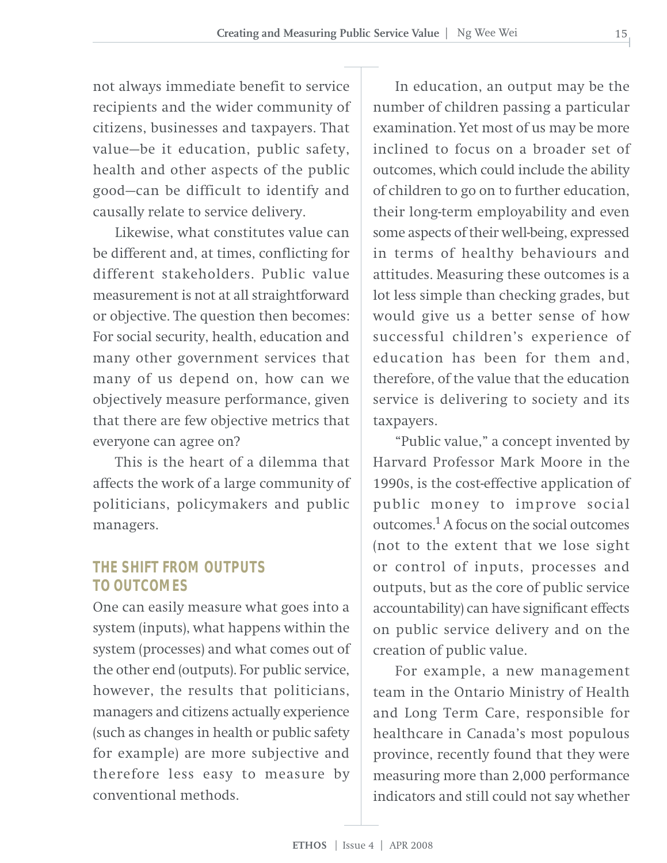not always immediate benefit to service recipients and the wider community of citizens, businesses and taxpayers. That value—be it education, public safety, health and other aspects of the public good—can be difficult to identify and causally relate to service delivery.

Likewise, what constitutes value can be different and, at times, conflicting for different stakeholders. Public value measurement is not at all straightforward or objective. The question then becomes: For social security, health, education and many other government services that many of us depend on, how can we objectively measure performance, given that there are few objective metrics that everyone can agree on?

This is the heart of a dilemma that affects the work of a large community of politicians, policymakers and public managers.

#### **THE SHIFT FROM OUTPUTS TO OUTCOMES**

One can easily measure what goes into a system (inputs), what happens within the system (processes) and what comes out of the other end (outputs). For public service, however, the results that politicians, managers and citizens actually experience (such as changes in health or public safety for example) are more subjective and therefore less easy to measure by conventional methods.

In education, an output may be the number of children passing a particular examination. Yet most of us may be more inclined to focus on a broader set of outcomes, which could include the ability of children to go on to further education, their long-term employability and even some aspects of their well-being, expressed in terms of healthy behaviours and attitudes. Measuring these outcomes is a lot less simple than checking grades, but would give us a better sense of how successful children's experience of education has been for them and, therefore, of the value that the education service is delivering to society and its taxpayers.

"Public value," a concept invented by Harvard Professor Mark Moore in the 1990s, is the cost-effective application of public money to improve social outcomes.<sup>1</sup> A focus on the social outcomes (not to the extent that we lose sight or control of inputs, processes and outputs, but as the core of public service accountability) can have significant effects on public service delivery and on the creation of public value.

For example, a new management team in the Ontario Ministry of Health and Long Term Care, responsible for healthcare in Canada's most populous province, recently found that they were measuring more than 2,000 performance indicators and still could not say whether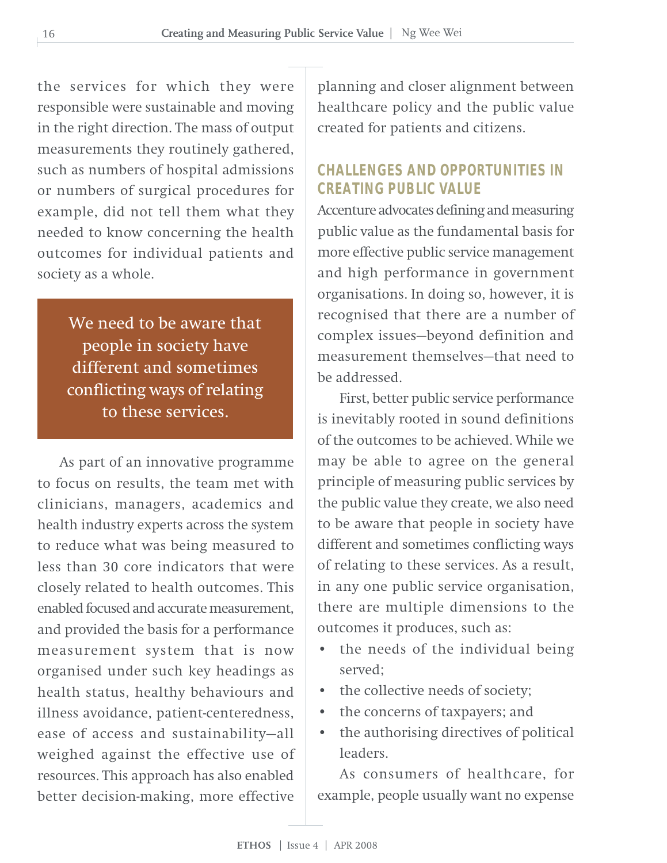the services for which they were responsible were sustainable and moving in the right direction. The mass of output measurements they routinely gathered, such as numbers of hospital admissions or numbers of surgical procedures for example, did not tell them what they needed to know concerning the health outcomes for individual patients and society as a whole.

> We need to be aware that people in society have different and sometimes conflicting ways of relating to these services.

As part of an innovative programme to focus on results, the team met with clinicians, managers, academics and health industry experts across the system to reduce what was being measured to less than 30 core indicators that were closely related to health outcomes. This enabled focused and accurate measurement, and provided the basis for a performance measurement system that is now organised under such key headings as health status, healthy behaviours and illness avoidance, patient-centeredness, ease of access and sustainability—all weighed against the effective use of resources. This approach has also enabled better decision-making, more effective

planning and closer alignment between healthcare policy and the public value created for patients and citizens.

#### **CHALLENGES AND OPPORTUNITIES IN CREATING PUBLIC VALUE**

Accenture advocates defining and measuring public value as the fundamental basis for more effective public service management and high performance in government organisations. In doing so, however, it is recognised that there are a number of complex issues—beyond definition and measurement themselves—that need to be addressed.

First, better public service performance is inevitably rooted in sound definitions of the outcomes to be achieved. While we may be able to agree on the general principle of measuring public services by the public value they create, we also need to be aware that people in society have different and sometimes conflicting ways of relating to these services. As a result, in any one public service organisation, there are multiple dimensions to the outcomes it produces, such as:

- the needs of the individual being served;
- the collective needs of society;
- the concerns of taxpayers; and
- the authorising directives of political leaders.

As consumers of healthcare, for example, people usually want no expense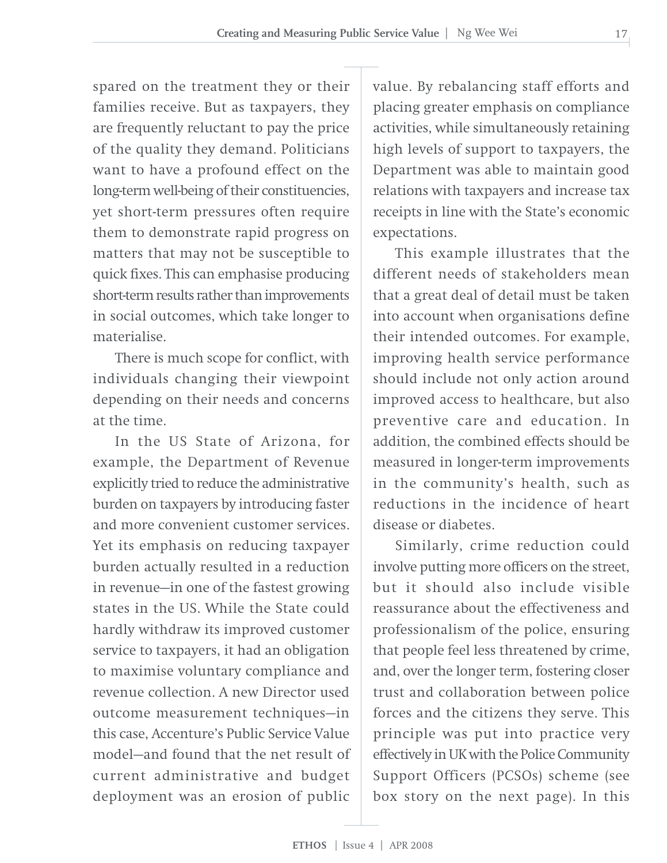spared on the treatment they or their families receive. But as taxpayers, they are frequently reluctant to pay the price of the quality they demand. Politicians want to have a profound effect on the long-term well-being of their constituencies, yet short-term pressures often require them to demonstrate rapid progress on matters that may not be susceptible to quick fixes. This can emphasise producing short-term results rather than improvements in social outcomes, which take longer to materialise.

There is much scope for conflict, with individuals changing their viewpoint depending on their needs and concerns at the time.

In the US State of Arizona, for example, the Department of Revenue explicitly tried to reduce the administrative burden on taxpayers by introducing faster and more convenient customer services. Yet its emphasis on reducing taxpayer burden actually resulted in a reduction in revenue—in one of the fastest growing states in the US. While the State could hardly withdraw its improved customer service to taxpayers, it had an obligation to maximise voluntary compliance and revenue collection. A new Director used outcome measurement techniques—in this case, Accenture's Public Service Value model—and found that the net result of current administrative and budget deployment was an erosion of public

value. By rebalancing staff efforts and placing greater emphasis on compliance activities, while simultaneously retaining high levels of support to taxpayers, the Department was able to maintain good relations with taxpayers and increase tax receipts in line with the State's economic expectations.

This example illustrates that the different needs of stakeholders mean that a great deal of detail must be taken into account when organisations define their intended outcomes. For example, improving health service performance should include not only action around improved access to healthcare, but also preventive care and education. In addition, the combined effects should be measured in longer-term improvements in the community's health, such as reductions in the incidence of heart disease or diabetes.

Similarly, crime reduction could involve putting more officers on the street, but it should also include visible reassurance about the effectiveness and professionalism of the police, ensuring that people feel less threatened by crime, and, over the longer term, fostering closer trust and collaboration between police forces and the citizens they serve. This principle was put into practice very effectively in UK with the Police Community Support Officers (PCSOs) scheme (see box story on the next page). In this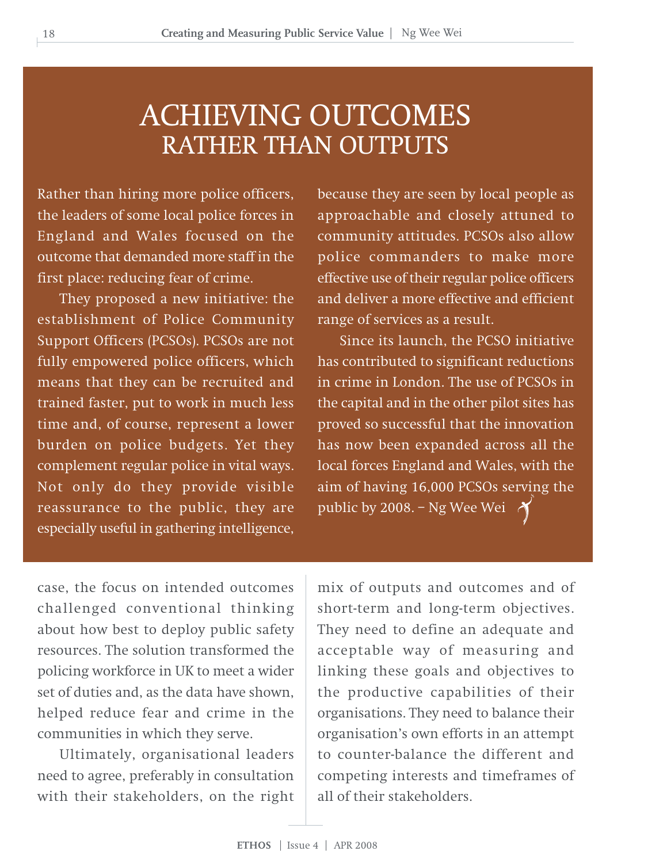### ACHIEVING OUTCOMES RATHER THAN OUTPUTS

Rather than hiring more police officers, the leaders of some local police forces in England and Wales focused on the outcome that demanded more staff in the first place: reducing fear of crime.

They proposed a new initiative: the establishment of Police Community Support Officers (PCSOs). PCSOs are not fully empowered police officers, which means that they can be recruited and trained faster, put to work in much less time and, of course, represent a lower burden on police budgets. Yet they complement regular police in vital ways. Not only do they provide visible reassurance to the public, they are especially useful in gathering intelligence,

because they are seen by local people as approachable and closely attuned to community attitudes. PCSOs also allow police commanders to make more effective use of their regular police officers and deliver a more effective and efficient range of services as a result.

Since its launch, the PCSO initiative has contributed to significant reductions in crime in London. The use of PCSOs in the capital and in the other pilot sites has proved so successful that the innovation has now been expanded across all the local forces England and Wales, with the aim of having 16,000 PCSOs serving the public by 2008. – Ng Wee Wei

case, the focus on intended outcomes challenged conventional thinking about how best to deploy public safety resources. The solution transformed the policing workforce in UK to meet a wider set of duties and, as the data have shown, helped reduce fear and crime in the communities in which they serve.

Ultimately, organisational leaders need to agree, preferably in consultation with their stakeholders, on the right mix of outputs and outcomes and of short-term and long-term objectives. They need to define an adequate and acceptable way of measuring and linking these goals and objectives to the productive capabilities of their organisations. They need to balance their organisation's own efforts in an attempt to counter-balance the different and competing interests and timeframes of all of their stakeholders.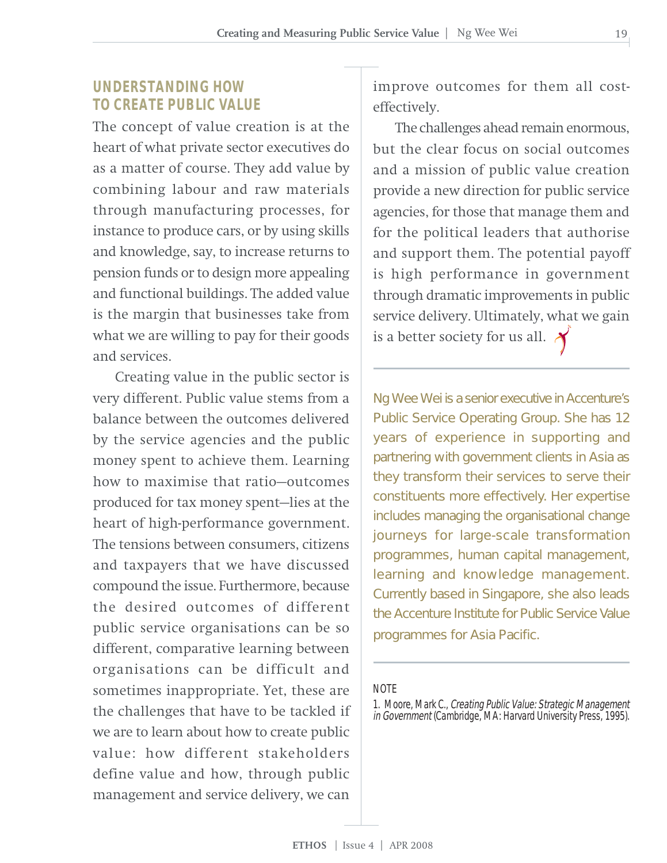#### **UNDERSTANDING HOW TO CREATE PUBLIC VALUE**

The concept of value creation is at the heart of what private sector executives do as a matter of course. They add value by combining labour and raw materials through manufacturing processes, for instance to produce cars, or by using skills and knowledge, say, to increase returns to pension funds or to design more appealing and functional buildings. The added value is the margin that businesses take from what we are willing to pay for their goods and services.

Creating value in the public sector is very different. Public value stems from a balance between the outcomes delivered by the service agencies and the public money spent to achieve them. Learning how to maximise that ratio—outcomes produced for tax money spent—lies at the heart of high-performance government. The tensions between consumers, citizens and taxpayers that we have discussed compound the issue. Furthermore, because the desired outcomes of different public service organisations can be so different, comparative learning between organisations can be difficult and sometimes inappropriate. Yet, these are the challenges that have to be tackled if we are to learn about how to create public value: how different stakeholders define value and how, through public management and service delivery, we can

improve outcomes for them all costeffectively.

The challenges ahead remain enormous, but the clear focus on social outcomes and a mission of public value creation provide a new direction for public service agencies, for those that manage them and for the political leaders that authorise and support them. The potential payoff is high performance in government through dramatic improvements in public service delivery. Ultimately, what we gain is a better society for us all.  $\lambda$ 

Ng Wee Wei is a senior executive in Accenture's Public Service Operating Group. She has 12 years of experience in supporting and partnering with government clients in Asia as they transform their services to serve their constituents more effectively. Her expertise includes managing the organisational change journeys for large-scale transformation programmes, human capital management, learning and knowledge management. Currently based in Singapore, she also leads the Accenture Institute for Public Service Value programmes for Asia Pacific.

#### **NOTE**

<sup>1.</sup> Moore, Mark C., Creating Public Value: Strategic Management in Government (Cambridge, MA: Harvard University Press, 1995).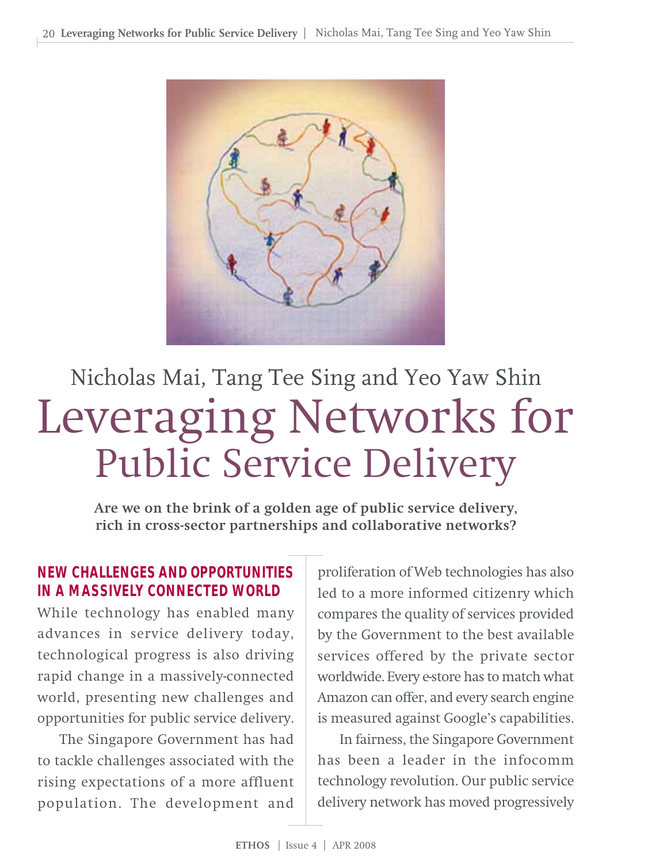

# Leveraging Networks for Public Service Delivery Nicholas Mai, Tang Tee Sing and Yeo Yaw Shin

**Are we on the brink of a golden age of public service delivery, rich in cross-sector partnerships and collaborative networks?**

#### **NEW CHALLENGES AND OPPORTUNITIES IN A MASSIVELY CONNECTED WORLD**

While technology has enabled many advances in service delivery today, technological progress is also driving rapid change in a massively-connected world, presenting new challenges and opportunities for public service delivery.

The Singapore Government has had to tackle challenges associated with the rising expectations of a more affluent population. The development and

proliferation of Web technologies has also led to a more informed citizenry which compares the quality of services provided by the Government to the best available services offered by the private sector worldwide. Every e-store has to match what Amazon can offer, and every search engine is measured against Google's capabilities.

In fairness, the Singapore Government has been a leader in the infocomm technology revolution. Our public service delivery network has moved progressively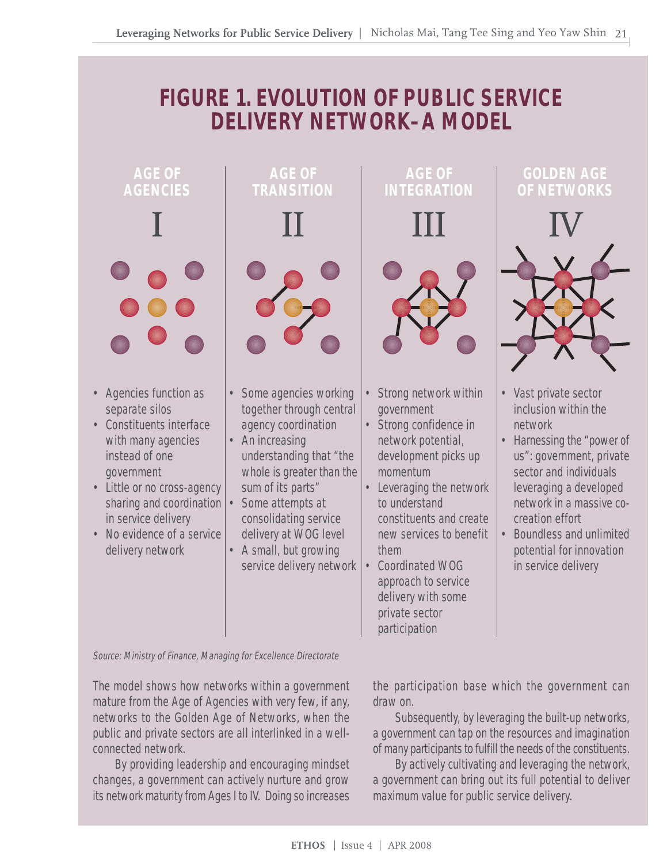### **FIGURE 1. EVOLUTION OF PUBLIC SERVICE DELIVERY NETWORK–A MODEL**



Source: Ministry of Finance, Managing for Excellence Directorate

The model shows how networks within a government mature from the Age of Agencies with very few, if any, networks to the Golden Age of Networks, when the public and private sectors are all interlinked in a wellconnected network.

By providing leadership and encouraging mindset changes, a government can actively nurture and grow its network maturity from Ages I to IV. Doing so increases

the participation base which the government can draw on.

Subsequently, by leveraging the built-up networks, a government can tap on the resources and imagination of many participants to fulfill the needs of the constituents.

By actively cultivating and leveraging the network, a government can bring out its full potential to deliver maximum value for public service delivery.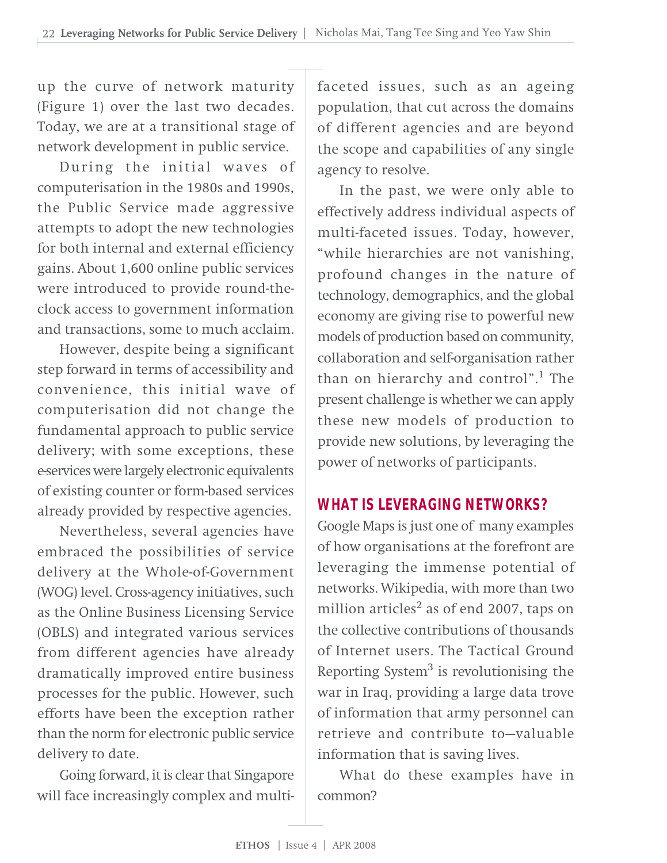up the curve of network maturity (Figure 1) over the last two decades. Today, we are at a transitional stage of network development in public service.

During the initial waves of computerisation in the 1980s and 1990s, the Public Service made aggressive attempts to adopt the new technologies for both internal and external efficiency gains. About 1,600 online public services were introduced to provide round-theclock access to government information and transactions, some to much acclaim.

However, despite being a significant step forward in terms of accessibility and convenience, this initial wave of computerisation did not change the fundamental approach to public service delivery; with some exceptions, these e-services were largely electronic equivalents of existing counter or form-based services already provided by respective agencies.

Nevertheless, several agencies have embraced the possibilities of service delivery at the Whole-of-Government (WOG) level. Cross-agency initiatives, such as the Online Business Licensing Service (OBLS) and integrated various services from different agencies have already dramatically improved entire business processes for the public. However, such efforts have been the exception rather than the norm for electronic public service delivery to date.

Going forward, it is clear that Singapore will face increasingly complex and multifaceted issues, such as an ageing population, that cut across the domains of different agencies and are beyond the scope and capabilities of any single agency to resolve.

In the past, we were only able to effectively address individual aspects of multi-faceted issues. Today, however, "while hierarchies are not vanishing, profound changes in the nature of technology, demographics, and the global economy are giving rise to powerful new models of production based on community, collaboration and self-organisation rather than on hierarchy and control".<sup>1</sup> The present challenge is whether we can apply these new models of production to provide new solutions, by leveraging the power of networks of participants.

#### **WHAT IS LEVERAGING NETWORKS?**

Google Maps is just one of many examples of how organisations at the forefront are leveraging the immense potential of networks. Wikipedia, with more than two million articles $2$  as of end 2007, taps on the collective contributions of thousands of Internet users. The Tactical Ground Reporting System<sup>3</sup> is revolutionising the war in Iraq, providing a large data trove of information that army personnel can retrieve and contribute to—valuable information that is saving lives.

What do these examples have in common?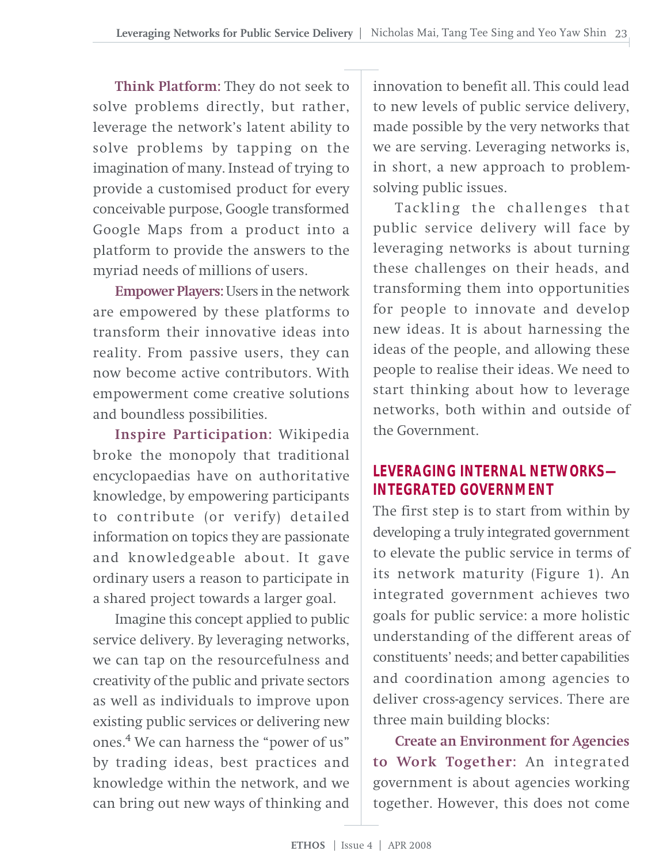**Think Platform:** They do not seek to solve problems directly, but rather, leverage the network's latent ability to solve problems by tapping on the imagination of many. Instead of trying to provide a customised product for every conceivable purpose, Google transformed Google Maps from a product into a platform to provide the answers to the myriad needs of millions of users.

**Empower Players:** Users in the network are empowered by these platforms to transform their innovative ideas into reality. From passive users, they can now become active contributors. With empowerment come creative solutions and boundless possibilities.

**Inspire Participation:** Wikipedia broke the monopoly that traditional encyclopaedias have on authoritative knowledge, by empowering participants to contribute (or verify) detailed information on topics they are passionate and knowledgeable about. It gave ordinary users a reason to participate in a shared project towards a larger goal.

Imagine this concept applied to public service delivery. By leveraging networks, we can tap on the resourcefulness and creativity of the public and private sectors as well as individuals to improve upon existing public services or delivering new ones.4 We can harness the "power of us" by trading ideas, best practices and knowledge within the network, and we can bring out new ways of thinking and

innovation to benefit all. This could lead to new levels of public service delivery, made possible by the very networks that we are serving. Leveraging networks is, in short, a new approach to problemsolving public issues.

Tackling the challenges that public service delivery will face by leveraging networks is about turning these challenges on their heads, and transforming them into opportunities for people to innovate and develop new ideas. It is about harnessing the ideas of the people, and allowing these people to realise their ideas. We need to start thinking about how to leverage networks, both within and outside of the Government.

#### **LEVERAGING INTERNAL NETWORKS— INTEGRATED GOVERNMENT**

The first step is to start from within by developing a truly integrated government to elevate the public service in terms of its network maturity (Figure 1). An integrated government achieves two goals for public service: a more holistic understanding of the different areas of constituents' needs; and better capabilities and coordination among agencies to deliver cross-agency services. There are three main building blocks:

**Create an Environment for Agencies to Work Together:** An integrated government is about agencies working together. However, this does not come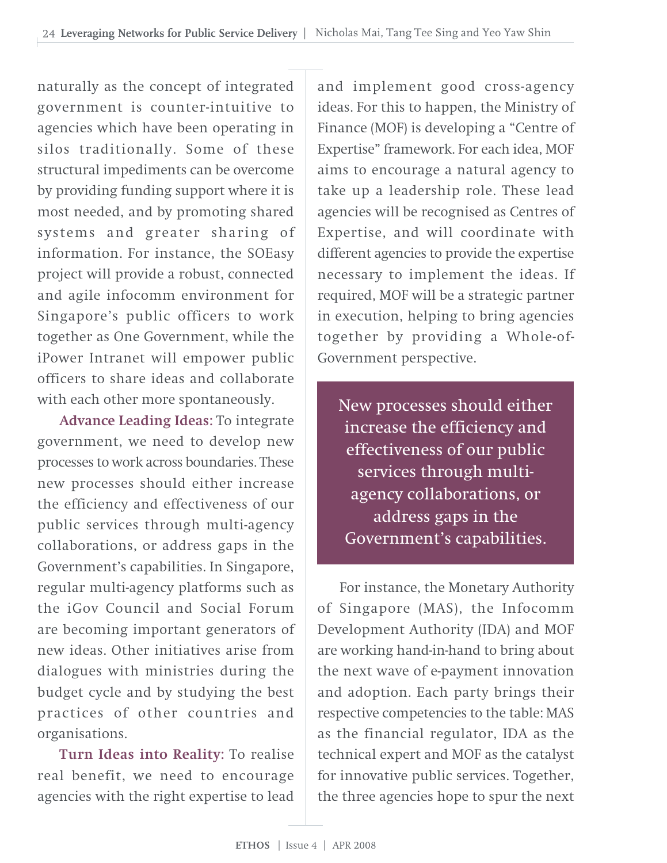naturally as the concept of integrated government is counter-intuitive to agencies which have been operating in silos traditionally. Some of these structural impediments can be overcome by providing funding support where it is most needed, and by promoting shared systems and greater sharing of information. For instance, the SOEasy project will provide a robust, connected and agile infocomm environment for Singapore's public officers to work together as One Government, while the iPower Intranet will empower public officers to share ideas and collaborate with each other more spontaneously.

**Advance Leading Ideas:** To integrate government, we need to develop new processes to work across boundaries. These new processes should either increase the efficiency and effectiveness of our public services through multi-agency collaborations, or address gaps in the Government's capabilities. In Singapore, regular multi-agency platforms such as the iGov Council and Social Forum are becoming important generators of new ideas. Other initiatives arise from dialogues with ministries during the budget cycle and by studying the best practices of other countries and organisations.

**Turn Ideas into Reality:** To realise real benefit, we need to encourage agencies with the right expertise to lead

and implement good cross-agency ideas. For this to happen, the Ministry of Finance (MOF) is developing a "Centre of Expertise" framework. For each idea, MOF aims to encourage a natural agency to take up a leadership role. These lead agencies will be recognised as Centres of Expertise, and will coordinate with different agencies to provide the expertise necessary to implement the ideas. If required, MOF will be a strategic partner in execution, helping to bring agencies together by providing a Whole-of-Government perspective.

New processes should either increase the efficiency and effectiveness of our public services through multiagency collaborations, or address gaps in the Government's capabilities.

For instance, the Monetary Authority of Singapore (MAS), the Infocomm Development Authority (IDA) and MOF are working hand-in-hand to bring about the next wave of e-payment innovation and adoption. Each party brings their respective competencies to the table: MAS as the financial regulator, IDA as the technical expert and MOF as the catalyst for innovative public services. Together, the three agencies hope to spur the next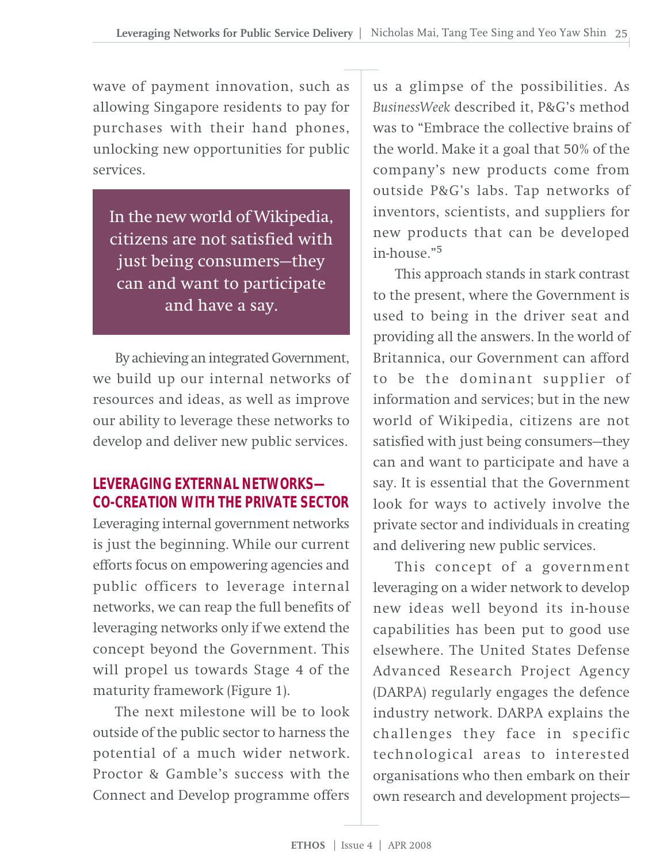wave of payment innovation, such as allowing Singapore residents to pay for purchases with their hand phones, unlocking new opportunities for public services.

In the new world of Wikipedia, citizens are not satisfied with just being consumers—they can and want to participate and have a say.

By achieving an integrated Government, we build up our internal networks of resources and ideas, as well as improve our ability to leverage these networks to develop and deliver new public services.

#### **LEVERAGING EXTERNAL NETWORKS— CO-CREATION WITH THE PRIVATE SECTOR**

Leveraging internal government networks is just the beginning. While our current efforts focus on empowering agencies and public officers to leverage internal networks, we can reap the full benefits of leveraging networks only if we extend the concept beyond the Government. This will propel us towards Stage 4 of the maturity framework (Figure 1).

The next milestone will be to look outside of the public sector to harness the potential of a much wider network. Proctor & Gamble's success with the Connect and Develop programme offers

us a glimpse of the possibilities. As *BusinessWeek* described it, P&G's method was to "Embrace the collective brains of the world. Make it a goal that 50% of the company's new products come from outside P&G's labs. Tap networks of inventors, scientists, and suppliers for new products that can be developed in-house."<sup>5</sup>

This approach stands in stark contrast to the present, where the Government is used to being in the driver seat and providing all the answers. In the world of Britannica, our Government can afford to be the dominant supplier of information and services; but in the new world of Wikipedia, citizens are not satisfied with just being consumers—they can and want to participate and have a say. It is essential that the Government look for ways to actively involve the private sector and individuals in creating and delivering new public services.

This concept of a government leveraging on a wider network to develop new ideas well beyond its in-house capabilities has been put to good use elsewhere. The United States Defense Advanced Research Project Agency (DARPA) regularly engages the defence industry network. DARPA explains the challenges they face in specific technological areas to interested organisations who then embark on their own research and development projects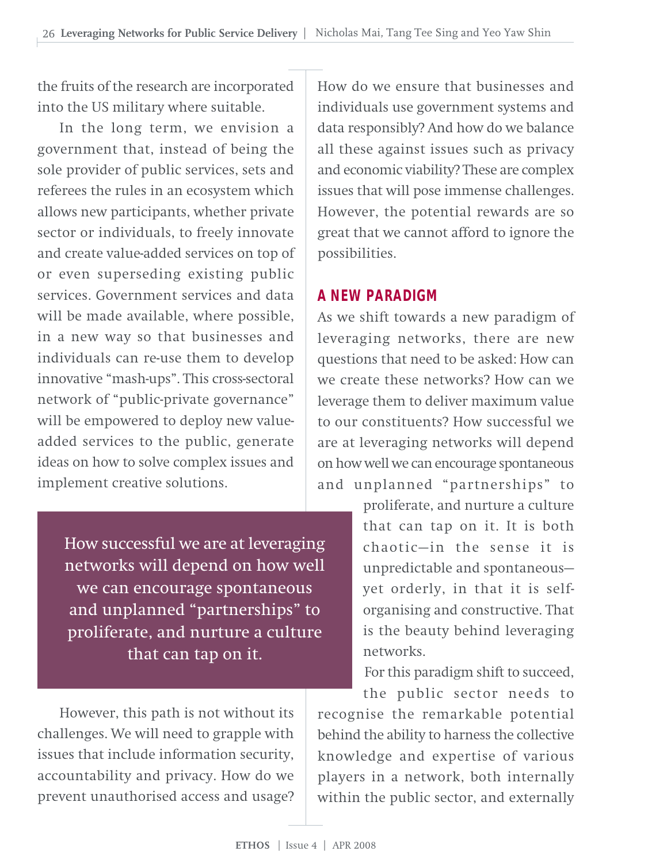the fruits of the research are incorporated into the US military where suitable.

In the long term, we envision a government that, instead of being the sole provider of public services, sets and referees the rules in an ecosystem which allows new participants, whether private sector or individuals, to freely innovate and create value-added services on top of or even superseding existing public services. Government services and data will be made available, where possible, in a new way so that businesses and individuals can re-use them to develop innovative "mash-ups". This cross-sectoral network of "public-private governance" will be empowered to deploy new valueadded services to the public, generate ideas on how to solve complex issues and implement creative solutions.

> How successful we are at leveraging networks will depend on how well we can encourage spontaneous and unplanned "partnerships" to proliferate, and nurture a culture that can tap on it.

However, this path is not without its challenges. We will need to grapple with issues that include information security, accountability and privacy. How do we prevent unauthorised access and usage? How do we ensure that businesses and individuals use government systems and data responsibly? And how do we balance all these against issues such as privacy and economic viability? These are complex issues that will pose immense challenges. However, the potential rewards are so great that we cannot afford to ignore the possibilities.

#### **A NEW PARADIGM**

As we shift towards a new paradigm of leveraging networks, there are new questions that need to be asked: How can we create these networks? How can we leverage them to deliver maximum value to our constituents? How successful we are at leveraging networks will depend on how well we can encourage spontaneous and unplanned "partnerships" to

> proliferate, and nurture a culture that can tap on it. It is both chaotic—in the sense it is unpredictable and spontaneous yet orderly, in that it is selforganising and constructive. That is the beauty behind leveraging networks.

For this paradigm shift to succeed,

the public sector needs to recognise the remarkable potential behind the ability to harness the collective knowledge and expertise of various players in a network, both internally within the public sector, and externally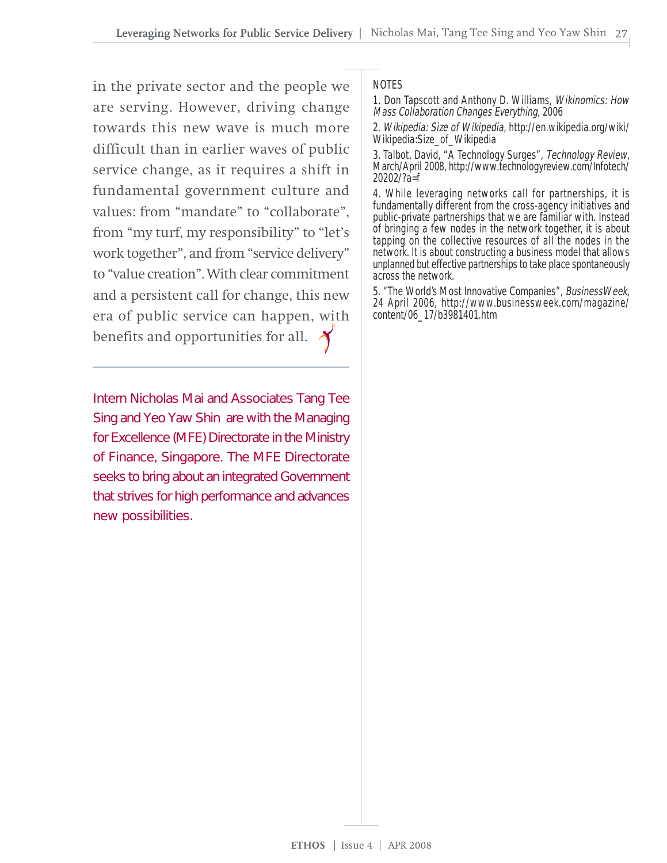in the private sector and the people we are serving. However, driving change towards this new wave is much more difficult than in earlier waves of public service change, as it requires a shift in fundamental government culture and values: from "mandate" to "collaborate", from "my turf, my responsibility" to "let's work together", and from "service delivery" to "value creation". With clear commitment and a persistent call for change, this new era of public service can happen, with benefits and opportunities for all.

Intern Nicholas Mai and Associates Tang Tee Sing and Yeo Yaw Shin are with the Managing for Excellence (MFE) Directorate in the Ministry of Finance, Singapore. The MFE Directorate seeks to bring about an integrated Government that strives for high performance and advances new possibilities.

#### **NOTES**

1. Don Tapscott and Anthony D. Williams, Wikinomics: How Mass Collaboration Changes Everything, 2006

2. Wikipedia: Size of Wikipedia, http://en.wikipedia.org/wiki/ Wikipedia:Size\_of\_Wikipedia

3. Talbot, David, "A Technology Surges", Technology Review,<br>March/April 2008, http://www.technologyreview.com/Infotech/ 20202/?a=f

4. While leveraging networks call for partnerships, it is fundamentally different from the cross-agency initiatives and public-private partnerships that we are familiar with. Instead of bringing a few nodes in the network together, it is about tapping on the collective resources of all the nodes in the network. It is about constructing a business model that allows unplanned but effective partnerships to take place spontaneously across the network.

5. "The World's Most Innovative Companies", BusinessWeek, 24 April 2006, http://www.businessweek.com/magazine/ content/06\_17/b3981401.htm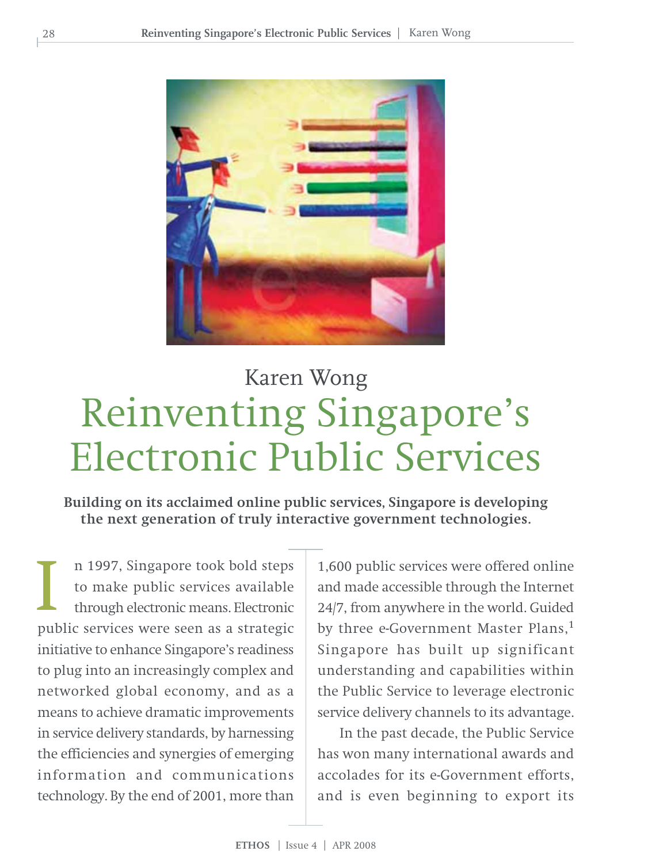

# Reinventing Singapore's Electronic Public Services Karen Wong

**Building on its acclaimed online public services, Singapore is developing the next generation of truly interactive government technologies.**

n 1997, Singapore took bold steps to make public services available through electronic means. Electronic public services were seen as a strategic initiative to enhance Singapore's readiness to plug into an increasingly complex and networked global economy, and as a means to achieve dramatic improvements in service delivery standards, by harnessing the efficiencies and synergies of emerging information and communications technology. By the end of 2001, more than I

1,600 public services were offered online and made accessible through the Internet 24/7, from anywhere in the world. Guided by three e-Government Master Plans,<sup>1</sup> Singapore has built up significant understanding and capabilities within the Public Service to leverage electronic service delivery channels to its advantage.

In the past decade, the Public Service has won many international awards and accolades for its e-Government efforts, and is even beginning to export its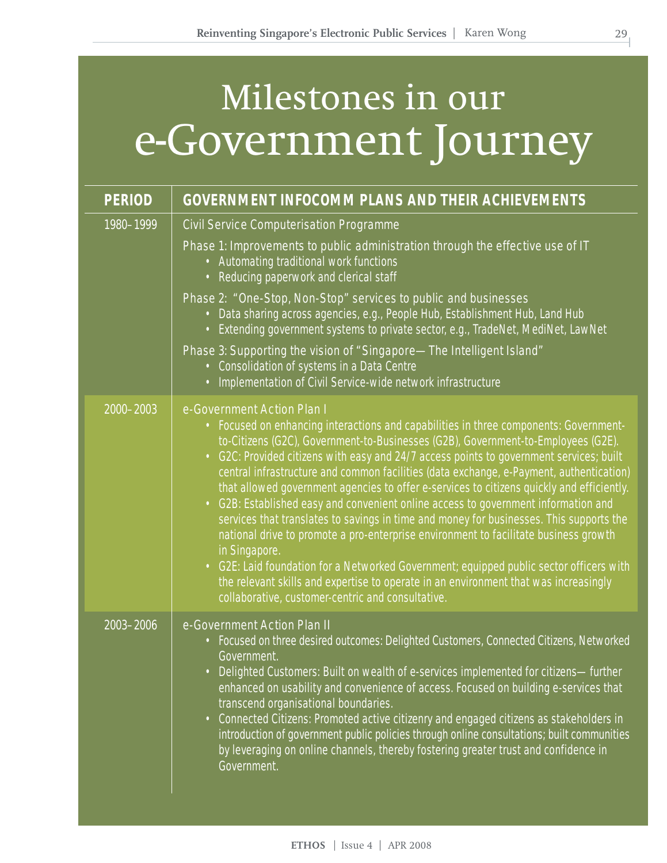# Milestones in our e-Government Journey

| <b>PERIOD</b> | <b>GOVERNMENT INFOCOMM PLANS AND THEIR ACHIEVEMENTS</b>                                                                                                                                                                                                                                                                                                                                                                                                                                                                                                                                                                                                                                                                                                                                                                                                                                                                                                                                                                       |
|---------------|-------------------------------------------------------------------------------------------------------------------------------------------------------------------------------------------------------------------------------------------------------------------------------------------------------------------------------------------------------------------------------------------------------------------------------------------------------------------------------------------------------------------------------------------------------------------------------------------------------------------------------------------------------------------------------------------------------------------------------------------------------------------------------------------------------------------------------------------------------------------------------------------------------------------------------------------------------------------------------------------------------------------------------|
| 1980-1999     | Civil Service Computerisation Programme<br>Phase 1: Improvements to public administration through the effective use of IT<br>• Automating traditional work functions<br>• Reducing paperwork and clerical staff<br>Phase 2: "One-Stop, Non-Stop" services to public and businesses<br>• Data sharing across agencies, e.g., People Hub, Establishment Hub, Land Hub<br>• Extending government systems to private sector, e.g., TradeNet, MediNet, LawNet<br>Phase 3: Supporting the vision of "Singapore-The Intelligent Island"<br>• Consolidation of systems in a Data Centre<br>• Implementation of Civil Service-wide network infrastructure                                                                                                                                                                                                                                                                                                                                                                              |
| 2000-2003     | e-Government Action Plan I<br>• Focused on enhancing interactions and capabilities in three components: Government-<br>to-Citizens (G2C), Government-to-Businesses (G2B), Government-to-Employees (G2E).<br>• G2C: Provided citizens with easy and 24/7 access points to government services; built<br>central infrastructure and common facilities (data exchange, e-Payment, authentication)<br>that allowed government agencies to offer e-services to citizens quickly and efficiently.<br>• G2B: Established easy and convenient online access to government information and<br>services that translates to savings in time and money for businesses. This supports the<br>national drive to promote a pro-enterprise environment to facilitate business growth<br>in Singapore.<br>• G2E: Laid foundation for a Networked Government; equipped public sector officers with<br>the relevant skills and expertise to operate in an environment that was increasingly<br>collaborative, customer-centric and consultative. |
| 2003-2006     | e-Government Action Plan II<br>• Focused on three desired outcomes: Delighted Customers, Connected Citizens, Networked<br>Government.<br>• Delighted Customers: Built on wealth of e-services implemented for citizens-further<br>enhanced on usability and convenience of access. Focused on building e-services that<br>transcend organisational boundaries.<br>• Connected Citizens: Promoted active citizenry and engaged citizens as stakeholders in<br>introduction of government public policies through online consultations; built communities<br>by leveraging on online channels, thereby fostering greater trust and confidence in<br>Government.                                                                                                                                                                                                                                                                                                                                                                 |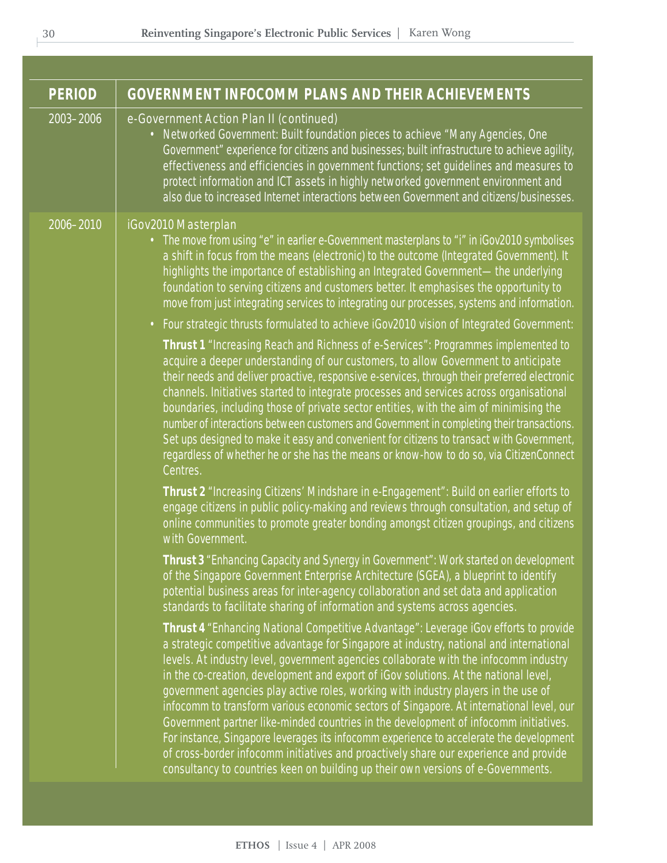| <b>PERIOD</b> | <b>GOVERNMENT INFOCOMM PLANS AND THEIR ACHIEVEMENTS</b>                                                                                                                                                                                                                                                                                                                                                                                                                                                                                                                                                                                                                                                                                                                                                                                                                                                                                                                                                                                                                                                                                                                                                                                                                                                                                                                                                                                                                                                                                                                                                                                                                                                                                                                                                                                                                                                                                                                                                                                                                                                                                                                                                                                                                                                                                                                                                                                                                                                                                                                                                                                                                                                                                                                                                                                                                                                                                     |
|---------------|---------------------------------------------------------------------------------------------------------------------------------------------------------------------------------------------------------------------------------------------------------------------------------------------------------------------------------------------------------------------------------------------------------------------------------------------------------------------------------------------------------------------------------------------------------------------------------------------------------------------------------------------------------------------------------------------------------------------------------------------------------------------------------------------------------------------------------------------------------------------------------------------------------------------------------------------------------------------------------------------------------------------------------------------------------------------------------------------------------------------------------------------------------------------------------------------------------------------------------------------------------------------------------------------------------------------------------------------------------------------------------------------------------------------------------------------------------------------------------------------------------------------------------------------------------------------------------------------------------------------------------------------------------------------------------------------------------------------------------------------------------------------------------------------------------------------------------------------------------------------------------------------------------------------------------------------------------------------------------------------------------------------------------------------------------------------------------------------------------------------------------------------------------------------------------------------------------------------------------------------------------------------------------------------------------------------------------------------------------------------------------------------------------------------------------------------------------------------------------------------------------------------------------------------------------------------------------------------------------------------------------------------------------------------------------------------------------------------------------------------------------------------------------------------------------------------------------------------------------------------------------------------------------------------------------------------|
| 2003-2006     | e-Government Action Plan II (continued)<br>• Networked Government: Built foundation pieces to achieve "Many Agencies, One<br>Government" experience for citizens and businesses; built infrastructure to achieve agility,<br>effectiveness and efficiencies in government functions; set guidelines and measures to<br>protect information and ICT assets in highly networked government environment and<br>also due to increased Internet interactions between Government and citizens/businesses.                                                                                                                                                                                                                                                                                                                                                                                                                                                                                                                                                                                                                                                                                                                                                                                                                                                                                                                                                                                                                                                                                                                                                                                                                                                                                                                                                                                                                                                                                                                                                                                                                                                                                                                                                                                                                                                                                                                                                                                                                                                                                                                                                                                                                                                                                                                                                                                                                                         |
| 2006-2010     | iGov2010 Masterplan<br>• The move from using "e" in earlier e-Government masterplans to "i" in iGov2010 symbolises<br>a shift in focus from the means (electronic) to the outcome (Integrated Government). It<br>highlights the importance of establishing an Integrated Government-the underlying<br>foundation to serving citizens and customers better. It emphasises the opportunity to<br>move from just integrating services to integrating our processes, systems and information.<br>• Four strategic thrusts formulated to achieve iGov2010 vision of Integrated Government:<br><b>Thrust 1</b> "Increasing Reach and Richness of e-Services": Programmes implemented to<br>acquire a deeper understanding of our customers, to allow Government to anticipate<br>their needs and deliver proactive, responsive e-services, through their preferred electronic<br>channels. Initiatives started to integrate processes and services across organisational<br>boundaries, including those of private sector entities, with the aim of minimising the<br>number of interactions between customers and Government in completing their transactions.<br>Set ups designed to make it easy and convenient for citizens to transact with Government,<br>regardless of whether he or she has the means or know-how to do so, via CitizenConnect<br>Centres.<br>Thrust 2 "Increasing Citizens' Mindshare in e-Engagement": Build on earlier efforts to<br>engage citizens in public policy-making and reviews through consultation, and setup of<br>online communities to promote greater bonding amongst citizen groupings, and citizens<br>with Government.<br>Thrust 3 "Enhancing Capacity and Synergy in Government": Work started on development<br>of the Singapore Government Enterprise Architecture (SGEA), a blueprint to identify<br>potential business areas for inter-agency collaboration and set data and application<br>standards to facilitate sharing of information and systems across agencies.<br>Thrust 4 "Enhancing National Competitive Advantage": Leverage iGov efforts to provide<br>a strategic competitive advantage for Singapore at industry, national and international<br>levels. At industry level, government agencies collaborate with the infocomm industry<br>in the co-creation, development and export of iGov solutions. At the national level,<br>government agencies play active roles, working with industry players in the use of<br>infocomm to transform various economic sectors of Singapore. At international level, our<br>Government partner like-minded countries in the development of infocomm initiatives.<br>For instance, Singapore leverages its infocomm experience to accelerate the development<br>of cross-border infocomm initiatives and proactively share our experience and provide<br>consultancy to countries keen on building up their own versions of e-Governments. |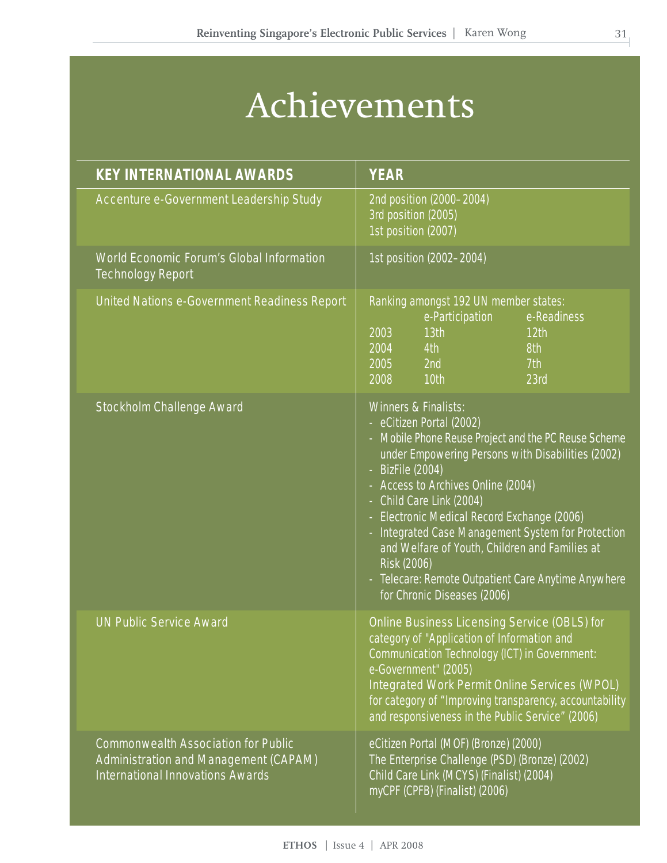# Achievements

| <b>KEY INTERNATIONAL AWARDS</b>                                                                                                | <b>YEAR</b>                                                                                                                                                                                                                                                                                                                                                                                                                                                                                                       |
|--------------------------------------------------------------------------------------------------------------------------------|-------------------------------------------------------------------------------------------------------------------------------------------------------------------------------------------------------------------------------------------------------------------------------------------------------------------------------------------------------------------------------------------------------------------------------------------------------------------------------------------------------------------|
| Accenture e-Government Leadership Study                                                                                        | 2nd position (2000-2004)<br>3rd position (2005)<br>1st position (2007)                                                                                                                                                                                                                                                                                                                                                                                                                                            |
| World Economic Forum's Global Information<br><b>Technology Report</b>                                                          | 1st position (2002-2004)                                                                                                                                                                                                                                                                                                                                                                                                                                                                                          |
| United Nations e-Government Readiness Report                                                                                   | Ranking amongst 192 UN member states:<br>e-Participation<br>e-Readiness<br>13 <sub>th</sub><br>2003<br>12 <sup>th</sup><br>2004<br>4th<br>$\overline{8th}$<br>2005<br>2nd<br>7th<br>10th<br>2008<br>23rd                                                                                                                                                                                                                                                                                                          |
| Stockholm Challenge Award                                                                                                      | Winners & Finalists:<br>- eCitizen Portal (2002)<br>- Mobile Phone Reuse Project and the PC Reuse Scheme<br>under Empowering Persons with Disabilities (2002)<br>$-$ BizFile (2004)<br>- Access to Archives Online (2004)<br>- Child Care Link (2004)<br>- Electronic Medical Record Exchange (2006)<br>- Integrated Case Management System for Protection<br>and Welfare of Youth, Children and Families at<br>Risk (2006)<br>- Telecare: Remote Outpatient Care Anytime Anywhere<br>for Chronic Diseases (2006) |
| <b>UN Public Service Award</b>                                                                                                 | Online Business Licensing Service (OBLS) for<br>category of "Application of Information and<br>Communication Technology (ICT) in Government:<br>e-Government" (2005)<br>Integrated Work Permit Online Services (WPOL)<br>for category of "Improving transparency, accountability<br>and responsiveness in the Public Service" (2006)                                                                                                                                                                              |
| <b>Commonwealth Association for Public</b><br>Administration and Management (CAPAM)<br><b>International Innovations Awards</b> | eCitizen Portal (MOF) (Bronze) (2000)<br>The Enterprise Challenge (PSD) (Bronze) (2002)<br>Child Care Link (MCYS) (Finalist) (2004)<br>myCPF (CPFB) (Finalist) (2006)                                                                                                                                                                                                                                                                                                                                             |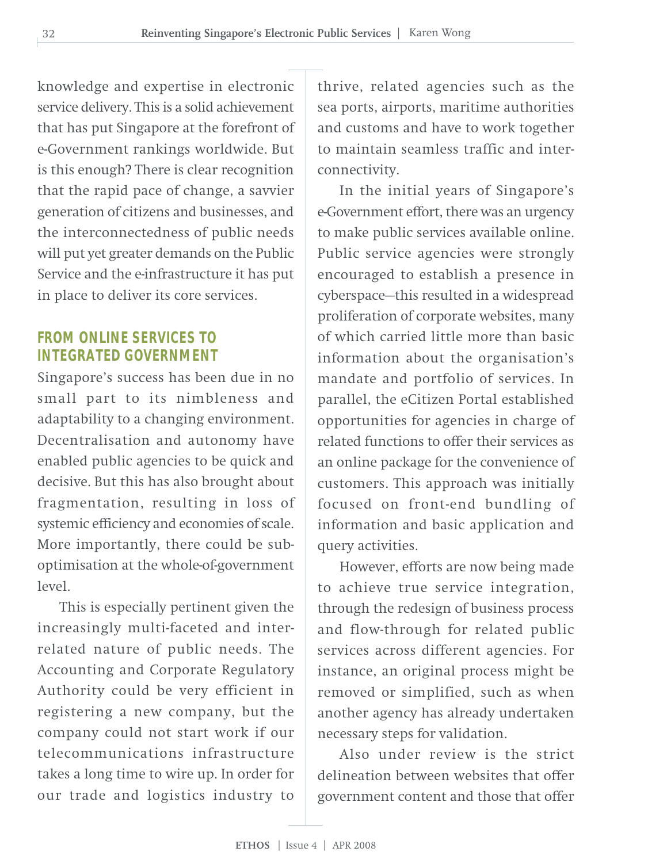knowledge and expertise in electronic service delivery. This is a solid achievement that has put Singapore at the forefront of e-Government rankings worldwide. But is this enough? There is clear recognition that the rapid pace of change, a savvier generation of citizens and businesses, and the interconnectedness of public needs will put yet greater demands on the Public Service and the e-infrastructure it has put in place to deliver its core services.

#### **FROM ONLINE SERVICES TO INTEGRATED GOVERNMENT**

Singapore's success has been due in no small part to its nimbleness and adaptability to a changing environment. Decentralisation and autonomy have enabled public agencies to be quick and decisive. But this has also brought about fragmentation, resulting in loss of systemic efficiency and economies of scale. More importantly, there could be suboptimisation at the whole-of-government level.

This is especially pertinent given the increasingly multi-faceted and interrelated nature of public needs. The Accounting and Corporate Regulatory Authority could be very efficient in registering a new company, but the company could not start work if our telecommunications infrastructure takes a long time to wire up. In order for our trade and logistics industry to

thrive, related agencies such as the sea ports, airports, maritime authorities and customs and have to work together to maintain seamless traffic and interconnectivity.

In the initial years of Singapore's e-Government effort, there was an urgency to make public services available online. Public service agencies were strongly encouraged to establish a presence in cyberspace—this resulted in a widespread proliferation of corporate websites, many of which carried little more than basic information about the organisation's mandate and portfolio of services. In parallel, the eCitizen Portal established opportunities for agencies in charge of related functions to offer their services as an online package for the convenience of customers. This approach was initially focused on front-end bundling of information and basic application and query activities.

However, efforts are now being made to achieve true service integration, through the redesign of business process and flow-through for related public services across different agencies. For instance, an original process might be removed or simplified, such as when another agency has already undertaken necessary steps for validation.

Also under review is the strict delineation between websites that offer government content and those that offer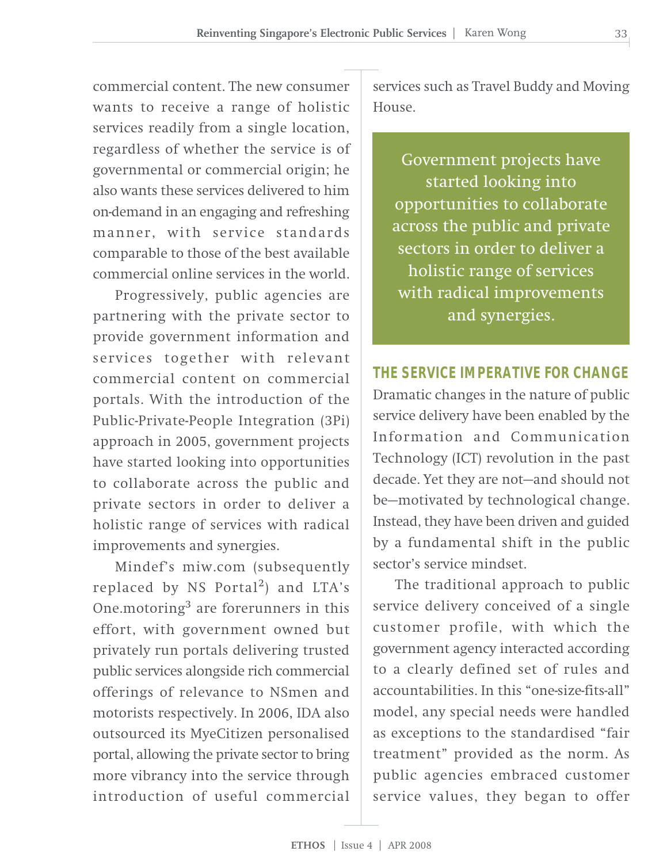commercial content. The new consumer wants to receive a range of holistic services readily from a single location, regardless of whether the service is of governmental or commercial origin; he also wants these services delivered to him on-demand in an engaging and refreshing manner, with service standards comparable to those of the best available commercial online services in the world.

Progressively, public agencies are partnering with the private sector to provide government information and services together with relevant commercial content on commercial portals. With the introduction of the Public-Private-People Integration (3Pi) approach in 2005, government projects have started looking into opportunities to collaborate across the public and private sectors in order to deliver a holistic range of services with radical improvements and synergies.

Mindef's miw.com (subsequently replaced by NS Portal<sup>2</sup>) and LTA's One.motoring3 are forerunners in this effort, with government owned but privately run portals delivering trusted public services alongside rich commercial offerings of relevance to NSmen and motorists respectively. In 2006, IDA also outsourced its MyeCitizen personalised portal, allowing the private sector to bring more vibrancy into the service through introduction of useful commercial

services such as Travel Buddy and Moving  $H$ 011 $S$  $\theta$ 

Government projects have started looking into opportunities to collaborate across the public and private sectors in order to deliver a holistic range of services with radical improvements and synergies.

**THE SERVICE IMPERATIVE FOR CHANGE** Dramatic changes in the nature of public service delivery have been enabled by the Information and Communication Technology (ICT) revolution in the past decade. Yet they are not—and should not be—motivated by technological change. Instead, they have been driven and guided by a fundamental shift in the public sector's service mindset.

The traditional approach to public service delivery conceived of a single customer profile, with which the government agency interacted according to a clearly defined set of rules and accountabilities. In this "one-size-fits-all" model, any special needs were handled as exceptions to the standardised "fair treatment" provided as the norm. As public agencies embraced customer service values, they began to offer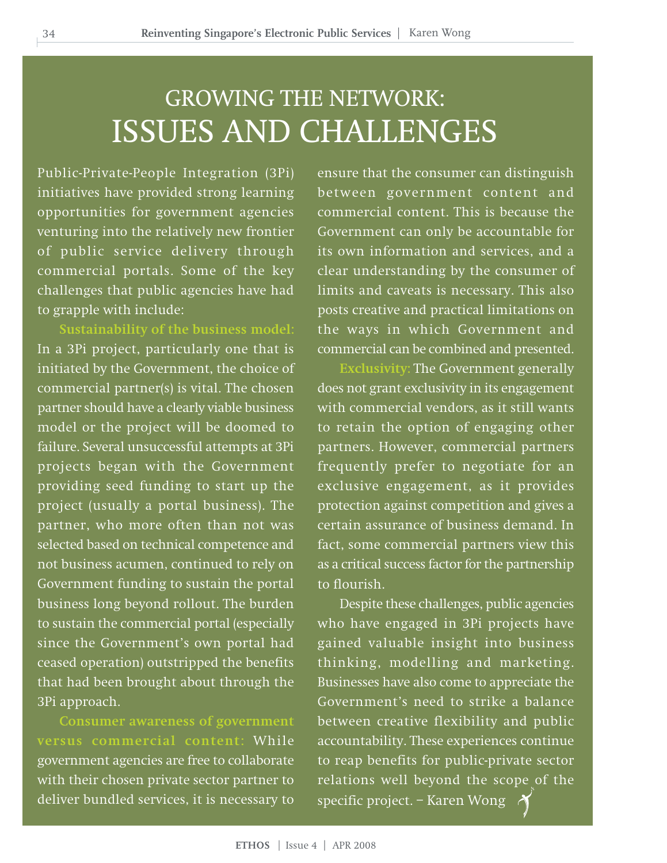### GROWING THE NETWORK: ISSUES AND CHALLENGES

Public-Private-People Integration (3Pi) initiatives have provided strong learning opportunities for government agencies venturing into the relatively new frontier of public service delivery through commercial portals. Some of the key challenges that public agencies have had to grapple with include:

**Sustainability of the business model:** In a 3Pi project, particularly one that is initiated by the Government, the choice of commercial partner(s) is vital. The chosen partner should have a clearly viable business model or the project will be doomed to failure. Several unsuccessful attempts at 3Pi projects began with the Government providing seed funding to start up the project (usually a portal business). The partner, who more often than not was selected based on technical competence and not business acumen, continued to rely on Government funding to sustain the portal business long beyond rollout. The burden to sustain the commercial portal (especially since the Government's own portal had ceased operation) outstripped the benefits that had been brought about through the 3Pi approach.

**Consumer awareness of government versus commercial content:** While government agencies are free to collaborate with their chosen private sector partner to deliver bundled services, it is necessary to

ensure that the consumer can distinguish between government content and commercial content. This is because the Government can only be accountable for its own information and services, and a clear understanding by the consumer of limits and caveats is necessary. This also posts creative and practical limitations on the ways in which Government and commercial can be combined and presented.

**Exclusivity:** The Government generally does not grant exclusivity in its engagement with commercial vendors, as it still wants to retain the option of engaging other partners. However, commercial partners frequently prefer to negotiate for an exclusive engagement, as it provides protection against competition and gives a certain assurance of business demand. In fact, some commercial partners view this as a critical success factor for the partnership to flourish.

Despite these challenges, public agencies who have engaged in 3Pi projects have gained valuable insight into business thinking, modelling and marketing. Businesses have also come to appreciate the Government's need to strike a balance between creative flexibility and public accountability. These experiences continue to reap benefits for public-private sector relations well beyond the scope of the specific project. – Karen Wong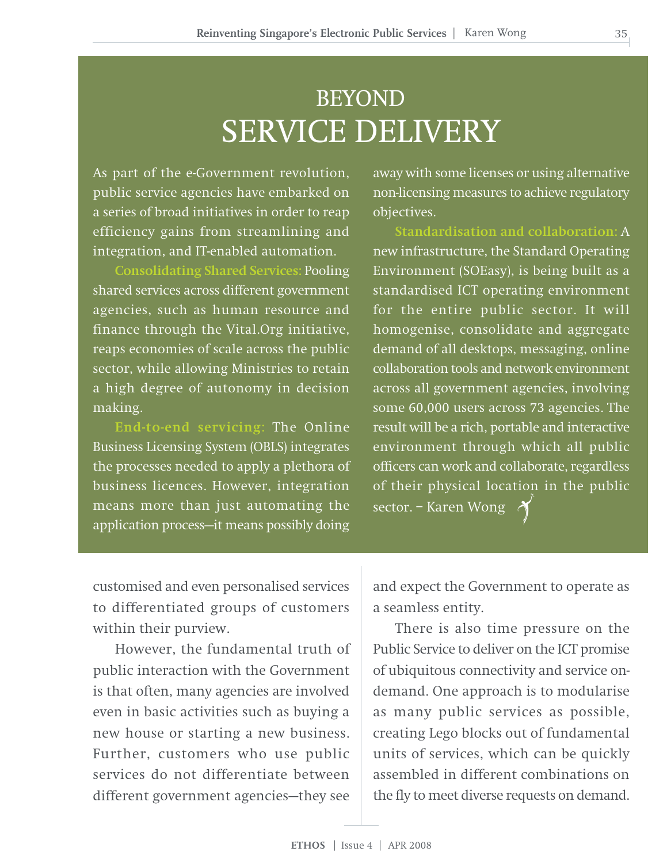# BEYOND SERVICE DELIVERY

As part of the e-Government revolution, public service agencies have embarked on a series of broad initiatives in order to reap efficiency gains from streamlining and integration, and IT-enabled automation.

**Consolidating Shared Services:** Pooling shared services across different government agencies, such as human resource and finance through the Vital.Org initiative, reaps economies of scale across the public sector, while allowing Ministries to retain a high degree of autonomy in decision making.

**End-to-end servicing:** The Online Business Licensing System (OBLS) integrates the processes needed to apply a plethora of business licences. However, integration means more than just automating the application process—it means possibly doing

away with some licenses or using alternative non-licensing measures to achieve regulatory objectives.

**Standardisation and collaboration:** A new infrastructure, the Standard Operating Environment (SOEasy), is being built as a standardised ICT operating environment for the entire public sector. It will homogenise, consolidate and aggregate demand of all desktops, messaging, online collaboration tools and network environment across all government agencies, involving some 60,000 users across 73 agencies. The result will be a rich, portable and interactive environment through which all public officers can work and collaborate, regardless of their physical location in the public sector. – Karen Wong

customised and even personalised services to differentiated groups of customers within their purview.

However, the fundamental truth of public interaction with the Government is that often, many agencies are involved even in basic activities such as buying a new house or starting a new business. Further, customers who use public services do not differentiate between different government agencies—they see

and expect the Government to operate as a seamless entity.

There is also time pressure on the Public Service to deliver on the ICT promise of ubiquitous connectivity and service ondemand. One approach is to modularise as many public services as possible, creating Lego blocks out of fundamental units of services, which can be quickly assembled in different combinations on the fly to meet diverse requests on demand.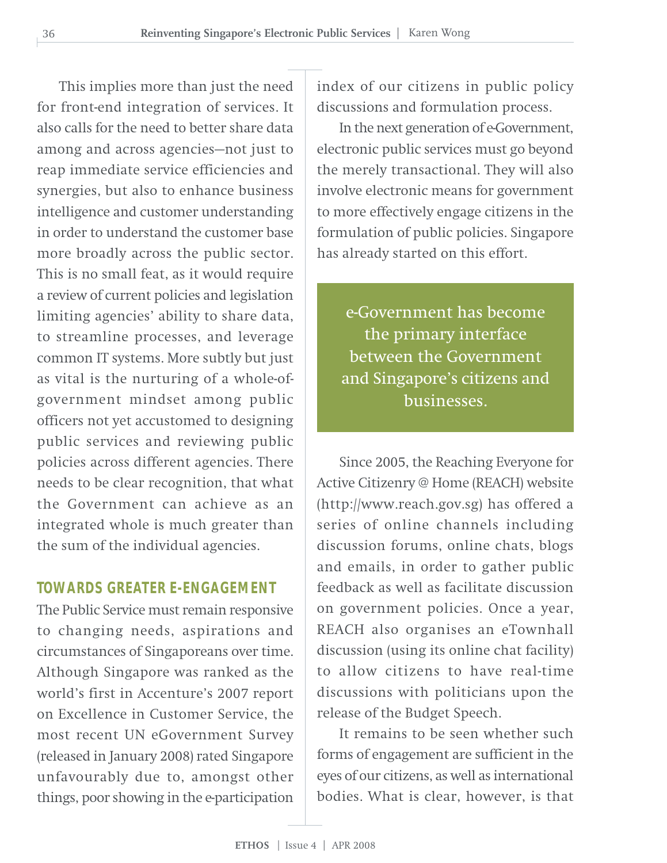This implies more than just the need for front-end integration of services. It also calls for the need to better share data among and across agencies—not just to reap immediate service efficiencies and synergies, but also to enhance business intelligence and customer understanding in order to understand the customer base more broadly across the public sector. This is no small feat, as it would require a review of current policies and legislation limiting agencies' ability to share data, to streamline processes, and leverage common IT systems. More subtly but just as vital is the nurturing of a whole-ofgovernment mindset among public officers not yet accustomed to designing public services and reviewing public policies across different agencies. There needs to be clear recognition, that what the Government can achieve as an integrated whole is much greater than the sum of the individual agencies.

#### **TOWARDS GREATER E-ENGAGEMENT**

The Public Service must remain responsive to changing needs, aspirations and circumstances of Singaporeans over time. Although Singapore was ranked as the world's first in Accenture's 2007 report on Excellence in Customer Service, the most recent UN eGovernment Survey (released in January 2008) rated Singapore unfavourably due to, amongst other things, poor showing in the e-participation

index of our citizens in public policy discussions and formulation process.

In the next generation of e-Government, electronic public services must go beyond the merely transactional. They will also involve electronic means for government to more effectively engage citizens in the formulation of public policies. Singapore has already started on this effort.

e-Government has become the primary interface between the Government and Singapore's citizens and businesses.

Since 2005, the Reaching Everyone for Active Citizenry @ Home (REACH) website (http://www.reach.gov.sg) has offered a series of online channels including discussion forums, online chats, blogs and emails, in order to gather public feedback as well as facilitate discussion on government policies. Once a year, REACH also organises an eTownhall discussion (using its online chat facility) to allow citizens to have real-time discussions with politicians upon the release of the Budget Speech.

It remains to be seen whether such forms of engagement are sufficient in the eyes of our citizens, as well as international bodies. What is clear, however, is that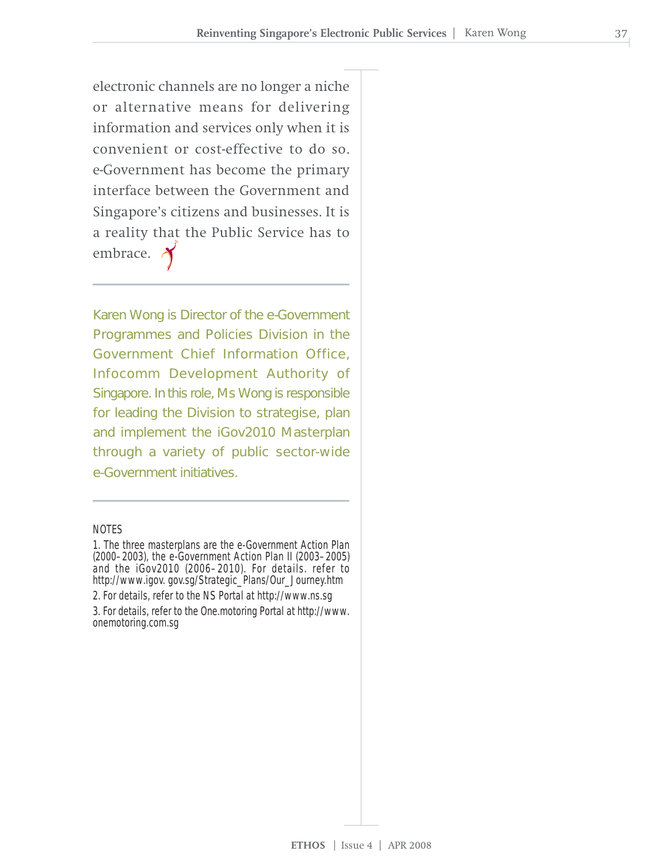electronic channels are no longer a niche or alternative means for delivering information and services only when it is convenient or cost-effective to do so. e-Government has become the primary interface between the Government and Singapore's citizens and businesses. It is a reality that the Public Service has to embrace.

Karen Wong is Director of the e-Government Programmes and Policies Division in the Government Chief Information Office, Infocomm Development Authority of Singapore. In this role, Ms Wong is responsible for leading the Division to strategise, plan and implement the iGov2010 Masterplan through a variety of public sector-wide e-Government initiatives.

#### NOTES

<sup>1.</sup> The three masterplans are the e-Government Action Plan (2000–2003), the e-Government Action Plan II (2003–2005) and the iGov2010 (2006–2010). For details. refer to http://www.igov. gov.sg/Strategic\_Plans/Our\_Journey.htm 2. For details, refer to the NS Portal at http://www.ns.sg

<sup>3.</sup> For details, refer to the One.motoring Portal at http://www. onemotoring.com.sg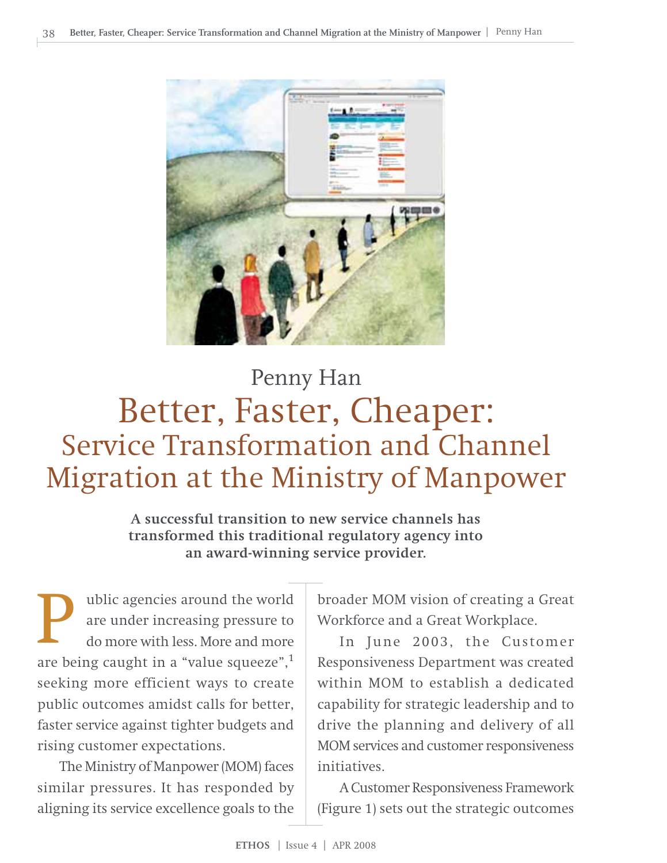

# Better, Faster, Cheaper: Service Transformation and Channel Migration at the Ministry of Manpower Penny Han

**A successful transition to new service channels has transformed this traditional regulatory agency into an award-winning service provider.**

ublic agencies around the world are under increasing pressure to do more with less. More and more **a** ublic agencies around the world<br>are under increasing pressure to<br>do more with less. More and more<br>are being caught in a "value squeeze",<sup>1</sup> seeking more efficient ways to create public outcomes amidst calls for better, faster service against tighter budgets and rising customer expectations.

The Ministry of Manpower (MOM) faces similar pressures. It has responded by aligning its service excellence goals to the

broader MOM vision of creating a Great Workforce and a Great Workplace.

In June 2003, the Customer Responsiveness Department was created within MOM to establish a dedicated capability for strategic leadership and to drive the planning and delivery of all MOM services and customer responsiveness initiatives.

A Customer Responsiveness Framework (Figure 1) sets out the strategic outcomes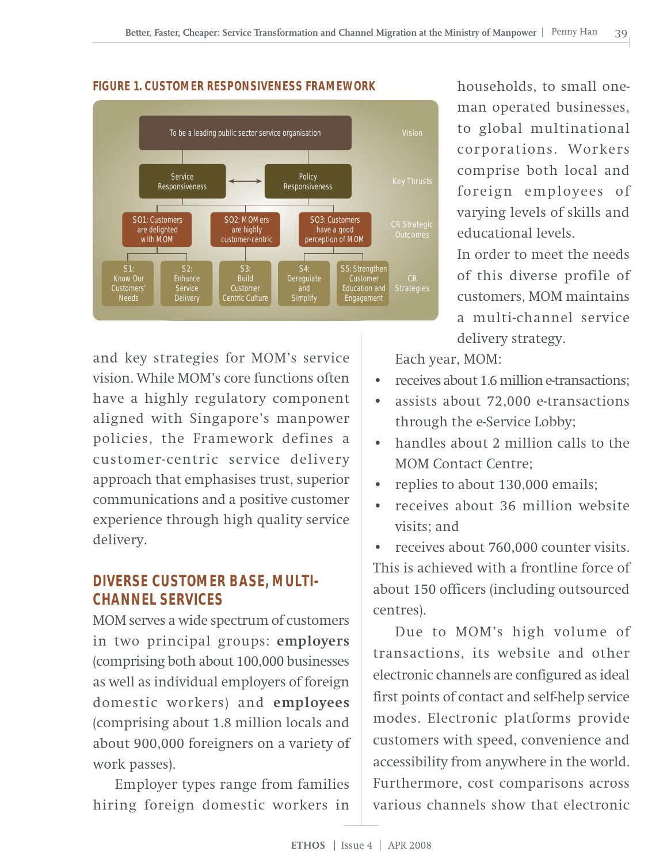

#### **FIGURE 1. CUSTOMER RESPONSIVENESS FRAMEWORK**

and key strategies for MOM's service vision. While MOM's core functions often have a highly regulatory component aligned with Singapore's manpower policies, the Framework defines a customer-centric service delivery approach that emphasises trust, superior communications and a positive customer experience through high quality service delivery.

#### **DIVERSE CUSTOMER BASE, MULTI-CHANNEL SERVICES**

MOM serves a wide spectrum of customers in two principal groups: **employers** (comprising both about 100,000 businesses as well as individual employers of foreign domestic workers) and **employees** (comprising about 1.8 million locals and about 900,000 foreigners on a variety of work passes).

Employer types range from families hiring foreign domestic workers in

households, to small oneman operated businesses, to global multinational corporations. Workers comprise both local and foreign employees of varying levels of skills and educational levels.

In order to meet the needs of this diverse profile of customers, MOM maintains a multi-channel service delivery strategy.

Each year, MOM:

- receives about 1.6 million e-transactions;
- assists about 72,000 e-transactions through the e-Service Lobby;
- handles about 2 million calls to the MOM Contact Centre;
- replies to about 130,000 emails;
- receives about 36 million website visits; and

• receives about 760,000 counter visits. This is achieved with a frontline force of about 150 officers (including outsourced centres).

Due to MOM's high volume of transactions, its website and other electronic channels are configured as ideal first points of contact and self-help service modes. Electronic platforms provide customers with speed, convenience and accessibility from anywhere in the world. Furthermore, cost comparisons across various channels show that electronic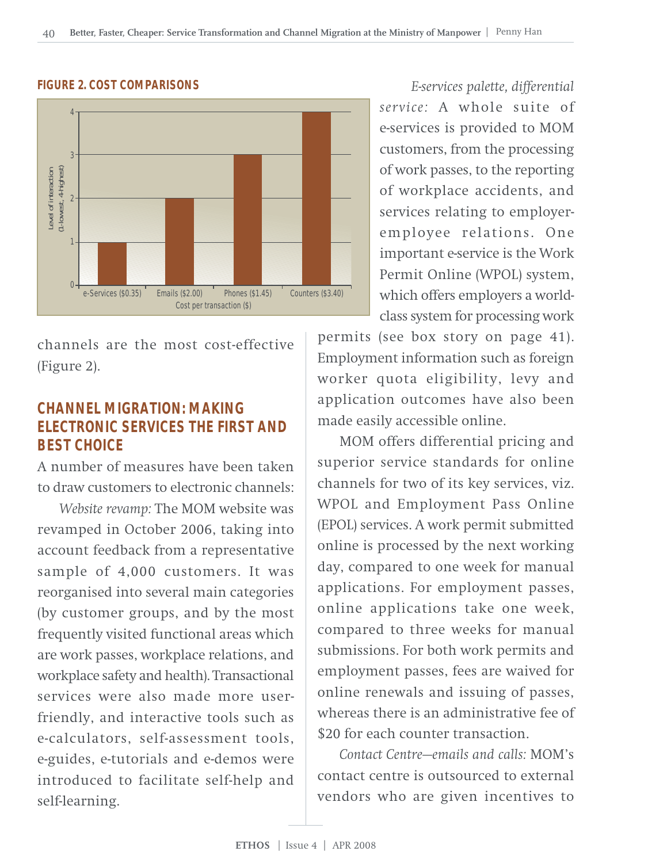

#### **FIGURE 2. COST COMPARISONS**

channels are the most cost-effective (Figure 2).

#### **CHANNEL MIGRATION: MAKING ELECTRONIC SERVICES THE FIRST AND BEST CHOICE**

A number of measures have been taken to draw customers to electronic channels:

*Website revamp:* The MOM website was revamped in October 2006, taking into account feedback from a representative sample of 4,000 customers. It was reorganised into several main categories (by customer groups, and by the most frequently visited functional areas which are work passes, workplace relations, and workplace safety and health). Transactional services were also made more userfriendly, and interactive tools such as e-calculators, self-assessment tools, e-guides, e-tutorials and e-demos were introduced to facilitate self-help and self-learning.

*E-services palette, differential service:* A whole suite of e-services is provided to MOM customers, from the processing of work passes, to the reporting of workplace accidents, and services relating to employeremployee relations. One important e-service is the Work Permit Online (WPOL) system, which offers employers a worldclass system for processing work

permits (see box story on page 41). Employment information such as foreign worker quota eligibility, levy and application outcomes have also been made easily accessible online.

MOM offers differential pricing and superior service standards for online channels for two of its key services, viz. WPOL and Employment Pass Online (EPOL) services. A work permit submitted online is processed by the next working day, compared to one week for manual applications. For employment passes, online applications take one week, compared to three weeks for manual submissions. For both work permits and employment passes, fees are waived for online renewals and issuing of passes, whereas there is an administrative fee of \$20 for each counter transaction.

*Contact Centre—emails and calls:* MOM's contact centre is outsourced to external vendors who are given incentives to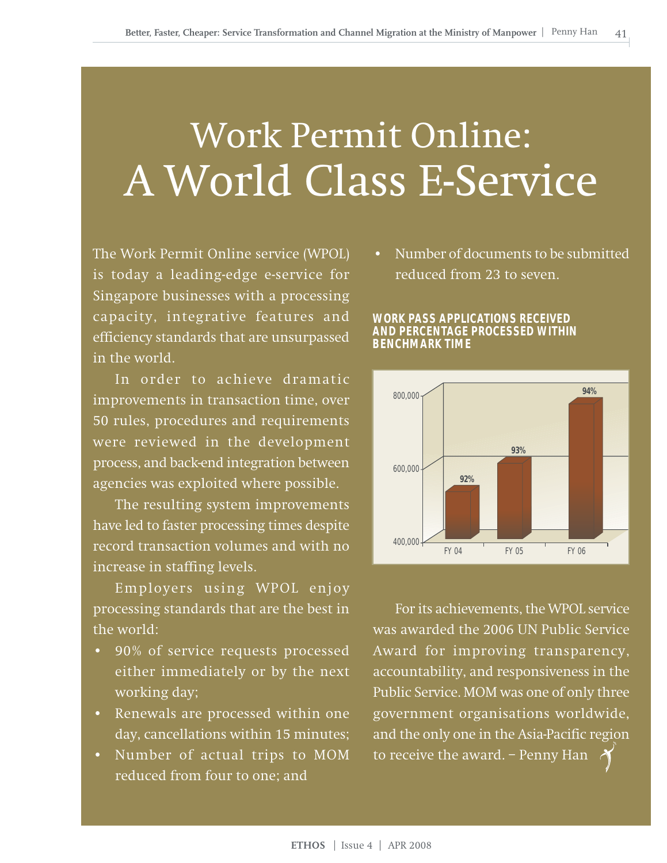# Work Permit Online: A World Class E-Service

The Work Permit Online service (WPOL) is today a leading-edge e-service for Singapore businesses with a processing capacity, integrative features and efficiency standards that are unsurpassed in the world.

In order to achieve dramatic improvements in transaction time, over 50 rules, procedures and requirements were reviewed in the development process, and back-end integration between agencies was exploited where possible.

The resulting system improvements have led to faster processing times despite record transaction volumes and with no increase in staffing levels.

Employers using WPOL enjoy processing standards that are the best in the world:

- 90% of service requests processed either immediately or by the next working day;
- Renewals are processed within one day, cancellations within 15 minutes;
- Number of actual trips to MOM reduced from four to one; and

• Number of documents to be submitted reduced from 23 to seven.





For its achievements, the WPOL service was awarded the 2006 UN Public Service Award for improving transparency, accountability, and responsiveness in the Public Service. MOM was one of only three government organisations worldwide, and the only one in the Asia-Pacific region to receive the award. – Penny Han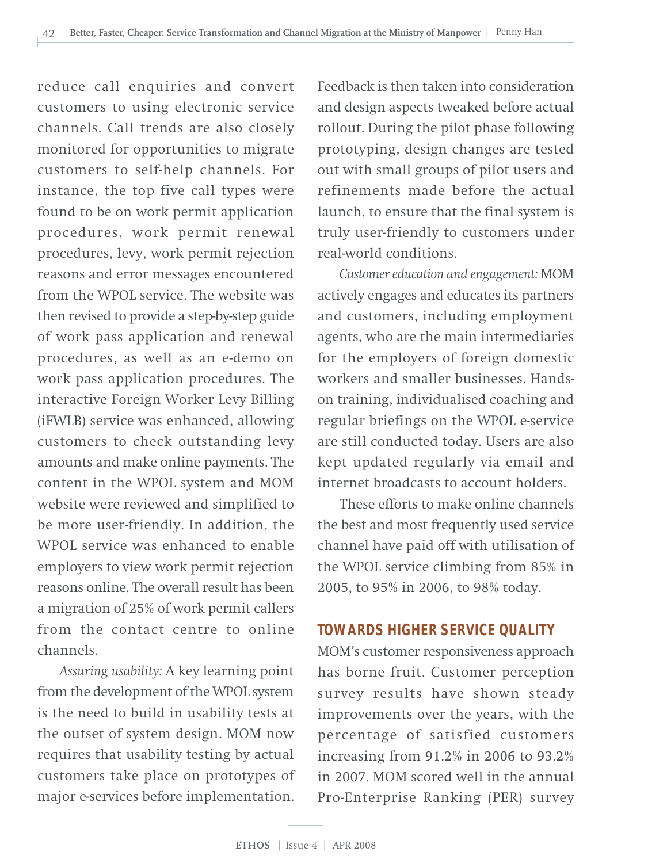reduce call enquiries and convert customers to using electronic service channels. Call trends are also closely monitored for opportunities to migrate customers to self-help channels. For instance, the top five call types were found to be on work permit application procedures, work permit renewal procedures, levy, work permit rejection reasons and error messages encountered from the WPOL service. The website was then revised to provide a step-by-step guide of work pass application and renewal procedures, as well as an e-demo on work pass application procedures. The interactive Foreign Worker Levy Billing (iFWLB) service was enhanced, allowing customers to check outstanding levy amounts and make online payments. The content in the WPOL system and MOM website were reviewed and simplified to be more user-friendly. In addition, the WPOL service was enhanced to enable employers to view work permit rejection reasons online. The overall result has been a migration of 25% of work permit callers from the contact centre to online channels.

*Assuring usability:* A key learning point from the development of the WPOL system is the need to build in usability tests at the outset of system design. MOM now requires that usability testing by actual customers take place on prototypes of major e-services before implementation.

Feedback is then taken into consideration and design aspects tweaked before actual rollout. During the pilot phase following prototyping, design changes are tested out with small groups of pilot users and refinements made before the actual launch, to ensure that the final system is truly user-friendly to customers under real-world conditions.

*Customer education and engagement:* MOM actively engages and educates its partners and customers, including employment agents, who are the main intermediaries for the employers of foreign domestic workers and smaller businesses. Handson training, individualised coaching and regular briefings on the WPOL e-service are still conducted today. Users are also kept updated regularly via email and internet broadcasts to account holders.

These efforts to make online channels the best and most frequently used service channel have paid off with utilisation of the WPOL service climbing from 85% in 2005, to 95% in 2006, to 98% today.

#### **TOWARDS HIGHER SERVICE QUALITY**

MOM's customer responsiveness approach has borne fruit. Customer perception survey results have shown steady improvements over the years, with the percentage of satisfied customers increasing from 91.2% in 2006 to 93.2% in 2007. MOM scored well in the annual Pro-Enterprise Ranking (PER) survey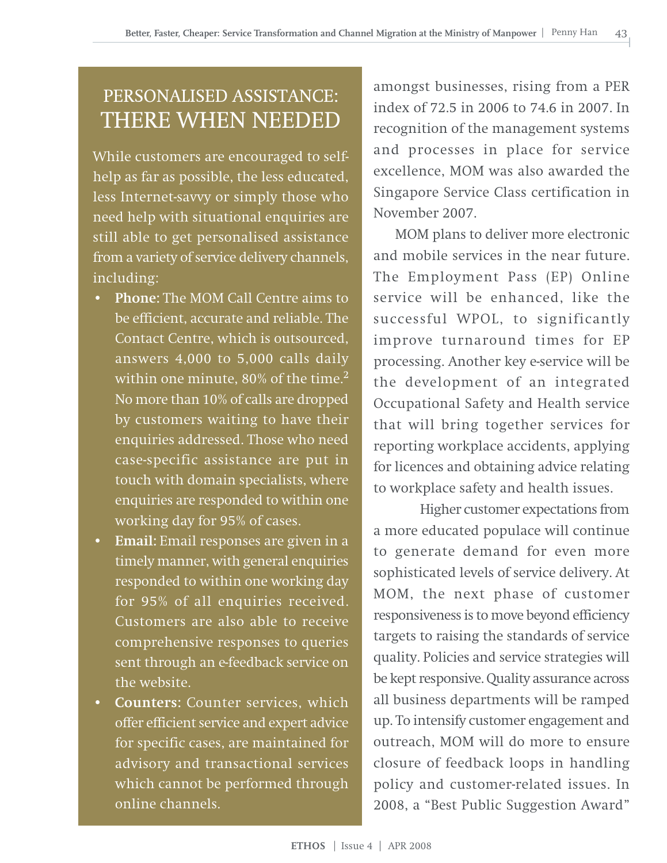### PERSONALISED ASSISTANCE: THERE WHEN NEEDED

While customers are encouraged to selfhelp as far as possible, the less educated, less Internet-savvy or simply those who need help with situational enquiries are still able to get personalised assistance from a variety of service delivery channels, including:

- **Phone:** The MOM Call Centre aims to be efficient, accurate and reliable. The Contact Centre, which is outsourced, answers 4,000 to 5,000 calls daily within one minute,  $80\%$  of the time.<sup>2</sup> No more than 10% of calls are dropped by customers waiting to have their enquiries addressed. Those who need case-specific assistance are put in touch with domain specialists, where enquiries are responded to within one working day for 95% of cases.
- **Email:** Email responses are given in a timely manner, with general enquiries responded to within one working day for 95% of all enquiries received. Customers are also able to receive comprehensive responses to queries sent through an e-feedback service on the website.
- **Counters:** Counter services, which offer efficient service and expert advice for specific cases, are maintained for advisory and transactional services which cannot be performed through online channels.

amongst businesses, rising from a PER index of 72.5 in 2006 to 74.6 in 2007. In recognition of the management systems and processes in place for service excellence, MOM was also awarded the Singapore Service Class certification in November 2007.

MOM plans to deliver more electronic and mobile services in the near future. The Employment Pass (EP) Online service will be enhanced, like the successful WPOL, to significantly improve turnaround times for EP processing. Another key e-service will be the development of an integrated Occupational Safety and Health service that will bring together services for reporting workplace accidents, applying for licences and obtaining advice relating to workplace safety and health issues.

Higher customer expectations from a more educated populace will continue to generate demand for even more sophisticated levels of service delivery. At MOM, the next phase of customer responsiveness is to move beyond efficiency targets to raising the standards of service quality. Policies and service strategies will be kept responsive. Quality assurance across all business departments will be ramped up. To intensify customer engagement and outreach, MOM will do more to ensure closure of feedback loops in handling policy and customer-related issues. In 2008, a "Best Public Suggestion Award"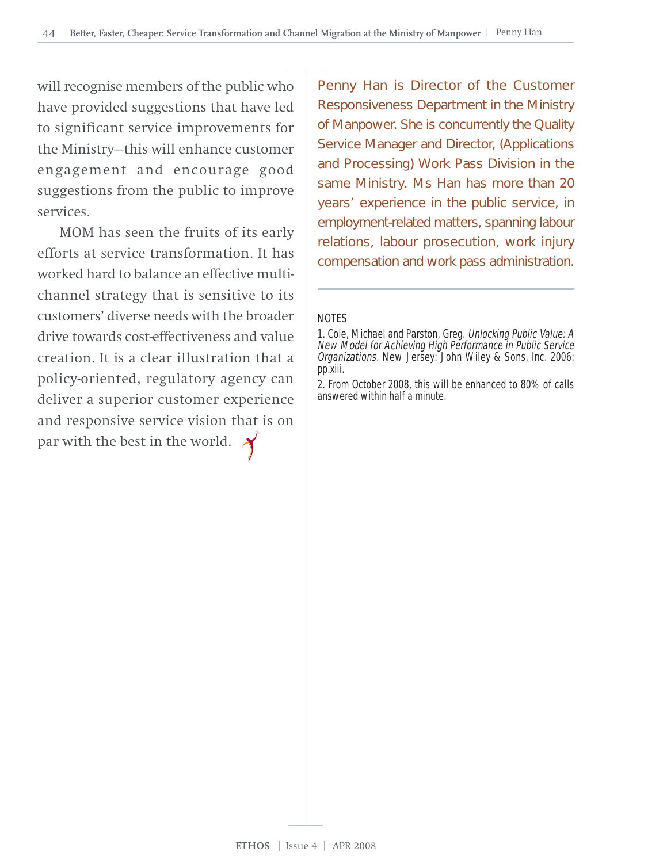will recognise members of the public who have provided suggestions that have led to significant service improvements for the Ministry—this will enhance customer engagement and encourage good suggestions from the public to improve services.

MOM has seen the fruits of its early efforts at service transformation. It has worked hard to balance an effective multichannel strategy that is sensitive to its customers' diverse needs with the broader drive towards cost-effectiveness and value creation. It is a clear illustration that a policy-oriented, regulatory agency can deliver a superior customer experience and responsive service vision that is on par with the best in the world.  $\lambda$ 

Penny Han is Director of the Customer Responsiveness Department in the Ministry of Manpower. She is concurrently the Quality Service Manager and Director, (Applications and Processing) Work Pass Division in the same Ministry. Ms Han has more than 20 years' experience in the public service, in employment-related matters, spanning labour relations, labour prosecution, work injury compensation and work pass administration.

#### NOTES

2. From October 2008, this will be enhanced to 80% of calls answered within half a minute.

<sup>1.</sup> Cole, Michael and Parston, Greg. Unlocking Public Value: A New Model for Achieving High Performance in Public Service Organizations. New Jersey: John Wiley & Sons, Inc. 2006: pp.xiii.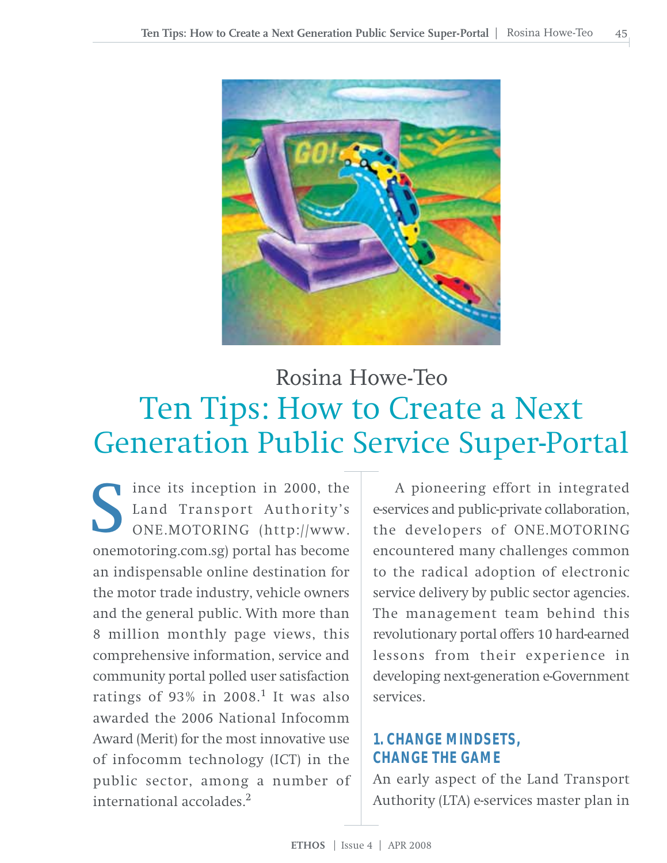

# Ten Tips: How to Create a Next Generation Public Service Super-Portal Rosina Howe-Teo

ince its inception in 2000, the Land Transport Authority's ONE.MOTORING (http://www. Since its inception in 2000, the<br>Land Transport Authority's<br>ONE.MOTORING (http://www.<br>onemotoring.com.sg) portal has become an indispensable online destination for the motor trade industry, vehicle owners and the general public. With more than 8 million monthly page views, this comprehensive information, service and community portal polled user satisfaction ratings of 93% in 2008.<sup>1</sup> It was also awarded the 2006 National Infocomm Award (Merit) for the most innovative use of infocomm technology (ICT) in the public sector, among a number of international accolades<sup>2</sup>

A pioneering effort in integrated e-services and public-private collaboration, the developers of ONE.MOTORING encountered many challenges common to the radical adoption of electronic service delivery by public sector agencies. The management team behind this revolutionary portal offers 10 hard-earned lessons from their experience in developing next-generation e-Government services.

### **1. CHANGE MINDSETS, CHANGE THE GAME**

An early aspect of the Land Transport Authority (LTA) e-services master plan in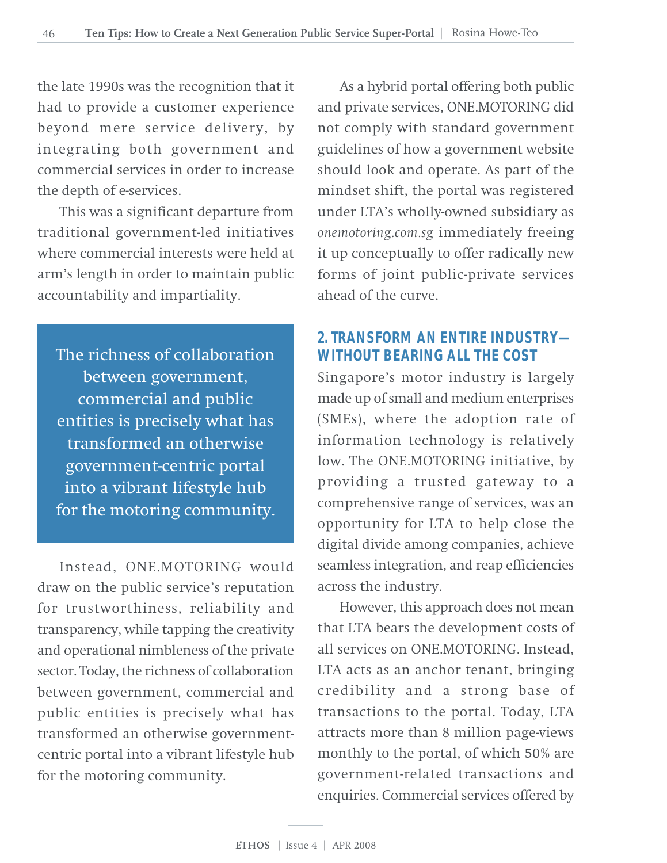the late 1990s was the recognition that it had to provide a customer experience beyond mere service delivery, by integrating both government and commercial services in order to increase the depth of e-services.

This was a significant departure from traditional government-led initiatives where commercial interests were held at arm's length in order to maintain public accountability and impartiality.

The richness of collaboration between government, commercial and public entities is precisely what has transformed an otherwise government-centric portal into a vibrant lifestyle hub for the motoring community.

Instead, ONE.MOTORING would draw on the public service's reputation for trustworthiness, reliability and transparency, while tapping the creativity and operational nimbleness of the private sector. Today, the richness of collaboration between government, commercial and public entities is precisely what has transformed an otherwise governmentcentric portal into a vibrant lifestyle hub for the motoring community.

As a hybrid portal offering both public and private services, ONE.MOTORING did not comply with standard government guidelines of how a government website should look and operate. As part of the mindset shift, the portal was registered under LTA's wholly-owned subsidiary as *onemotoring.com.sg* immediately freeing it up conceptually to offer radically new forms of joint public-private services ahead of the curve.

### **2. TRANSFORM AN ENTIRE INDUSTRY— WITHOUT BEARING ALL THE COST**

Singapore's motor industry is largely made up of small and medium enterprises (SMEs), where the adoption rate of information technology is relatively low. The ONE.MOTORING initiative, by providing a trusted gateway to a comprehensive range of services, was an opportunity for LTA to help close the digital divide among companies, achieve seamless integration, and reap efficiencies across the industry.

However, this approach does not mean that LTA bears the development costs of all services on ONE.MOTORING. Instead, LTA acts as an anchor tenant, bringing credibility and a strong base of transactions to the portal. Today, LTA attracts more than 8 million page-views monthly to the portal, of which 50% are government-related transactions and enquiries. Commercial services offered by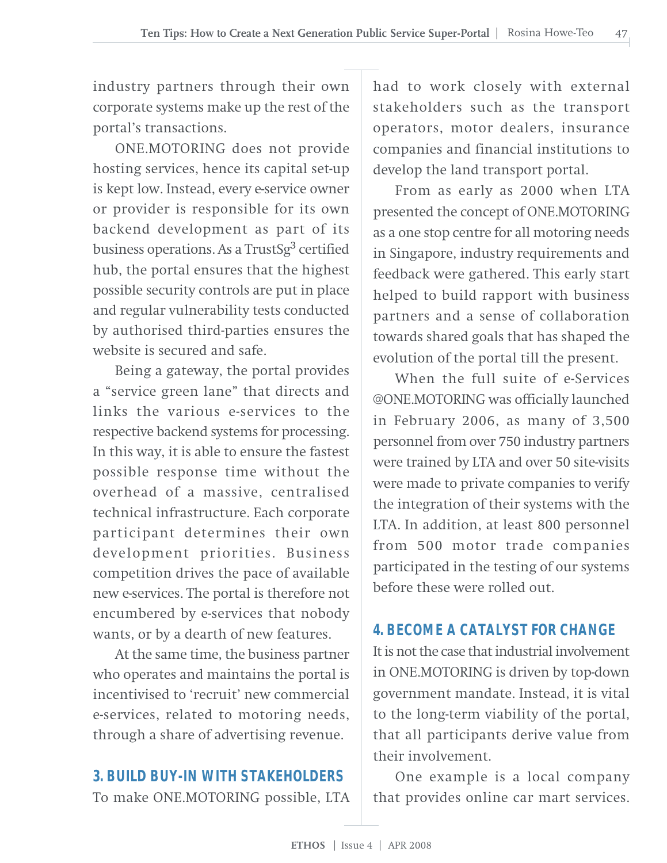industry partners through their own corporate systems make up the rest of the portal's transactions.

ONE.MOTORING does not provide hosting services, hence its capital set-up is kept low. Instead, every e-service owner or provider is responsible for its own backend development as part of its business operations. As a TrustSg<sup>3</sup> certified hub, the portal ensures that the highest possible security controls are put in place and regular vulnerability tests conducted by authorised third-parties ensures the website is secured and safe.

Being a gateway, the portal provides a "service green lane" that directs and links the various e-services to the respective backend systems for processing. In this way, it is able to ensure the fastest possible response time without the overhead of a massive, centralised technical infrastructure. Each corporate participant determines their own development priorities. Business competition drives the pace of available new e-services. The portal is therefore not encumbered by e-services that nobody wants, or by a dearth of new features.

At the same time, the business partner who operates and maintains the portal is incentivised to 'recruit' new commercial e-services, related to motoring needs, through a share of advertising revenue.

#### **3. BUILD BUY-IN WITH STAKEHOLDERS**

To make ONE.MOTORING possible, LTA

had to work closely with external stakeholders such as the transport operators, motor dealers, insurance companies and financial institutions to develop the land transport portal.

From as early as 2000 when LTA presented the concept of ONE.MOTORING as a one stop centre for all motoring needs in Singapore, industry requirements and feedback were gathered. This early start helped to build rapport with business partners and a sense of collaboration towards shared goals that has shaped the evolution of the portal till the present.

When the full suite of e-Services @ONE.MOTORING was officially launched in February 2006, as many of 3,500 personnel from over 750 industry partners were trained by LTA and over 50 site-visits were made to private companies to verify the integration of their systems with the LTA. In addition, at least 800 personnel from 500 motor trade companies participated in the testing of our systems before these were rolled out.

#### **4. BECOME A CATALYST FOR CHANGE**

It is not the case that industrial involvement in ONE.MOTORING is driven by top-down government mandate. Instead, it is vital to the long-term viability of the portal, that all participants derive value from their involvement.

One example is a local company that provides online car mart services.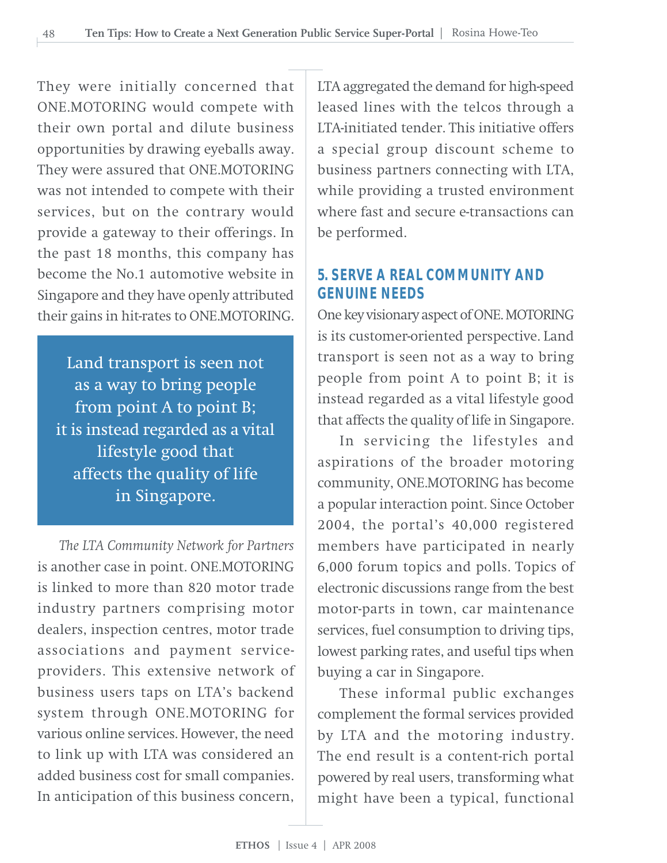They were initially concerned that ONE.MOTORING would compete with their own portal and dilute business opportunities by drawing eyeballs away. They were assured that ONE.MOTORING was not intended to compete with their services, but on the contrary would provide a gateway to their offerings. In the past 18 months, this company has become the No.1 automotive website in Singapore and they have openly attributed their gains in hit-rates to ONE.MOTORING.

Land transport is seen not as a way to bring people from point A to point B; it is instead regarded as a vital lifestyle good that affects the quality of life in Singapore.

*The LTA Community Network for Partners* is another case in point. ONE.MOTORING is linked to more than 820 motor trade industry partners comprising motor dealers, inspection centres, motor trade associations and payment serviceproviders. This extensive network of business users taps on LTA's backend system through ONE.MOTORING for various online services. However, the need to link up with LTA was considered an added business cost for small companies. In anticipation of this business concern,

LTA aggregated the demand for high-speed leased lines with the telcos through a LTA-initiated tender. This initiative offers a special group discount scheme to business partners connecting with LTA, while providing a trusted environment where fast and secure e-transactions can be performed.

### **5. SERVE A REAL COMMUNITY AND GENUINE NEEDS**

One key visionary aspect of ONE. MOTORING is its customer-oriented perspective. Land transport is seen not as a way to bring people from point A to point B; it is instead regarded as a vital lifestyle good that affects the quality of life in Singapore.

In servicing the lifestyles and aspirations of the broader motoring community, ONE.MOTORING has become a popular interaction point. Since October 2004, the portal's 40,000 registered members have participated in nearly 6,000 forum topics and polls. Topics of electronic discussions range from the best motor-parts in town, car maintenance services, fuel consumption to driving tips, lowest parking rates, and useful tips when buying a car in Singapore.

These informal public exchanges complement the formal services provided by LTA and the motoring industry. The end result is a content-rich portal powered by real users, transforming what might have been a typical, functional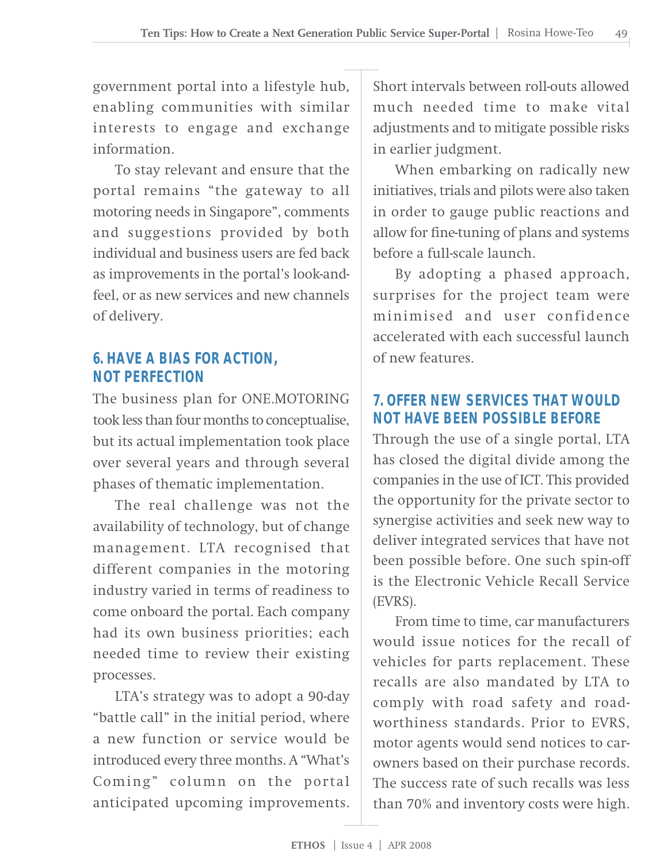government portal into a lifestyle hub, enabling communities with similar interests to engage and exchange information.

To stay relevant and ensure that the portal remains "the gateway to all motoring needs in Singapore", comments and suggestions provided by both individual and business users are fed back as improvements in the portal's look-andfeel, or as new services and new channels of delivery.

### **6. HAVE A BIAS FOR ACTION, NOT PERFECTION**

The business plan for ONE.MOTORING took less than four months to conceptualise, but its actual implementation took place over several years and through several phases of thematic implementation.

The real challenge was not the availability of technology, but of change management. LTA recognised that different companies in the motoring industry varied in terms of readiness to come onboard the portal. Each company had its own business priorities; each needed time to review their existing processes.

LTA's strategy was to adopt a 90-day "battle call" in the initial period, where a new function or service would be introduced every three months. A "What's Coming" column on the portal anticipated upcoming improvements.

Short intervals between roll-outs allowed much needed time to make vital adjustments and to mitigate possible risks in earlier judgment.

When embarking on radically new initiatives, trials and pilots were also taken in order to gauge public reactions and allow for fine-tuning of plans and systems before a full-scale launch.

By adopting a phased approach, surprises for the project team were minimised and user confidence accelerated with each successful launch of new features.

### **7. OFFER NEW SERVICES THAT WOULD NOT HAVE BEEN POSSIBLE BEFORE**

Through the use of a single portal, LTA has closed the digital divide among the companies in the use of ICT. This provided the opportunity for the private sector to synergise activities and seek new way to deliver integrated services that have not been possible before. One such spin-off is the Electronic Vehicle Recall Service (EVRS).

From time to time, car manufacturers would issue notices for the recall of vehicles for parts replacement. These recalls are also mandated by LTA to comply with road safety and roadworthiness standards. Prior to EVRS, motor agents would send notices to carowners based on their purchase records. The success rate of such recalls was less than 70% and inventory costs were high.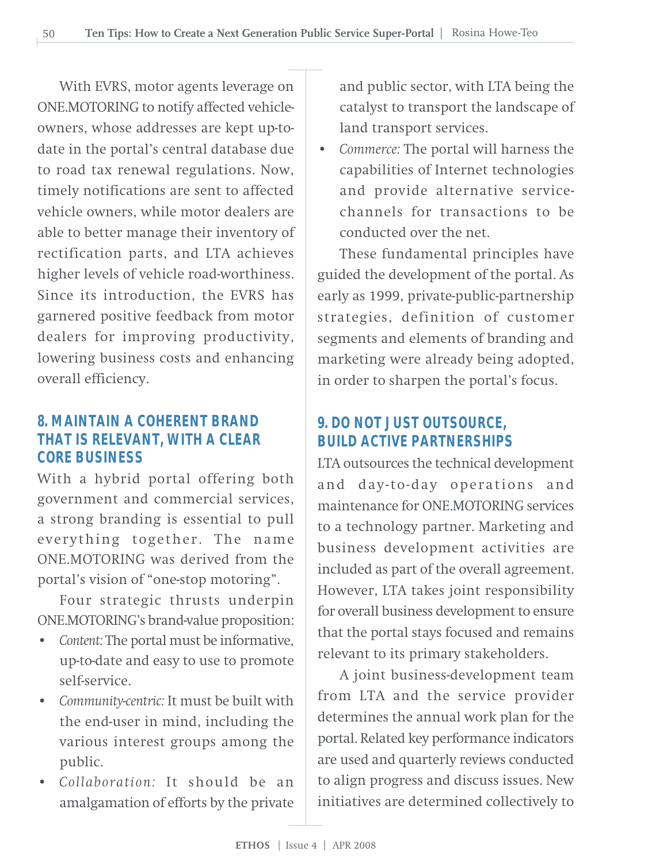With EVRS, motor agents leverage on ONE.MOTORING to notify affected vehicleowners, whose addresses are kept up-todate in the portal's central database due to road tax renewal regulations. Now, timely notifications are sent to affected vehicle owners, while motor dealers are able to better manage their inventory of rectification parts, and LTA achieves higher levels of vehicle road-worthiness. Since its introduction, the EVRS has garnered positive feedback from motor dealers for improving productivity, lowering business costs and enhancing overall efficiency.

### **8. MAINTAIN A COHERENT BRAND THAT IS RELEVANT, WITH A CLEAR CORE BUSINESS**

With a hybrid portal offering both government and commercial services, a strong branding is essential to pull everything together. The name ONE.MOTORING was derived from the portal's vision of "one-stop motoring".

Four strategic thrusts underpin ONE.MOTORING's brand-value proposition:

- *Content:* The portal must be informative, up-to-date and easy to use to promote self-service.
- *Community-centric:* It must be built with the end-user in mind, including the various interest groups among the public.
- *Collaboration:* It should be an amalgamation of efforts by the private

and public sector, with LTA being the catalyst to transport the landscape of land transport services.

• *Commerce:* The portal will harness the capabilities of Internet technologies and provide alternative servicechannels for transactions to be conducted over the net.

These fundamental principles have guided the development of the portal. As early as 1999, private-public-partnership strategies, definition of customer segments and elements of branding and marketing were already being adopted, in order to sharpen the portal's focus.

### **9. DO NOT JUST OUTSOURCE, BUILD ACTIVE PARTNERSHIPS**

LTA outsources the technical development and day-to-day operations and maintenance for ONE.MOTORING services to a technology partner. Marketing and business development activities are included as part of the overall agreement. However, LTA takes joint responsibility for overall business development to ensure that the portal stays focused and remains relevant to its primary stakeholders.

A joint business-development team from LTA and the service provider determines the annual work plan for the portal. Related key performance indicators are used and quarterly reviews conducted to align progress and discuss issues. New initiatives are determined collectively to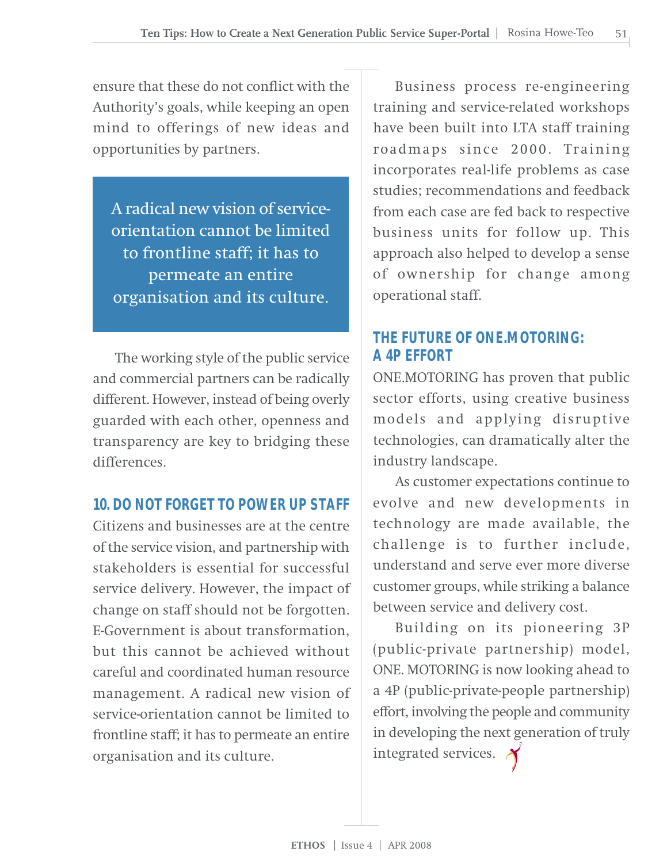ensure that these do not conflict with the Authority's goals, while keeping an open mind to offerings of new ideas and opportunities by partners.

A radical new vision of serviceorientation cannot be limited to frontline staff; it has to permeate an entire organisation and its culture.

The working style of the public service and commercial partners can be radically different. However, instead of being overly guarded with each other, openness and transparency are key to bridging these differences.

#### **10. DO NOT FORGET TO POWER UP STAFF**

Citizens and businesses are at the centre of the service vision, and partnership with stakeholders is essential for successful service delivery. However, the impact of change on staff should not be forgotten. E-Government is about transformation, but this cannot be achieved without careful and coordinated human resource management. A radical new vision of service-orientation cannot be limited to frontline staff; it has to permeate an entire organisation and its culture.

Business process re-engineering training and service-related workshops have been built into LTA staff training roadmaps since 2000. Training incorporates real-life problems as case studies; recommendations and feedback from each case are fed back to respective business units for follow up. This approach also helped to develop a sense of ownership for change among operational staff.

### **THE FUTURE OF ONE.MOTORING: A 4P EFFORT**

ONE.MOTORING has proven that public sector efforts, using creative business models and applying disruptive technologies, can dramatically alter the industry landscape.

As customer expectations continue to evolve and new developments in technology are made available, the challenge is to further include, understand and serve ever more diverse customer groups, while striking a balance between service and delivery cost.

Building on its pioneering 3P (public-private partnership) model, ONE. MOTORING is now looking ahead to a 4P (public-private-people partnership) effort, involving the people and community in developing the next generation of truly integrated services.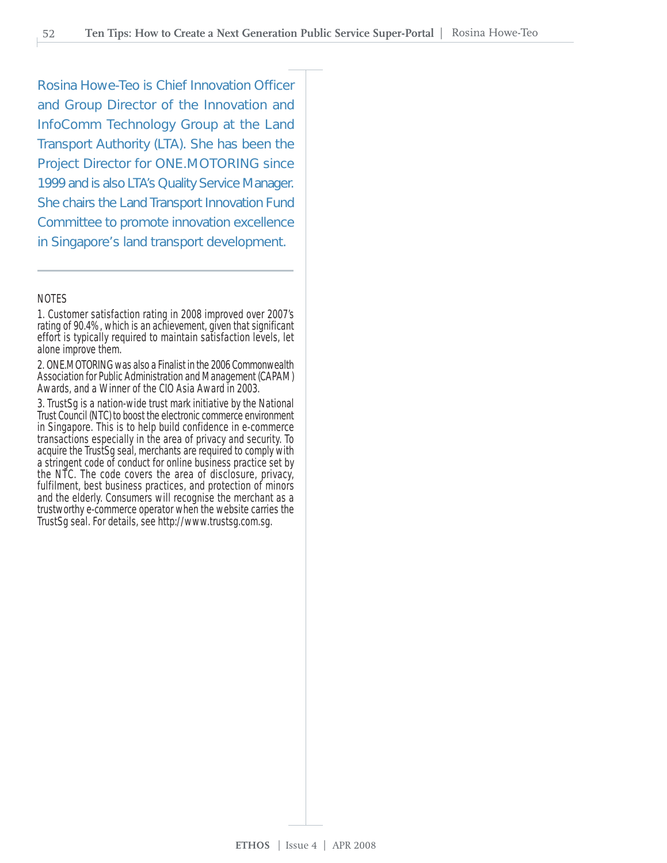Rosina Howe-Teo is Chief Innovation Officer and Group Director of the Innovation and InfoComm Technology Group at the Land Transport Authority (LTA). She has been the Project Director for ONE.MOTORING since 1999 and is also LTA's Quality Service Manager. She chairs the Land Transport Innovation Fund Committee to promote innovation excellence in Singapore's land transport development.

#### NOTES

1. Customer satisfaction rating in 2008 improved over 2007's rating of 90.4%, which is an achievement, given that significant effort is typically required to maintain satisfaction levels, let alone improve them.

2. ONE.MOTORING was also a Finalist in the 2006 Commonwealth Association for Public Administration and Management (CAPAM) Awards, and a Winner of the CIO Asia Award in 2003.

3. TrustSg is a nation-wide trust mark initiative by the National Trust Council (NTC) to boost the electronic commerce environment in Singapore. This is to help build confidence in e-commerce transactions especially in the area of privacy and security. To acquire the TrustSg seal, merchants are required to comply with a stringent code of conduct for online business practice set by the NTC. The code covers the area of disclosure, privacy, fulfilment, best business practices, and protection of minors and the elderly. Consumers will recognise the merchant as a trustworthy e-commerce operator when the website carries the TrustSg seal. For details, see http://www.trustsg.com.sg.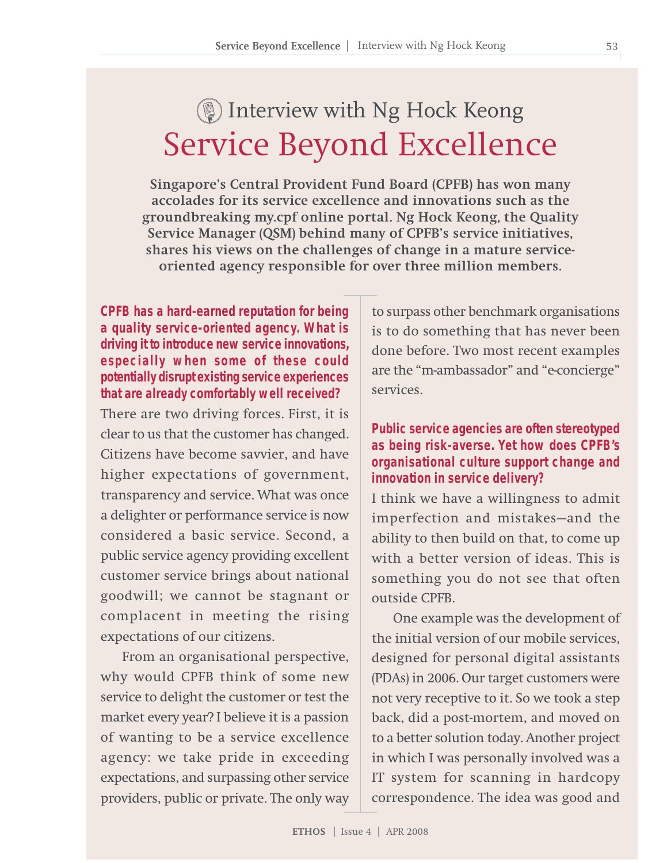# Service Beyond Excellence Interview with Ng Hock Keong

**Singapore's Central Provident Fund Board (CPFB) has won many accolades for its service excellence and innovations such as the groundbreaking my.cpf online portal. Ng Hock Keong, the Quality Service Manager (QSM) behind many of CPFB's service initiatives, shares his views on the challenges of change in a mature serviceoriented agency responsible for over three million members.**

**CPFB has a hard-earned reputation for being a quality service-oriented agency. What is driving it to introduce new service innovations, especially when some of these could potentially disrupt existing service experiences that are already comfortably well received?**

There are two driving forces. First, it is clear to us that the customer has changed. Citizens have become savvier, and have higher expectations of government, transparency and service. What was once a delighter or performance service is now considered a basic service. Second, a public service agency providing excellent customer service brings about national goodwill; we cannot be stagnant or complacent in meeting the rising expectations of our citizens.

From an organisational perspective, why would CPFB think of some new service to delight the customer or test the market every year? I believe it is a passion of wanting to be a service excellence agency: we take pride in exceeding expectations, and surpassing other service providers, public or private. The only way is to do something that has never been done before. Two most recent examples are the "m-ambassador" and "e-concierge" services.

to surpass other benchmark organisations

#### **Public service agencies are often stereotyped as being risk-averse. Yet how does CPFB's organisational culture support change and innovation in service delivery?**

I think we have a willingness to admit imperfection and mistakes—and the ability to then build on that, to come up with a better version of ideas. This is something you do not see that often outside CPFB.

One example was the development of the initial version of our mobile services, designed for personal digital assistants (PDAs) in 2006. Our target customers were not very receptive to it. So we took a step back, did a post-mortem, and moved on to a better solution today. Another project in which I was personally involved was a IT system for scanning in hardcopy correspondence. The idea was good and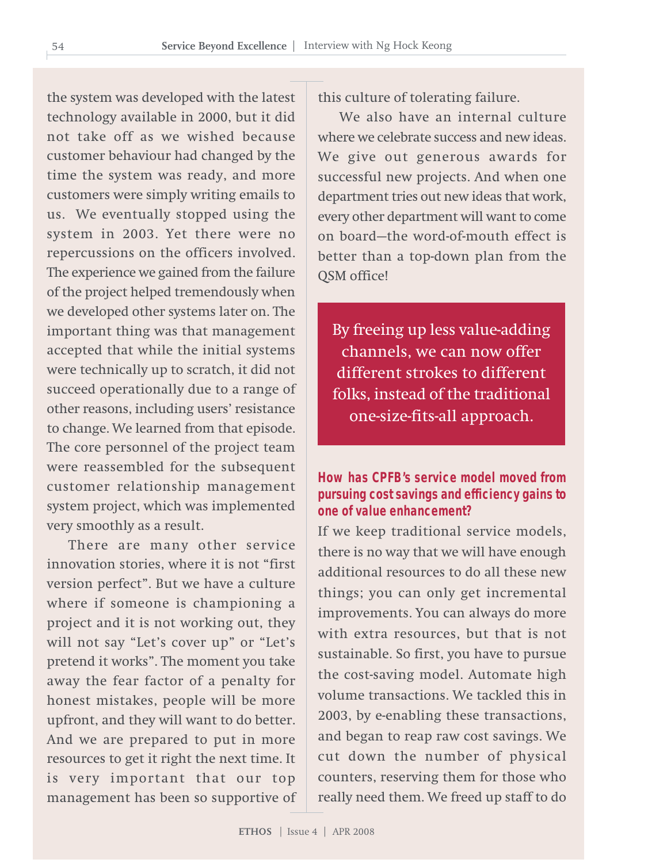the system was developed with the latest technology available in 2000, but it did not take off as we wished because customer behaviour had changed by the time the system was ready, and more customers were simply writing emails to us. We eventually stopped using the system in 2003. Yet there were no repercussions on the officers involved. The experience we gained from the failure of the project helped tremendously when we developed other systems later on. The important thing was that management accepted that while the initial systems were technically up to scratch, it did not succeed operationally due to a range of other reasons, including users' resistance to change. We learned from that episode. The core personnel of the project team were reassembled for the subsequent customer relationship management system project, which was implemented very smoothly as a result.

There are many other service innovation stories, where it is not "first version perfect". But we have a culture where if someone is championing a project and it is not working out, they will not say "Let's cover up" or "Let's pretend it works". The moment you take away the fear factor of a penalty for honest mistakes, people will be more upfront, and they will want to do better. And we are prepared to put in more resources to get it right the next time. It is very important that our top management has been so supportive of this culture of tolerating failure.

We also have an internal culture where we celebrate success and new ideas. We give out generous awards for successful new projects. And when one department tries out new ideas that work, every other department will want to come on board—the word-of-mouth effect is better than a top-down plan from the QSM office!

By freeing up less value-adding channels, we can now offer different strokes to different folks, instead of the traditional one-size-fits-all approach.

#### **How has CPFB's service model moved from pursuing cost savings and efficiency gains to one of value enhancement?**

If we keep traditional service models, there is no way that we will have enough additional resources to do all these new things; you can only get incremental improvements. You can always do more with extra resources, but that is not sustainable. So first, you have to pursue the cost-saving model. Automate high volume transactions. We tackled this in 2003, by e-enabling these transactions, and began to reap raw cost savings. We cut down the number of physical counters, reserving them for those who really need them. We freed up staff to do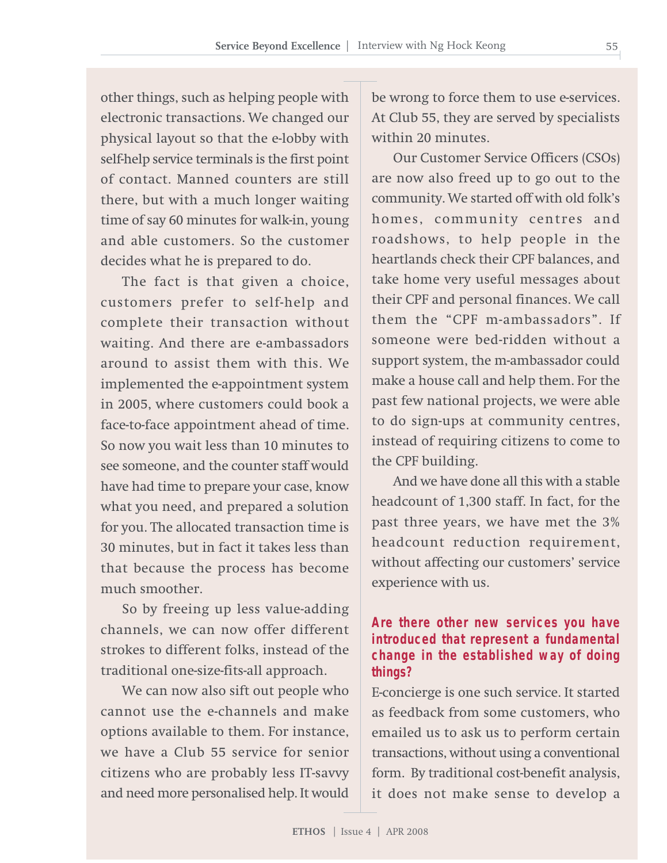other things, such as helping people with electronic transactions. We changed our physical layout so that the e-lobby with self-help service terminals is the first point of contact. Manned counters are still there, but with a much longer waiting time of say 60 minutes for walk-in, young and able customers. So the customer decides what he is prepared to do.

The fact is that given a choice, customers prefer to self-help and complete their transaction without waiting. And there are e-ambassadors around to assist them with this. We implemented the e-appointment system in 2005, where customers could book a face-to-face appointment ahead of time. So now you wait less than 10 minutes to see someone, and the counter staff would have had time to prepare your case, know what you need, and prepared a solution for you. The allocated transaction time is 30 minutes, but in fact it takes less than that because the process has become much smoother.

So by freeing up less value-adding channels, we can now offer different strokes to different folks, instead of the traditional one-size-fits-all approach.

We can now also sift out people who cannot use the e-channels and make options available to them. For instance, we have a Club 55 service for senior citizens who are probably less IT-savvy and need more personalised help. It would

be wrong to force them to use e-services. At Club 55, they are served by specialists within 20 minutes.

Our Customer Service Officers (CSOs) are now also freed up to go out to the community. We started off with old folk's homes, community centres and roadshows, to help people in the heartlands check their CPF balances, and take home very useful messages about their CPF and personal finances. We call them the "CPF m-ambassadors". If someone were bed-ridden without a support system, the m-ambassador could make a house call and help them. For the past few national projects, we were able to do sign-ups at community centres, instead of requiring citizens to come to the CPF building.

And we have done all this with a stable headcount of 1,300 staff. In fact, for the past three years, we have met the 3% headcount reduction requirement, without affecting our customers' service experience with us.

#### **Are there other new services you have introduced that represent a fundamental change in the established way of doing things?**

E-concierge is one such service. It started as feedback from some customers, who emailed us to ask us to perform certain transactions, without using a conventional form. By traditional cost-benefit analysis, it does not make sense to develop a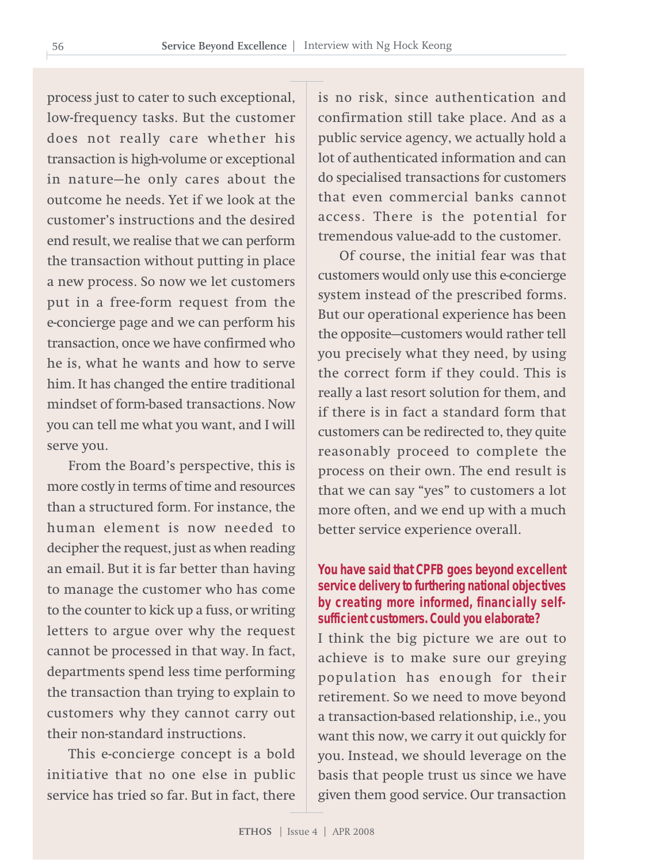process just to cater to such exceptional, low-frequency tasks. But the customer does not really care whether his transaction is high-volume or exceptional in nature—he only cares about the outcome he needs. Yet if we look at the customer's instructions and the desired end result, we realise that we can perform the transaction without putting in place a new process. So now we let customers put in a free-form request from the e-concierge page and we can perform his transaction, once we have confirmed who he is, what he wants and how to serve him. It has changed the entire traditional mindset of form-based transactions. Now you can tell me what you want, and I will serve you.

From the Board's perspective, this is more costly in terms of time and resources than a structured form. For instance, the human element is now needed to decipher the request, just as when reading an email. But it is far better than having to manage the customer who has come to the counter to kick up a fuss, or writing letters to argue over why the request cannot be processed in that way. In fact, departments spend less time performing the transaction than trying to explain to customers why they cannot carry out their non-standard instructions.

This e-concierge concept is a bold initiative that no one else in public service has tried so far. But in fact, there is no risk, since authentication and confirmation still take place. And as a public service agency, we actually hold a lot of authenticated information and can do specialised transactions for customers that even commercial banks cannot access. There is the potential for tremendous value-add to the customer.

Of course, the initial fear was that customers would only use this e-concierge system instead of the prescribed forms. But our operational experience has been the opposite—customers would rather tell you precisely what they need, by using the correct form if they could. This is really a last resort solution for them, and if there is in fact a standard form that customers can be redirected to, they quite reasonably proceed to complete the process on their own. The end result is that we can say "yes" to customers a lot more often, and we end up with a much better service experience overall.

#### **You have said that CPFB goes beyond excellent service delivery to furthering national objectives by creating more informed, financially selfsufficient customers. Could you elaborate?**

I think the big picture we are out to achieve is to make sure our greying population has enough for their retirement. So we need to move beyond a transaction-based relationship, i.e., you want this now, we carry it out quickly for you. Instead, we should leverage on the basis that people trust us since we have given them good service. Our transaction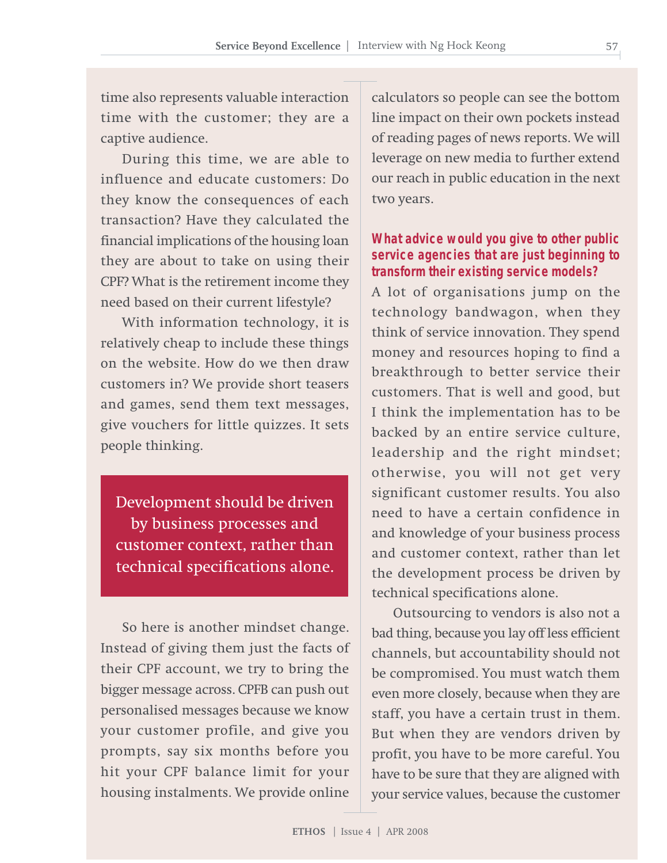time also represents valuable interaction time with the customer; they are a captive audience.

During this time, we are able to influence and educate customers: Do they know the consequences of each transaction? Have they calculated the financial implications of the housing loan they are about to take on using their CPF? What is the retirement income they need based on their current lifestyle?

With information technology, it is relatively cheap to include these things on the website. How do we then draw customers in? We provide short teasers and games, send them text messages, give vouchers for little quizzes. It sets people thinking.

Development should be driven by business processes and customer context, rather than technical specifications alone.

So here is another mindset change. Instead of giving them just the facts of their CPF account, we try to bring the bigger message across. CPFB can push out personalised messages because we know your customer profile, and give you prompts, say six months before you hit your CPF balance limit for your housing instalments. We provide online

calculators so people can see the bottom line impact on their own pockets instead of reading pages of news reports. We will leverage on new media to further extend our reach in public education in the next two years.

#### **What advice would you give to other public service agencies that are just beginning to transform their existing service models?**

A lot of organisations jump on the technology bandwagon, when they think of service innovation. They spend money and resources hoping to find a breakthrough to better service their customers. That is well and good, but I think the implementation has to be backed by an entire service culture, leadership and the right mindset; otherwise, you will not get very significant customer results. You also need to have a certain confidence in and knowledge of your business process and customer context, rather than let the development process be driven by technical specifications alone.

Outsourcing to vendors is also not a bad thing, because you lay off less efficient channels, but accountability should not be compromised. You must watch them even more closely, because when they are staff, you have a certain trust in them. But when they are vendors driven by profit, you have to be more careful. You have to be sure that they are aligned with your service values, because the customer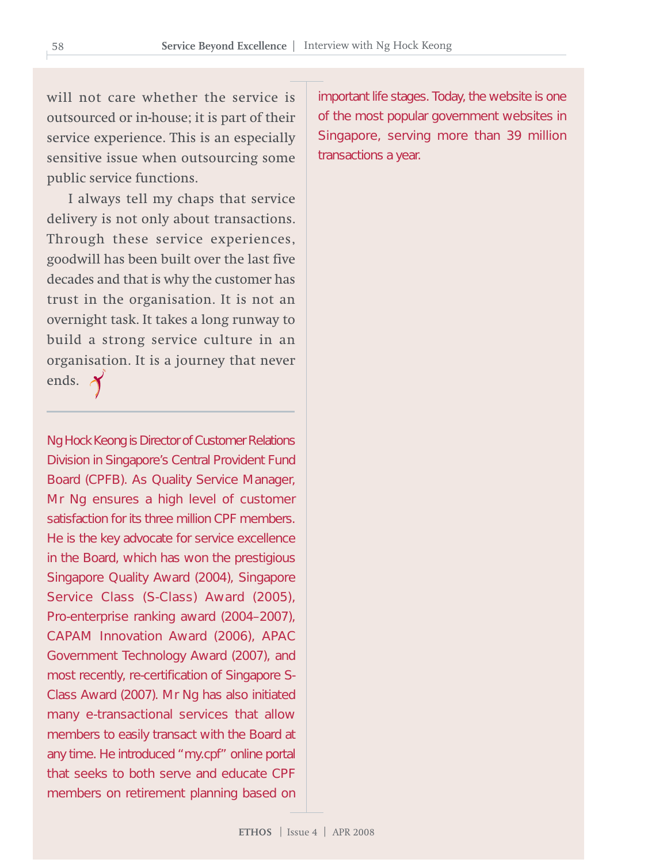will not care whether the service is outsourced or in-house; it is part of their service experience. This is an especially sensitive issue when outsourcing some public service functions.

I always tell my chaps that service delivery is not only about transactions. Through these service experiences, goodwill has been built over the last five decades and that is why the customer has trust in the organisation. It is not an overnight task. It takes a long runway to build a strong service culture in an organisation. It is a journey that never ends.  $\lambda$ 

Ng Hock Keong is Director of Customer Relations Division in Singapore's Central Provident Fund Board (CPFB). As Quality Service Manager, Mr Ng ensures a high level of customer satisfaction for its three million CPF members. He is the key advocate for service excellence in the Board, which has won the prestigious Singapore Quality Award (2004), Singapore Service Class (S-Class) Award (2005), Pro-enterprise ranking award (2004–2007), CAPAM Innovation Award (2006), APAC Government Technology Award (2007), and most recently, re-certification of Singapore S-Class Award (2007). Mr Ng has also initiated many e-transactional services that allow members to easily transact with the Board at any time. He introduced "my.cpf" online portal that seeks to both serve and educate CPF members on retirement planning based on

important life stages. Today, the website is one of the most popular government websites in Singapore, serving more than 39 million transactions a year.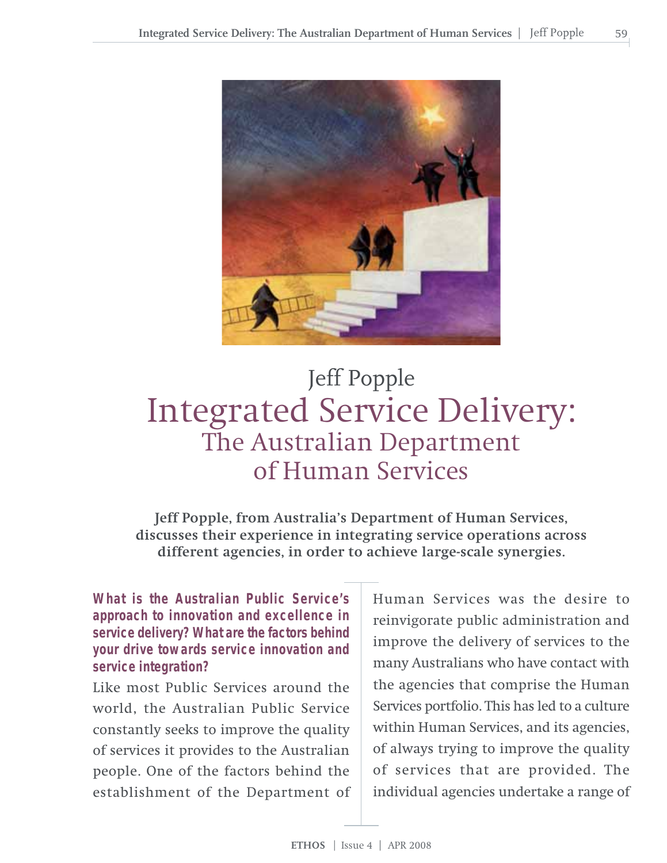

# Integrated Service Delivery: The Australian Department of Human Services Jeff Popple

**Jeff Popple, from Australia's Department of Human Services, discusses their experience in integrating service operations across different agencies, in order to achieve large-scale synergies.**

**What is the Australian Public Service's approach to innovation and excellence in service delivery? What are the factors behind your drive towards service innovation and service integration?**

Like most Public Services around the world, the Australian Public Service constantly seeks to improve the quality of services it provides to the Australian people. One of the factors behind the establishment of the Department of

Human Services was the desire to reinvigorate public administration and improve the delivery of services to the many Australians who have contact with the agencies that comprise the Human Services portfolio. This has led to a culture within Human Services, and its agencies, of always trying to improve the quality of services that are provided. The individual agencies undertake a range of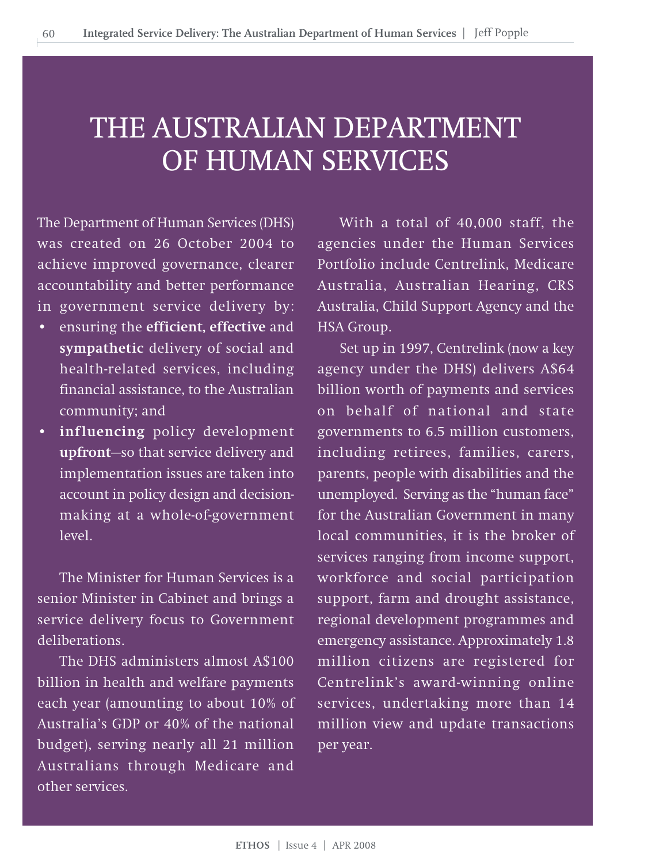# THE AUSTRALIAN DEPARTMENT OF HUMAN SERVICES

The Department of Human Services (DHS) was created on 26 October 2004 to achieve improved governance, clearer accountability and better performance in government service delivery by:

- ensuring the **efficient, effective** and **sympathetic** delivery of social and health-related services, including financial assistance, to the Australian community; and
- **influencing** policy development **upfront**—so that service delivery and implementation issues are taken into account in policy design and decisionmaking at a whole-of-government level.

The Minister for Human Services is a senior Minister in Cabinet and brings a service delivery focus to Government deliberations.

The DHS administers almost A\$100 billion in health and welfare payments each year (amounting to about 10% of Australia's GDP or 40% of the national budget), serving nearly all 21 million Australians through Medicare and other services.

With a total of 40,000 staff, the agencies under the Human Services Portfolio include Centrelink, Medicare Australia, Australian Hearing, CRS Australia, Child Support Agency and the HSA Group.

Set up in 1997, Centrelink (now a key agency under the DHS) delivers A\$64 billion worth of payments and services on behalf of national and state governments to 6.5 million customers, including retirees, families, carers, parents, people with disabilities and the unemployed. Serving as the "human face" for the Australian Government in many local communities, it is the broker of services ranging from income support, workforce and social participation support, farm and drought assistance, regional development programmes and emergency assistance. Approximately 1.8 million citizens are registered for Centrelink's award-winning online services, undertaking more than 14 million view and update transactions per year.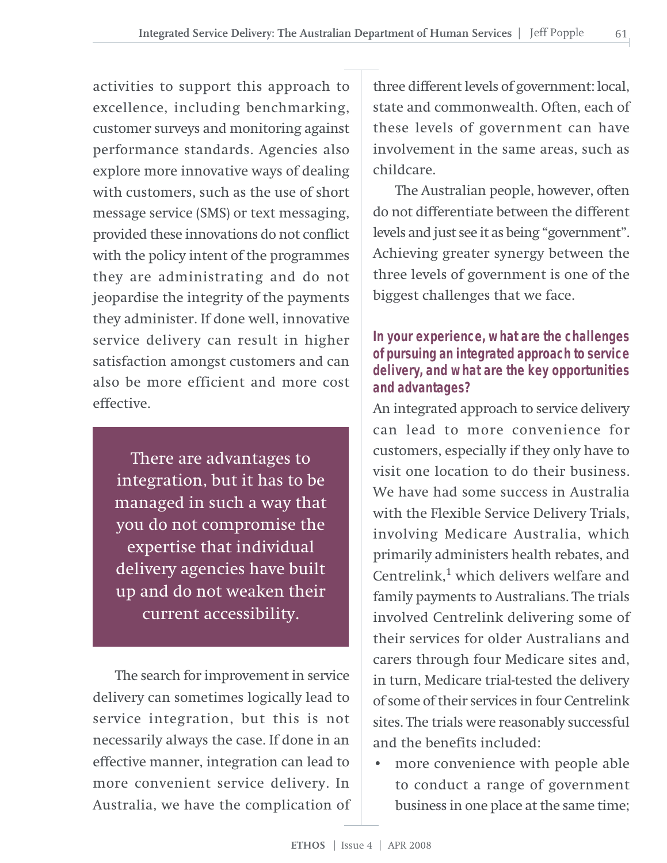activities to support this approach to excellence, including benchmarking, customer surveys and monitoring against performance standards. Agencies also explore more innovative ways of dealing with customers, such as the use of short message service (SMS) or text messaging, provided these innovations do not conflict with the policy intent of the programmes they are administrating and do not jeopardise the integrity of the payments they administer. If done well, innovative service delivery can result in higher satisfaction amongst customers and can also be more efficient and more cost effective.

There are advantages to integration, but it has to be managed in such a way that you do not compromise the expertise that individual delivery agencies have built up and do not weaken their current accessibility.

The search for improvement in service delivery can sometimes logically lead to service integration, but this is not necessarily always the case. If done in an effective manner, integration can lead to more convenient service delivery. In Australia, we have the complication of

three different levels of government: local, state and commonwealth. Often, each of these levels of government can have involvement in the same areas, such as childcare.

61

The Australian people, however, often do not differentiate between the different levels and just see it as being "government". Achieving greater synergy between the three levels of government is one of the biggest challenges that we face.

#### **In your experience, what are the challenges of pursuing an integrated approach to service delivery, and what are the key opportunities and advantages?**

An integrated approach to service delivery can lead to more convenience for customers, especially if they only have to visit one location to do their business. We have had some success in Australia with the Flexible Service Delivery Trials, involving Medicare Australia, which primarily administers health rebates, and Centrelink, $<sup>1</sup>$  which delivers welfare and</sup> family payments to Australians. The trials involved Centrelink delivering some of their services for older Australians and carers through four Medicare sites and, in turn, Medicare trial-tested the delivery of some of their services in four Centrelink sites. The trials were reasonably successful and the benefits included:

• more convenience with people able to conduct a range of government business in one place at the same time;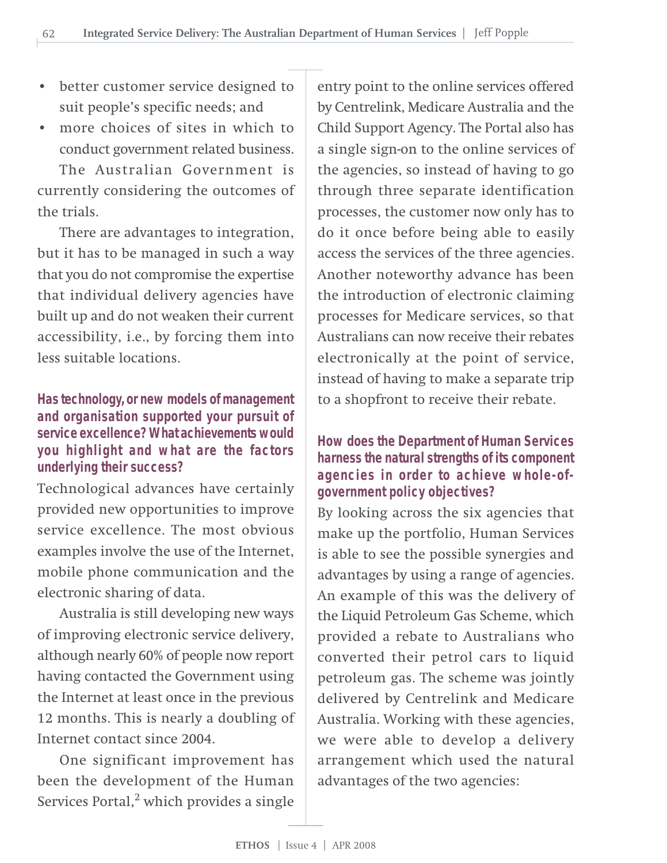- better customer service designed to suit people's specific needs; and
- more choices of sites in which to conduct government related business. The Australian Government is

currently considering the outcomes of the trials.

There are advantages to integration, but it has to be managed in such a way that you do not compromise the expertise that individual delivery agencies have built up and do not weaken their current accessibility, i.e., by forcing them into less suitable locations.

#### **Has technology, or new models of management and organisation supported your pursuit of service excellence? What achievements would you highlight and what are the factors underlying their success?**

Technological advances have certainly provided new opportunities to improve service excellence. The most obvious examples involve the use of the Internet, mobile phone communication and the electronic sharing of data.

Australia is still developing new ways of improving electronic service delivery, although nearly 60% of people now report having contacted the Government using the Internet at least once in the previous 12 months. This is nearly a doubling of Internet contact since 2004.

One significant improvement has been the development of the Human Services Portal, $^2$  which provides a single

entry point to the online services offered by Centrelink, Medicare Australia and the Child Support Agency. The Portal also has a single sign-on to the online services of the agencies, so instead of having to go through three separate identification processes, the customer now only has to do it once before being able to easily access the services of the three agencies. Another noteworthy advance has been the introduction of electronic claiming processes for Medicare services, so that Australians can now receive their rebates electronically at the point of service, instead of having to make a separate trip to a shopfront to receive their rebate.

#### **How does the Department of Human Services harness the natural strengths of its component agencies in order to achieve whole-ofgovernment policy objectives?**

By looking across the six agencies that make up the portfolio, Human Services is able to see the possible synergies and advantages by using a range of agencies. An example of this was the delivery of the Liquid Petroleum Gas Scheme, which provided a rebate to Australians who converted their petrol cars to liquid petroleum gas. The scheme was jointly delivered by Centrelink and Medicare Australia. Working with these agencies, we were able to develop a delivery arrangement which used the natural advantages of the two agencies: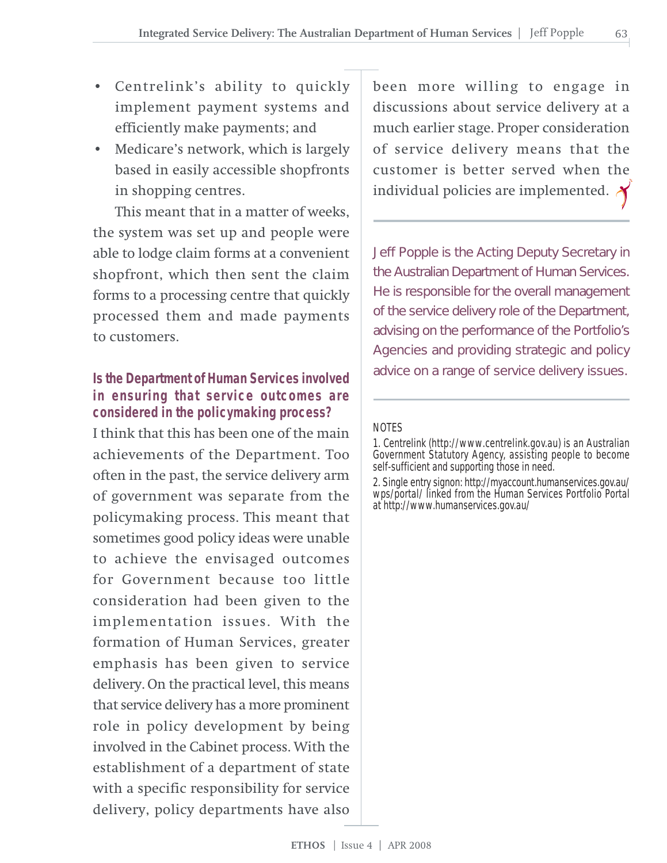- Centrelink's ability to quickly implement payment systems and efficiently make payments; and
- Medicare's network, which is largely based in easily accessible shopfronts in shopping centres.

This meant that in a matter of weeks, the system was set up and people were able to lodge claim forms at a convenient shopfront, which then sent the claim forms to a processing centre that quickly processed them and made payments to customers.

#### **Is the Department of Human Services involved in ensuring that service outcomes are considered in the policymaking process?**

I think that this has been one of the main achievements of the Department. Too often in the past, the service delivery arm of government was separate from the policymaking process. This meant that sometimes good policy ideas were unable to achieve the envisaged outcomes for Government because too little consideration had been given to the implementation issues. With the formation of Human Services, greater emphasis has been given to service delivery. On the practical level, this means that service delivery has a more prominent role in policy development by being involved in the Cabinet process. With the establishment of a department of state with a specific responsibility for service delivery, policy departments have also

been more willing to engage in discussions about service delivery at a much earlier stage. Proper consideration of service delivery means that the customer is better served when the individual policies are implemented.

Jeff Popple is the Acting Deputy Secretary in the Australian Department of Human Services. He is responsible for the overall management of the service delivery role of the Department, advising on the performance of the Portfolio's Agencies and providing strategic and policy advice on a range of service delivery issues.

#### NOTES

1. Centrelink (http://www.centrelink.gov.au) is an Australian Government Statutory Agency, assisting people to become self-sufficient and supporting those in need.

2. Single entry signon: http://myaccount.humanservices.gov.au/ wps/portal/ linked from the Human Services Portfolio Portal at http://www.humanservices.gov.au/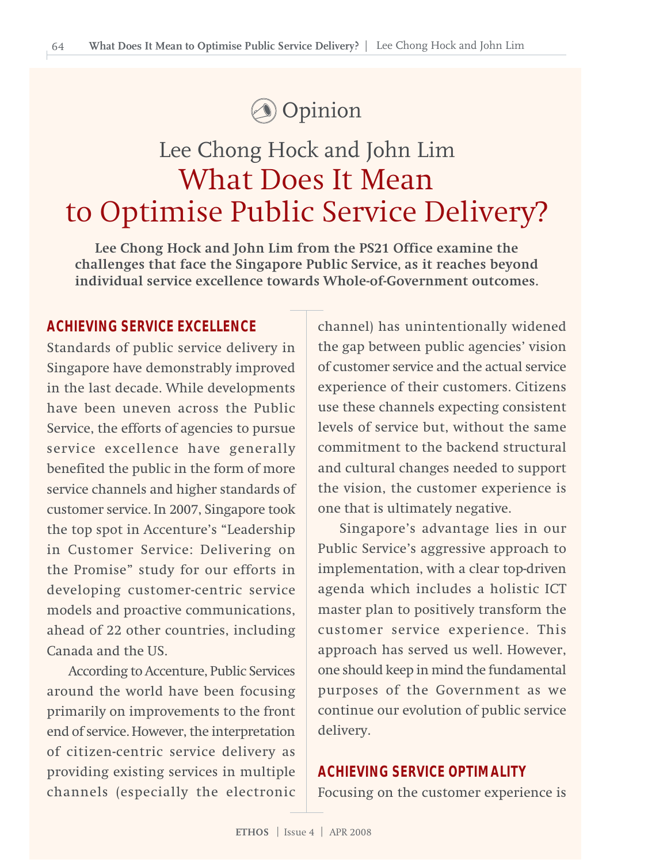

# Lee Chong Hock and John Lim What Does It Mean to Optimise Public Service Delivery?

**Lee Chong Hock and John Lim from the PS21 Office examine the challenges that face the Singapore Public Service, as it reaches beyond individual service excellence towards Whole-of-Government outcomes.**

#### **ACHIEVING SERVICE EXCELLENCE**

Standards of public service delivery in Singapore have demonstrably improved in the last decade. While developments have been uneven across the Public Service, the efforts of agencies to pursue service excellence have generally benefited the public in the form of more service channels and higher standards of customer service. In 2007, Singapore took the top spot in Accenture's "Leadership in Customer Service: Delivering on the Promise" study for our efforts in developing customer-centric service models and proactive communications, ahead of 22 other countries, including Canada and the US.

According to Accenture, Public Services around the world have been focusing primarily on improvements to the front end of service. However, the interpretation of citizen-centric service delivery as providing existing services in multiple channels (especially the electronic

channel) has unintentionally widened the gap between public agencies' vision of customer service and the actual service experience of their customers. Citizens use these channels expecting consistent levels of service but, without the same commitment to the backend structural and cultural changes needed to support the vision, the customer experience is one that is ultimately negative.

Singapore's advantage lies in our Public Service's aggressive approach to implementation, with a clear top-driven agenda which includes a holistic ICT master plan to positively transform the customer service experience. This approach has served us well. However, one should keep in mind the fundamental purposes of the Government as we continue our evolution of public service delivery.

#### **ACHIEVING SERVICE OPTIMALITY**

Focusing on the customer experience is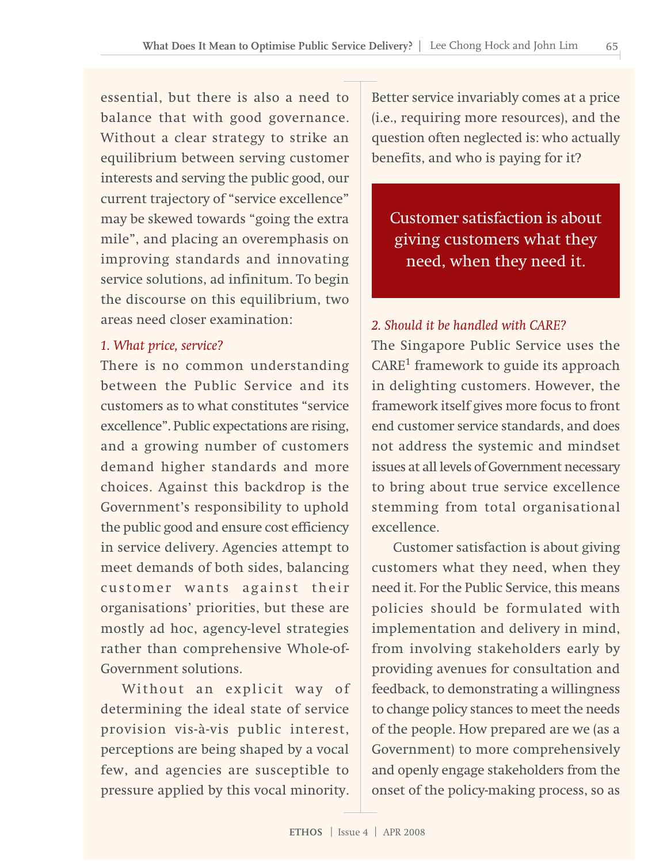essential, but there is also a need to balance that with good governance. Without a clear strategy to strike an equilibrium between serving customer interests and serving the public good, our current trajectory of "service excellence" may be skewed towards "going the extra mile", and placing an overemphasis on improving standards and innovating service solutions, ad infinitum. To begin the discourse on this equilibrium, two areas need closer examination:

#### *1. What price, service?*

There is no common understanding between the Public Service and its customers as to what constitutes "service excellence". Public expectations are rising, and a growing number of customers demand higher standards and more choices. Against this backdrop is the Government's responsibility to uphold the public good and ensure cost efficiency in service delivery. Agencies attempt to meet demands of both sides, balancing customer wants against their organisations' priorities, but these are mostly ad hoc, agency-level strategies rather than comprehensive Whole-of-Government solutions.

Without an explicit way of determining the ideal state of service provision vis-à-vis public interest, perceptions are being shaped by a vocal few, and agencies are susceptible to pressure applied by this vocal minority.

Better service invariably comes at a price (i.e., requiring more resources), and the question often neglected is: who actually benefits, and who is paying for it?

Customer satisfaction is about giving customers what they need, when they need it.

#### *2. Should it be handled with CARE?*

The Singapore Public Service uses the CARE<sup>1</sup> framework to guide its approach in delighting customers. However, the framework itself gives more focus to front end customer service standards, and does not address the systemic and mindset issues at all levels of Government necessary to bring about true service excellence stemming from total organisational excellence.

Customer satisfaction is about giving customers what they need, when they need it. For the Public Service, this means policies should be formulated with implementation and delivery in mind, from involving stakeholders early by providing avenues for consultation and feedback, to demonstrating a willingness to change policy stances to meet the needs of the people. How prepared are we (as a Government) to more comprehensively and openly engage stakeholders from the onset of the policy-making process, so as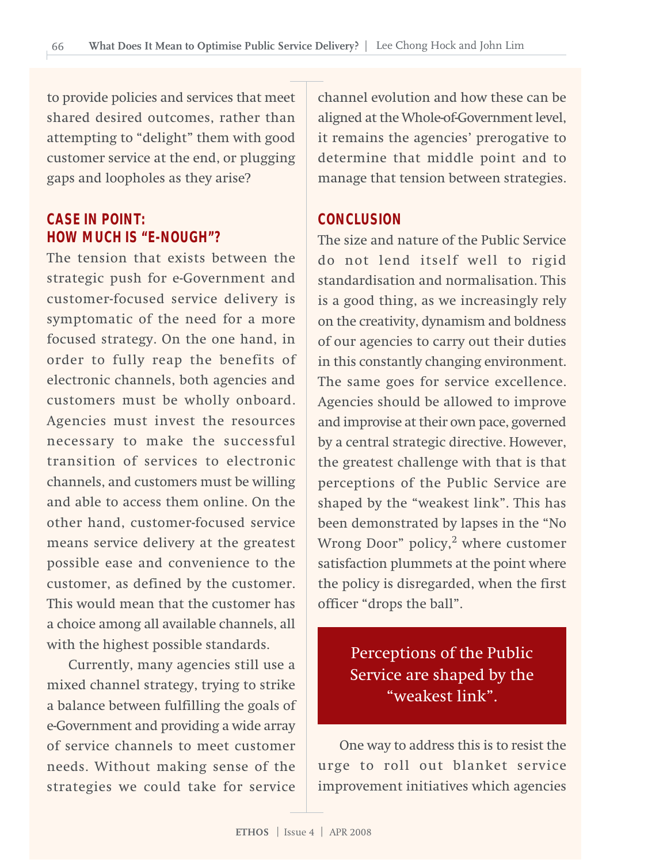to provide policies and services that meet shared desired outcomes, rather than attempting to "delight" them with good customer service at the end, or plugging gaps and loopholes as they arise?

#### **CASE IN POINT: HOW MUCH IS "E-NOUGH"?**

The tension that exists between the strategic push for e-Government and customer-focused service delivery is symptomatic of the need for a more focused strategy. On the one hand, in order to fully reap the benefits of electronic channels, both agencies and customers must be wholly onboard. Agencies must invest the resources necessary to make the successful transition of services to electronic channels, and customers must be willing and able to access them online. On the other hand, customer-focused service means service delivery at the greatest possible ease and convenience to the customer, as defined by the customer. This would mean that the customer has a choice among all available channels, all with the highest possible standards.

Currently, many agencies still use a mixed channel strategy, trying to strike a balance between fulfilling the goals of e-Government and providing a wide array of service channels to meet customer needs. Without making sense of the strategies we could take for service

channel evolution and how these can be aligned at the Whole-of-Government level, it remains the agencies' prerogative to determine that middle point and to manage that tension between strategies.

#### **CONCLUSION**

The size and nature of the Public Service do not lend itself well to rigid standardisation and normalisation. This is a good thing, as we increasingly rely on the creativity, dynamism and boldness of our agencies to carry out their duties in this constantly changing environment. The same goes for service excellence. Agencies should be allowed to improve and improvise at their own pace, governed by a central strategic directive. However, the greatest challenge with that is that perceptions of the Public Service are shaped by the "weakest link". This has been demonstrated by lapses in the "No Wrong Door" policy,<sup>2</sup> where customer satisfaction plummets at the point where the policy is disregarded, when the first officer "drops the ball".

### Perceptions of the Public Service are shaped by the "weakest link".

One way to address this is to resist the urge to roll out blanket service improvement initiatives which agencies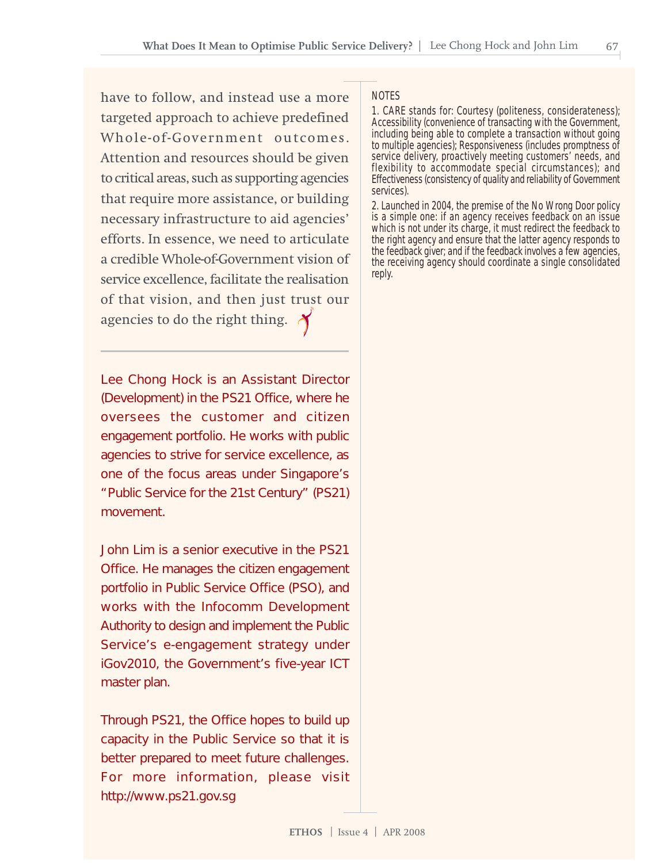have to follow, and instead use a more targeted approach to achieve predefined Whole-of-Government outcomes. Attention and resources should be given to critical areas, such as supporting agencies that require more assistance, or building necessary infrastructure to aid agencies' efforts. In essence, we need to articulate a credible Whole-of-Government vision of service excellence, facilitate the realisation of that vision, and then just trust our agencies to do the right thing.  $\bigwedge$ 

Lee Chong Hock is an Assistant Director (Development) in the PS21 Office, where he oversees the customer and citizen engagement portfolio. He works with public agencies to strive for service excellence, as one of the focus areas under Singapore's "Public Service for the 21st Century" (PS21) movement.

John Lim is a senior executive in the PS21 Office. He manages the citizen engagement portfolio in Public Service Office (PSO), and works with the Infocomm Development Authority to design and implement the Public Service's e-engagement strategy under iGov2010, the Government's five-year ICT master plan.

Through PS21, the Office hopes to build up capacity in the Public Service so that it is better prepared to meet future challenges. For more information, please visit http://www.ps21.gov.sg

#### NOTES

1. CARE stands for: Courtesy (politeness, considerateness); Accessibility (convenience of transacting with the Government, including being able to complete a transaction without going to multiple agencies); Responsiveness (includes promptness of service delivery, proactively meeting customers' needs, and flexibility to accommodate special circumstances); and Effectiveness (consistency of quality and reliability of Government services).

2. Launched in 2004, the premise of the No Wrong Door policy is a simple one: if an agency receives feedback on an issue which is not under its charge, it must redirect the feedback to the right agency and ensure that the latter agency responds to the feedback giver; and if the feedback involves a few agencies, the receiving agency should coordinate a single consolidated reply.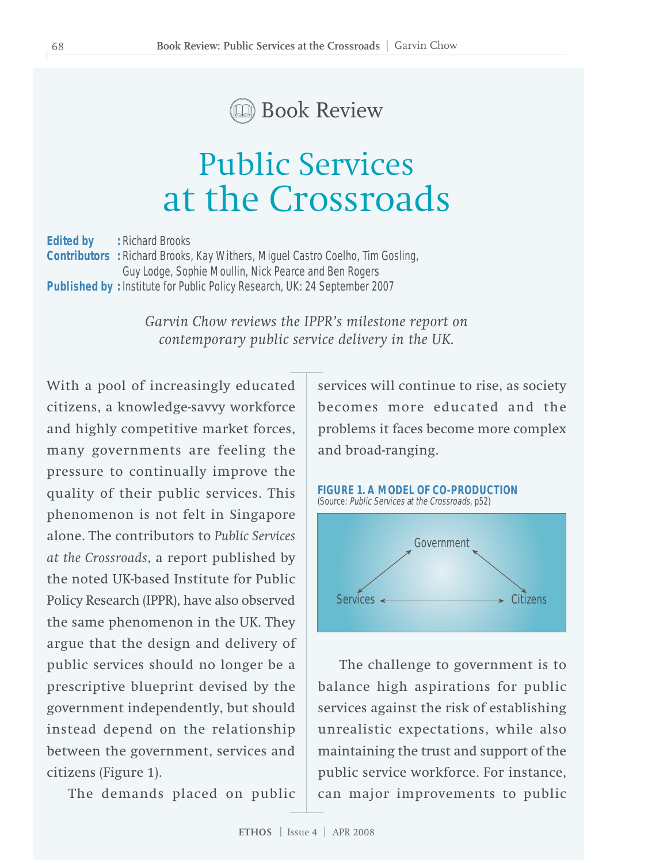

# Public Services at the Crossroads

**Edited by : Richard Brooks Contributors :** Richard Brooks, Kay Withers, Miguel Castro Coelho, Tim Gosling, Guy Lodge, Sophie Moullin, Nick Pearce and Ben Rogers **Published by :** Institute for Public Policy Research, UK: 24 September 2007

> *Garvin Chow reviews the IPPR's milestone report on contemporary public service delivery in the UK.*

With a pool of increasingly educated citizens, a knowledge-savvy workforce and highly competitive market forces, many governments are feeling the pressure to continually improve the quality of their public services. This phenomenon is not felt in Singapore alone. The contributors to *Public Services at the Crossroads*, a report published by the noted UK-based Institute for Public Policy Research (IPPR), have also observed the same phenomenon in the UK. They argue that the design and delivery of public services should no longer be a prescriptive blueprint devised by the government independently, but should instead depend on the relationship between the government, services and citizens (Figure 1).

The demands placed on public

services will continue to rise, as society becomes more educated and the problems it faces become more complex and broad-ranging.



The challenge to government is to balance high aspirations for public services against the risk of establishing unrealistic expectations, while also maintaining the trust and support of the public service workforce. For instance, can major improvements to public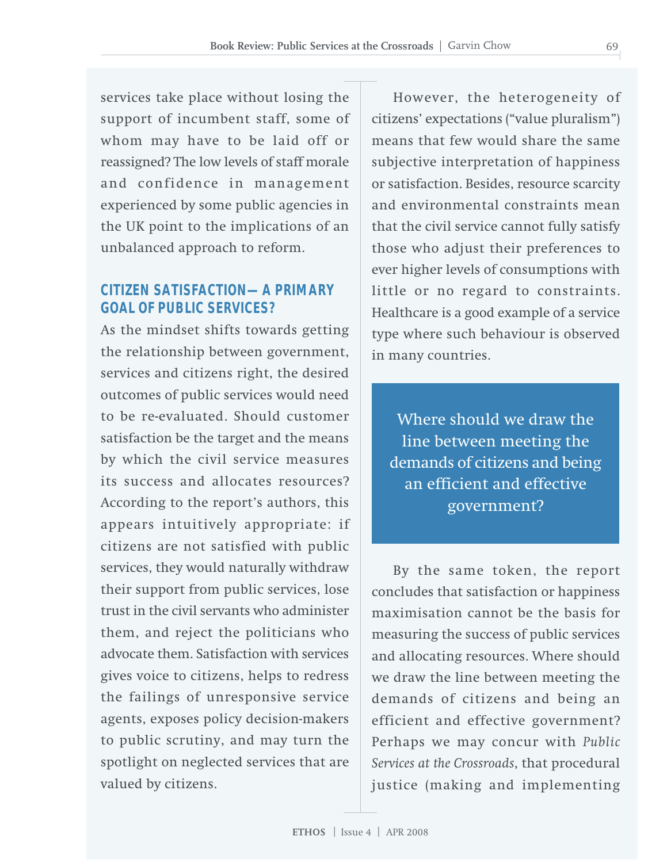services take place without losing the support of incumbent staff, some of whom may have to be laid off or reassigned? The low levels of staff morale and confidence in management experienced by some public agencies in the UK point to the implications of an unbalanced approach to reform.

#### **CITIZEN SATISFACTION—A PRIMARY GOAL OF PUBLIC SERVICES?**

As the mindset shifts towards getting the relationship between government, services and citizens right, the desired outcomes of public services would need to be re-evaluated. Should customer satisfaction be the target and the means by which the civil service measures its success and allocates resources? According to the report's authors, this appears intuitively appropriate: if citizens are not satisfied with public services, they would naturally withdraw their support from public services, lose trust in the civil servants who administer them, and reject the politicians who advocate them. Satisfaction with services gives voice to citizens, helps to redress the failings of unresponsive service agents, exposes policy decision-makers to public scrutiny, and may turn the spotlight on neglected services that are valued by citizens.

However, the heterogeneity of citizens' expectations ("value pluralism") means that few would share the same subjective interpretation of happiness or satisfaction. Besides, resource scarcity and environmental constraints mean that the civil service cannot fully satisfy those who adjust their preferences to ever higher levels of consumptions with little or no regard to constraints. Healthcare is a good example of a service type where such behaviour is observed in many countries.

Where should we draw the line between meeting the demands of citizens and being an efficient and effective government?

By the same token, the report concludes that satisfaction or happiness maximisation cannot be the basis for measuring the success of public services and allocating resources. Where should we draw the line between meeting the demands of citizens and being an efficient and effective government? Perhaps we may concur with *Public Services at the Crossroads*, that procedural justice (making and implementing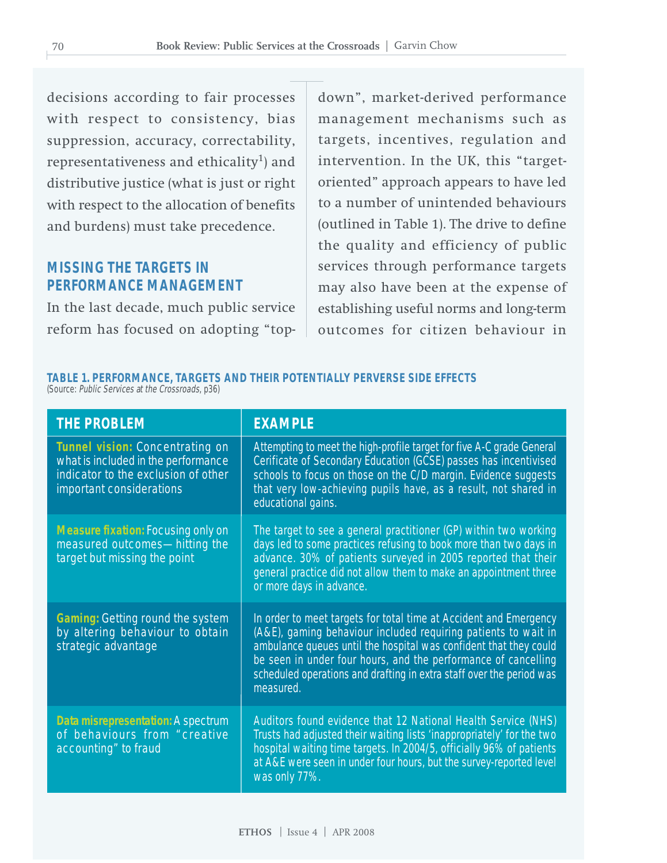decisions according to fair processes with respect to consistency, bias suppression, accuracy, correctability, representativeness and ethicality<sup>1</sup>) and distributive justice (what is just or right with respect to the allocation of benefits and burdens) must take precedence.

#### **MISSING THE TARGETS IN PERFORMANCE MANAGEMENT**

In the last decade, much public service reform has focused on adopting "top-

down", market-derived performance management mechanisms such as targets, incentives, regulation and intervention. In the UK, this "targetoriented" approach appears to have led to a number of unintended behaviours (outlined in Table 1). The drive to define the quality and efficiency of public services through performance targets may also have been at the expense of establishing useful norms and long-term outcomes for citizen behaviour in

#### **TABLE 1. PERFORMANCE, TARGETS AND THEIR POTENTIALLY PERVERSE SIDE EFFECTS** (Source: Public Services at the Crossroads, p36)

| <b>THE PROBLEM</b>                                                                                                                        | <b>EXAMPLE</b>                                                                                                                                                                                                                                                                                                                                                  |
|-------------------------------------------------------------------------------------------------------------------------------------------|-----------------------------------------------------------------------------------------------------------------------------------------------------------------------------------------------------------------------------------------------------------------------------------------------------------------------------------------------------------------|
| Tunnel vision: Concentrating on<br>what is included in the performance<br>indicator to the exclusion of other<br>important considerations | Attempting to meet the high-profile target for five A-C grade General<br>Cerificate of Secondary Education (GCSE) passes has incentivised<br>schools to focus on those on the C/D margin. Evidence suggests<br>that very low-achieving pupils have, as a result, not shared in<br>educational gains.                                                            |
| <b>Measure fixation: Focusing only on</b><br>measured outcomes-hitting the<br>target but missing the point                                | The target to see a general practitioner (GP) within two working<br>days led to some practices refusing to book more than two days in<br>advance. 30% of patients surveyed in 2005 reported that their<br>general practice did not allow them to make an appointment three<br>or more days in advance.                                                          |
| Gaming: Getting round the system<br>by altering behaviour to obtain<br>strategic advantage                                                | In order to meet targets for total time at Accident and Emergency<br>(A&E), gaming behaviour included requiring patients to wait in<br>ambulance queues until the hospital was confident that they could<br>be seen in under four hours, and the performance of cancelling<br>scheduled operations and drafting in extra staff over the period was<br>measured. |
| Data misrepresentation: A spectrum<br>of behaviours from "creative<br>accounting" to fraud                                                | Auditors found evidence that 12 National Health Service (NHS)<br>Trusts had adjusted their waiting lists 'inappropriately' for the two<br>hospital waiting time targets. In 2004/5, officially 96% of patients<br>at A&E were seen in under four hours, but the survey-reported level<br>was only 77%.                                                          |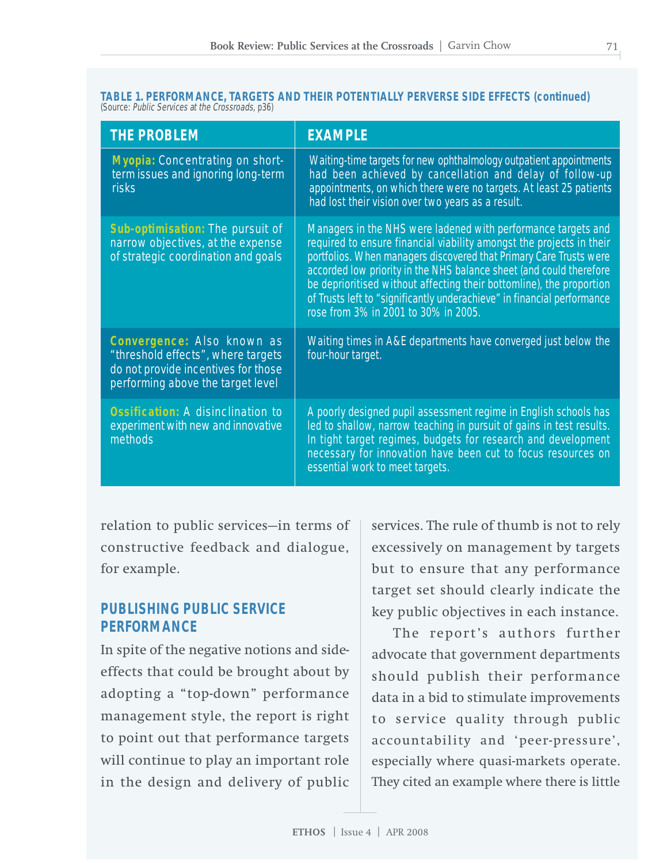| TABLE 1. PERFORMANCE. TARGETS AND THEIR POTENTIALLY PERVERSE SIDE EFFECTS (continued) |  |  |  |
|---------------------------------------------------------------------------------------|--|--|--|
| (Source: Public Services at the Crossroads, p36)                                      |  |  |  |

| <b>THE PROBLEM</b>                                                                                                                           | <b>EXAMPLE</b>                                                                                                                                                                                                                                                                                                                                                                                                                                                                |  |  |
|----------------------------------------------------------------------------------------------------------------------------------------------|-------------------------------------------------------------------------------------------------------------------------------------------------------------------------------------------------------------------------------------------------------------------------------------------------------------------------------------------------------------------------------------------------------------------------------------------------------------------------------|--|--|
| Myopia: Concentrating on short-<br>term issues and ignoring long-term<br><b>risks</b>                                                        | Waiting-time targets for new ophthalmology outpatient appointments<br>had been achieved by cancellation and delay of follow-up<br>appointments, on which there were no targets. At least 25 patients<br>had lost their vision over two years as a result.                                                                                                                                                                                                                     |  |  |
| Sub-optimisation: The pursuit of<br>narrow objectives, at the expense<br>of strategic coordination and goals                                 | Managers in the NHS were ladened with performance targets and<br>required to ensure financial viability amongst the projects in their<br>portfolios. When managers discovered that Primary Care Trusts were<br>accorded low priority in the NHS balance sheet (and could therefore<br>be deprioritised without affecting their bottomline), the proportion<br>of Trusts left to "significantly underachieve" in financial performance<br>rose from 3% in 2001 to 30% in 2005. |  |  |
| Convergence: Also known as<br>"threshold effects", where targets<br>do not provide incentives for those<br>performing above the target level | Waiting times in A&E departments have converged just below the<br>four-hour target.                                                                                                                                                                                                                                                                                                                                                                                           |  |  |
| <b>Ossification: A disinclination to</b><br>experiment with new and innovative<br>methods                                                    | A poorly designed pupil assessment regime in English schools has<br>led to shallow, narrow teaching in pursuit of gains in test results.<br>In tight target regimes, budgets for research and development<br>necessary for innovation have been cut to focus resources on<br>essential work to meet targets.                                                                                                                                                                  |  |  |

relation to public services—in terms of constructive feedback and dialogue, for example.

## **PUBLISHING PUBLIC SERVICE PERFORMANCE**

In spite of the negative notions and sideeffects that could be brought about by adopting a "top-down" performance management style, the report is right to point out that performance targets will continue to play an important role in the design and delivery of public

services. The rule of thumb is not to rely excessively on management by targets but to ensure that any performance target set should clearly indicate the key public objectives in each instance.

The report's authors further advocate that government departments should publish their performance data in a bid to stimulate improvements to service quality through public accountability and 'peer-pressure', especially where quasi-markets operate. They cited an example where there is little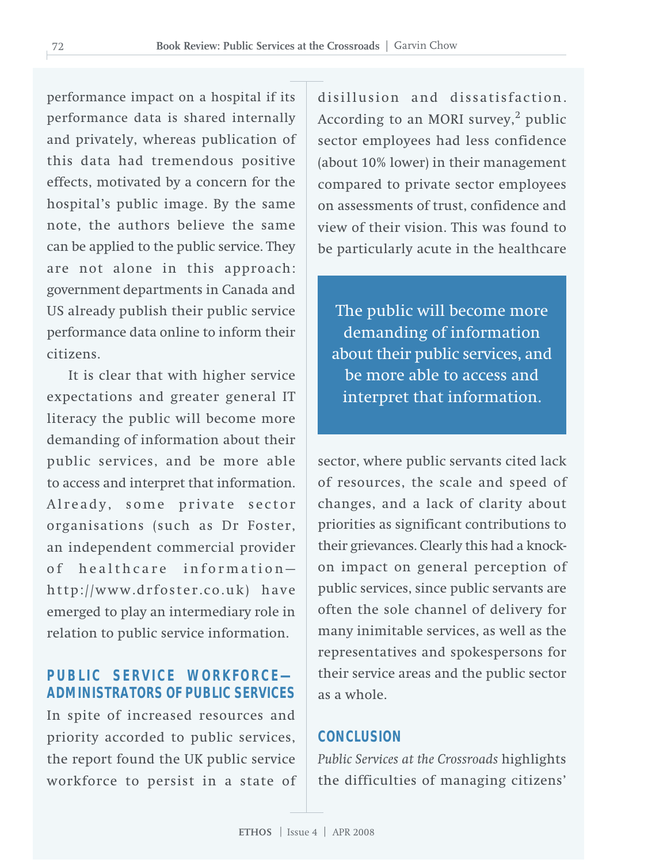performance impact on a hospital if its performance data is shared internally and privately, whereas publication of this data had tremendous positive effects, motivated by a concern for the hospital's public image. By the same note, the authors believe the same can be applied to the public service. They are not alone in this approach: government departments in Canada and US already publish their public service performance data online to inform their citizens.

It is clear that with higher service expectations and greater general IT literacy the public will become more demanding of information about their public services, and be more able to access and interpret that information. Already, some private sector organisations (such as Dr Foster, an independent commercial provider of healthcare information http://www.drfoster.co.uk) have emerged to play an intermediary role in relation to public service information.

# **PUBLIC SERVICE WORKFORCE— ADMINISTRATORS OF PUBLIC SERVICES**

In spite of increased resources and priority accorded to public services, the report found the UK public service workforce to persist in a state of

disillusion and dissatisfaction. According to an MORI survey, $<sup>2</sup>$  public</sup> sector employees had less confidence (about 10% lower) in their management compared to private sector employees on assessments of trust, confidence and view of their vision. This was found to be particularly acute in the healthcare

The public will become more demanding of information about their public services, and be more able to access and interpret that information.

sector, where public servants cited lack of resources, the scale and speed of changes, and a lack of clarity about priorities as significant contributions to their grievances. Clearly this had a knockon impact on general perception of public services, since public servants are often the sole channel of delivery for many inimitable services, as well as the representatives and spokespersons for their service areas and the public sector as a whole.

## **CONCLUSION**

*Public Services at the Crossroads* highlights the difficulties of managing citizens'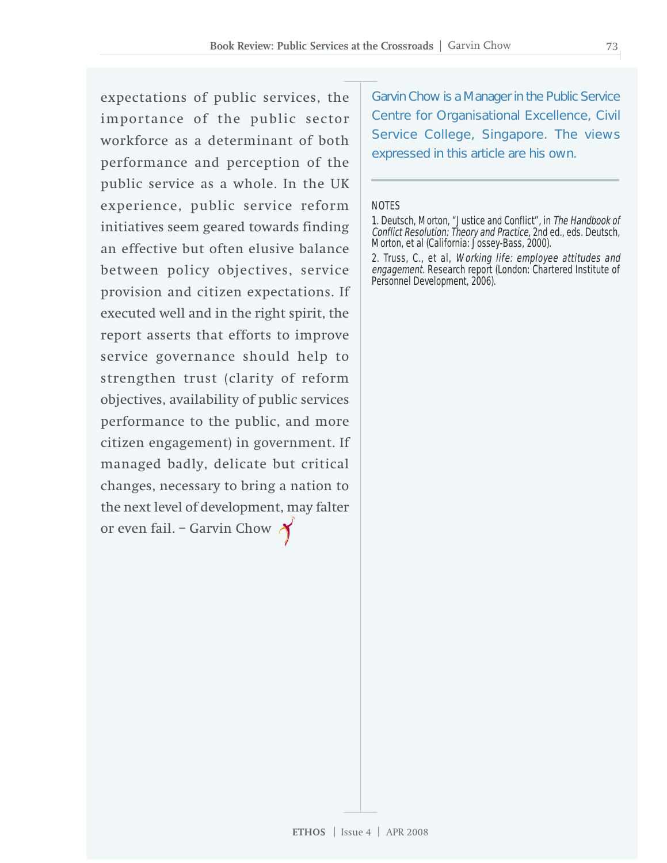expectations of public services, the importance of the public sector workforce as a determinant of both performance and perception of the public service as a whole. In the UK experience, public service reform initiatives seem geared towards finding an effective but often elusive balance between policy objectives, service provision and citizen expectations. If executed well and in the right spirit, the report asserts that efforts to improve service governance should help to strengthen trust (clarity of reform objectives, availability of public services performance to the public, and more citizen engagement) in government. If managed badly, delicate but critical changes, necessary to bring a nation to the next level of development, may falter or even fail. – Garvin Chow

Garvin Chow is a Manager in the Public Service Centre for Organisational Excellence, Civil Service College, Singapore. The views expressed in this article are his own.

#### **NOTES**

<sup>1.</sup> Deutsch, Morton, "Justice and Conflict", in The Handbook of Conflict Resolution: Theory and Practice, 2nd ed., eds. Deutsch, Morton, et al (California: Jossey-Bass, 2000).

<sup>2.</sup> Truss, C., et al, Working life: employee attitudes and engagement. Research report (London: Chartered Institute of Personnel Development, 2006).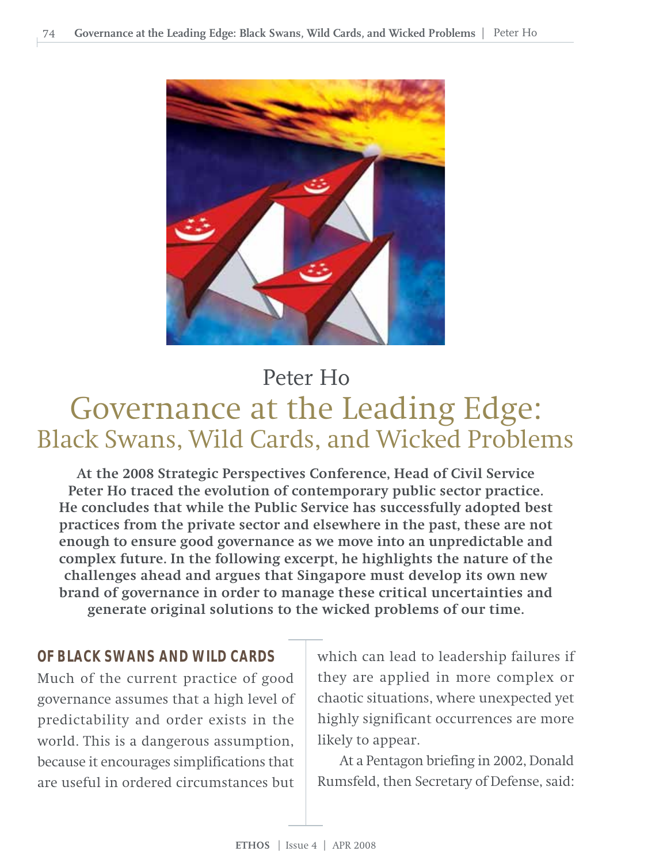

# Governance at the Leading Edge: Black Swans, Wild Cards, and Wicked Problems Peter Ho

**At the 2008 Strategic Perspectives Conference, Head of Civil Service Peter Ho traced the evolution of contemporary public sector practice. He concludes that while the Public Service has successfully adopted best practices from the private sector and elsewhere in the past, these are not enough to ensure good governance as we move into an unpredictable and complex future. In the following excerpt, he highlights the nature of the challenges ahead and argues that Singapore must develop its own new brand of governance in order to manage these critical uncertainties and generate original solutions to the wicked problems of our time.**

# **OF BLACK SWANS AND WILD CARDS**

Much of the current practice of good governance assumes that a high level of predictability and order exists in the world. This is a dangerous assumption, because it encourages simplifications that are useful in ordered circumstances but

which can lead to leadership failures if they are applied in more complex or chaotic situations, where unexpected yet highly significant occurrences are more likely to appear.

At a Pentagon briefing in 2002, Donald Rumsfeld, then Secretary of Defense, said: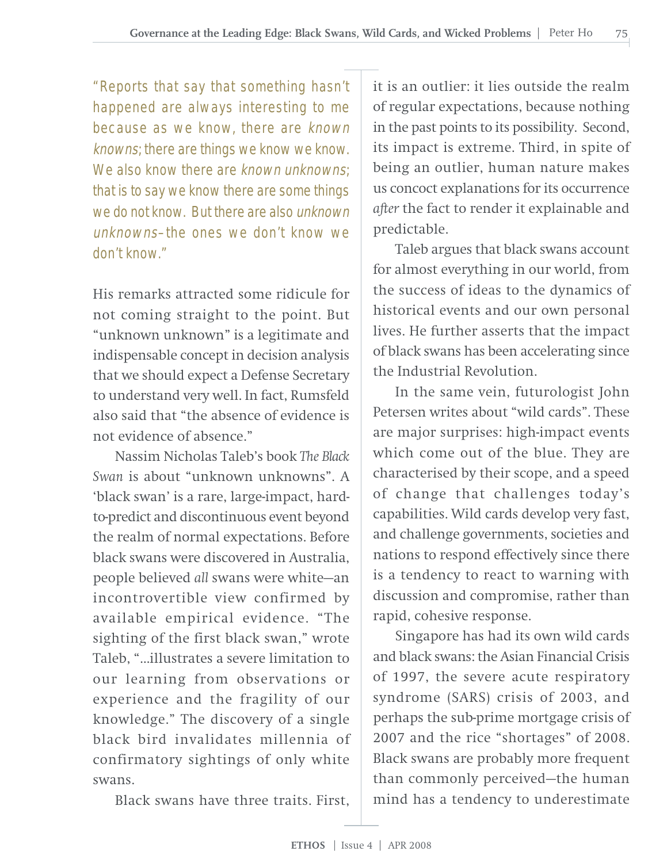"Reports that say that something hasn't happened are always interesting to me because as we know, there are known knowns; there are things we know we know. We also know there are known unknowns: that is to say we know there are some things we do not know. But there are also unknown unknowns–the ones we don't know we don't know."

His remarks attracted some ridicule for not coming straight to the point. But "unknown unknown" is a legitimate and indispensable concept in decision analysis that we should expect a Defense Secretary to understand very well. In fact, Rumsfeld also said that "the absence of evidence is not evidence of absence."

Nassim Nicholas Taleb's book *The Black Swan* is about "unknown unknowns". A 'black swan' is a rare, large-impact, hardto-predict and discontinuous event beyond the realm of normal expectations. Before black swans were discovered in Australia, people believed *all* swans were white—an incontrovertible view confirmed by available empirical evidence. "The sighting of the first black swan," wrote Taleb, "...illustrates a severe limitation to our learning from observations or experience and the fragility of our knowledge." The discovery of a single black bird invalidates millennia of confirmatory sightings of only white swans.

Black swans have three traits. First,

it is an outlier: it lies outside the realm of regular expectations, because nothing in the past points to its possibility. Second, its impact is extreme. Third, in spite of being an outlier, human nature makes us concoct explanations for its occurrence *after* the fact to render it explainable and predictable.

Taleb argues that black swans account for almost everything in our world, from the success of ideas to the dynamics of historical events and our own personal lives. He further asserts that the impact of black swans has been accelerating since the Industrial Revolution.

In the same vein, futurologist John Petersen writes about "wild cards". These are major surprises: high-impact events which come out of the blue. They are characterised by their scope, and a speed of change that challenges today's capabilities. Wild cards develop very fast, and challenge governments, societies and nations to respond effectively since there is a tendency to react to warning with discussion and compromise, rather than rapid, cohesive response.

Singapore has had its own wild cards and black swans: the Asian Financial Crisis of 1997, the severe acute respiratory syndrome (SARS) crisis of 2003, and perhaps the sub-prime mortgage crisis of 2007 and the rice "shortages" of 2008. Black swans are probably more frequent than commonly perceived—the human mind has a tendency to underestimate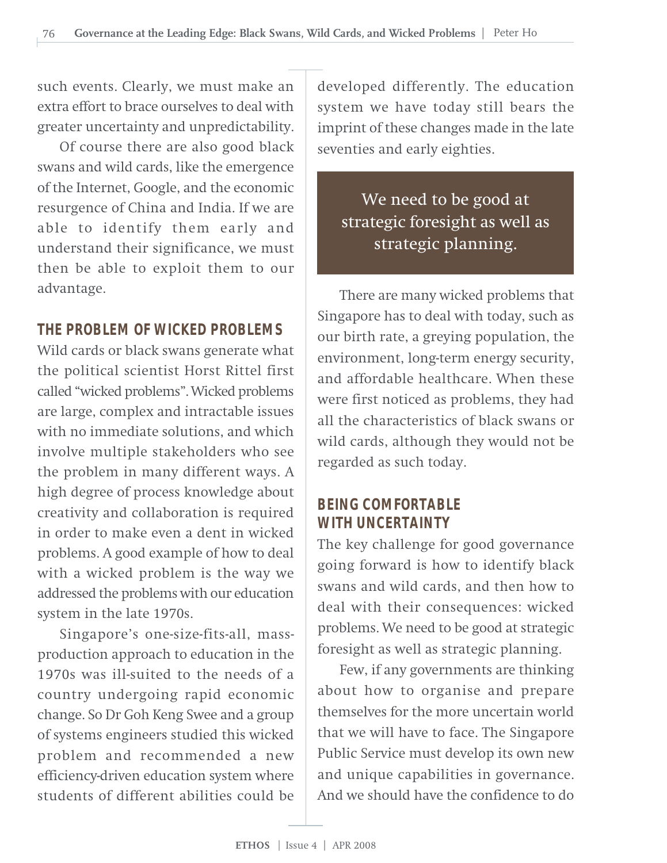such events. Clearly, we must make an extra effort to brace ourselves to deal with greater uncertainty and unpredictability.

Of course there are also good black swans and wild cards, like the emergence of the Internet, Google, and the economic resurgence of China and India. If we are able to identify them early and understand their significance, we must then be able to exploit them to our advantage.

# **THE PROBLEM OF WICKED PROBLEMS**

Wild cards or black swans generate what the political scientist Horst Rittel first called "wicked problems". Wicked problems are large, complex and intractable issues with no immediate solutions, and which involve multiple stakeholders who see the problem in many different ways. A high degree of process knowledge about creativity and collaboration is required in order to make even a dent in wicked problems. A good example of how to deal with a wicked problem is the way we addressed the problems with our education system in the late 1970s.

Singapore's one-size-fits-all, massproduction approach to education in the 1970s was ill-suited to the needs of a country undergoing rapid economic change. So Dr Goh Keng Swee and a group of systems engineers studied this wicked problem and recommended a new efficiency-driven education system where students of different abilities could be

developed differently. The education system we have today still bears the imprint of these changes made in the late seventies and early eighties.

We need to be good at strategic foresight as well as strategic planning.

There are many wicked problems that Singapore has to deal with today, such as our birth rate, a greying population, the environment, long-term energy security, and affordable healthcare. When these were first noticed as problems, they had all the characteristics of black swans or wild cards, although they would not be regarded as such today.

# **BEING COMFORTABLE WITH UNCERTAINTY**

The key challenge for good governance going forward is how to identify black swans and wild cards, and then how to deal with their consequences: wicked problems. We need to be good at strategic foresight as well as strategic planning.

Few, if any governments are thinking about how to organise and prepare themselves for the more uncertain world that we will have to face. The Singapore Public Service must develop its own new and unique capabilities in governance. And we should have the confidence to do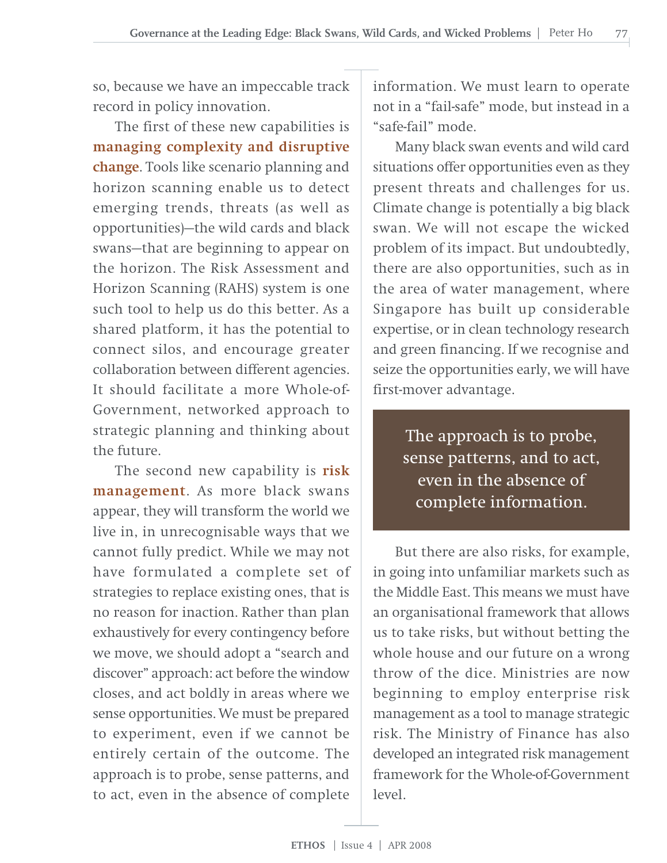so, because we have an impeccable track record in policy innovation.

The first of these new capabilities is **managing complexity and disruptive change**. Tools like scenario planning and horizon scanning enable us to detect emerging trends, threats (as well as opportunities)—the wild cards and black swans—that are beginning to appear on the horizon. The Risk Assessment and Horizon Scanning (RAHS) system is one such tool to help us do this better. As a shared platform, it has the potential to connect silos, and encourage greater collaboration between different agencies. It should facilitate a more Whole-of-Government, networked approach to strategic planning and thinking about the future.

The second new capability is **risk management**. As more black swans appear, they will transform the world we live in, in unrecognisable ways that we cannot fully predict. While we may not have formulated a complete set of strategies to replace existing ones, that is no reason for inaction. Rather than plan exhaustively for every contingency before we move, we should adopt a "search and discover" approach: act before the window closes, and act boldly in areas where we sense opportunities. We must be prepared to experiment, even if we cannot be entirely certain of the outcome. The approach is to probe, sense patterns, and to act, even in the absence of complete

information. We must learn to operate not in a "fail-safe" mode, but instead in a "safe-fail" mode.

Many black swan events and wild card situations offer opportunities even as they present threats and challenges for us. Climate change is potentially a big black swan. We will not escape the wicked problem of its impact. But undoubtedly, there are also opportunities, such as in the area of water management, where Singapore has built up considerable expertise, or in clean technology research and green financing. If we recognise and seize the opportunities early, we will have first-mover advantage.

> The approach is to probe, sense patterns, and to act, even in the absence of complete information.

But there are also risks, for example, in going into unfamiliar markets such as the Middle East. This means we must have an organisational framework that allows us to take risks, but without betting the whole house and our future on a wrong throw of the dice. Ministries are now beginning to employ enterprise risk management as a tool to manage strategic risk. The Ministry of Finance has also developed an integrated risk management framework for the Whole-of-Government  $level$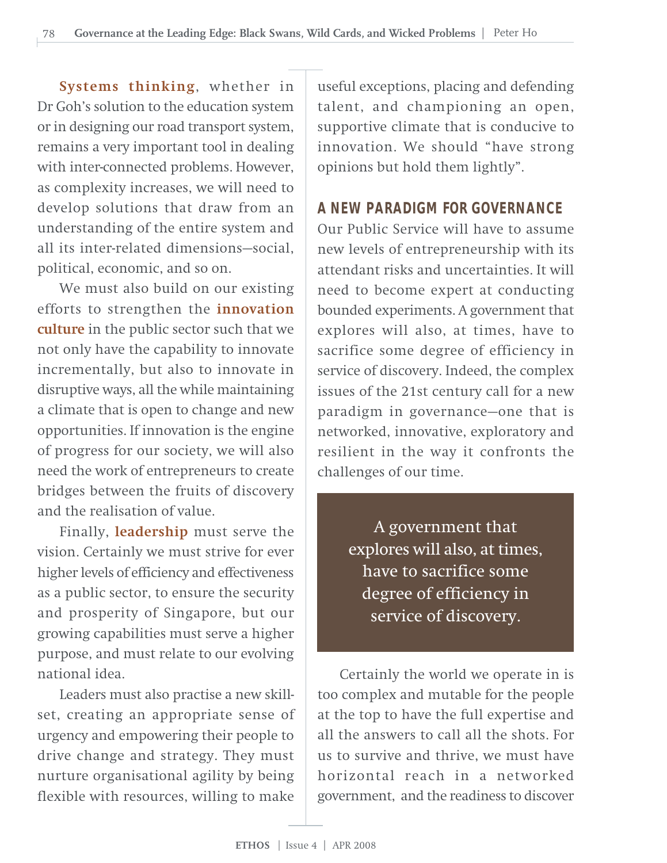**Systems thinking**, whether in Dr Goh's solution to the education system or in designing our road transport system, remains a very important tool in dealing with inter-connected problems. However, as complexity increases, we will need to develop solutions that draw from an understanding of the entire system and all its inter-related dimensions—social, political, economic, and so on.

We must also build on our existing efforts to strengthen the **innovation culture** in the public sector such that we not only have the capability to innovate incrementally, but also to innovate in disruptive ways, all the while maintaining a climate that is open to change and new opportunities. If innovation is the engine of progress for our society, we will also need the work of entrepreneurs to create bridges between the fruits of discovery and the realisation of value.

Finally, **leadership** must serve the vision. Certainly we must strive for ever higher levels of efficiency and effectiveness as a public sector, to ensure the security and prosperity of Singapore, but our growing capabilities must serve a higher purpose, and must relate to our evolving national idea.

Leaders must also practise a new skillset, creating an appropriate sense of urgency and empowering their people to drive change and strategy. They must nurture organisational agility by being flexible with resources, willing to make

useful exceptions, placing and defending talent, and championing an open, supportive climate that is conducive to innovation. We should "have strong opinions but hold them lightly".

# **A NEW PARADIGM FOR GOVERNANCE**

Our Public Service will have to assume new levels of entrepreneurship with its attendant risks and uncertainties. It will need to become expert at conducting bounded experiments. A government that explores will also, at times, have to sacrifice some degree of efficiency in service of discovery. Indeed, the complex issues of the 21st century call for a new paradigm in governance—one that is networked, innovative, exploratory and resilient in the way it confronts the challenges of our time.

> A government that explores will also, at times, have to sacrifice some degree of efficiency in service of discovery.

Certainly the world we operate in is too complex and mutable for the people at the top to have the full expertise and all the answers to call all the shots. For us to survive and thrive, we must have horizontal reach in a networked government, and the readiness to discover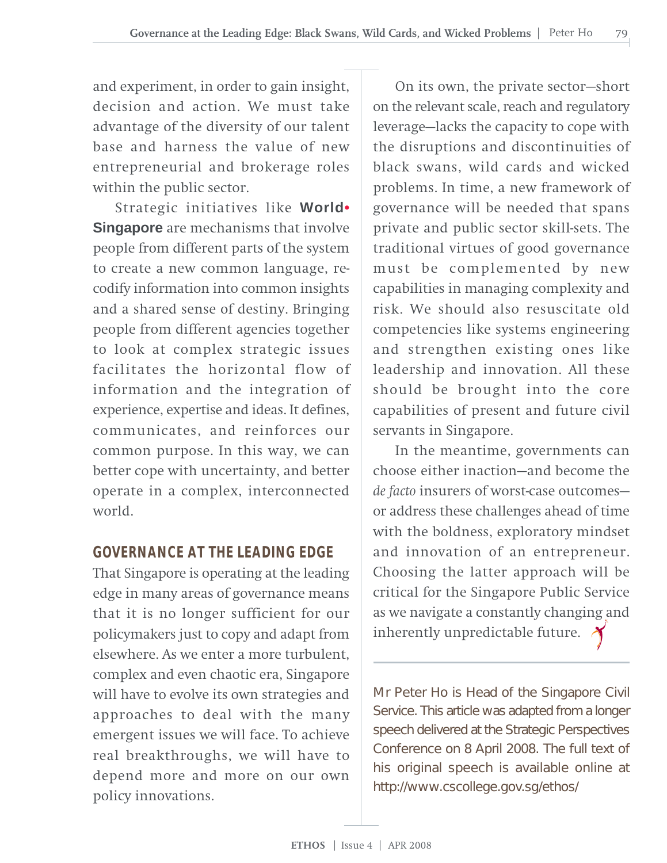and experiment, in order to gain insight, decision and action. We must take advantage of the diversity of our talent base and harness the value of new entrepreneurial and brokerage roles within the public sector.

Strategic initiatives like **World• Singapore** are mechanisms that involve people from different parts of the system to create a new common language, recodify information into common insights and a shared sense of destiny. Bringing people from different agencies together to look at complex strategic issues facilitates the horizontal flow of information and the integration of experience, expertise and ideas. It defines, communicates, and reinforces our common purpose. In this way, we can better cope with uncertainty, and better operate in a complex, interconnected world.

# **GOVERNANCE AT THE LEADING EDGE**

That Singapore is operating at the leading edge in many areas of governance means that it is no longer sufficient for our policymakers just to copy and adapt from elsewhere. As we enter a more turbulent, complex and even chaotic era, Singapore will have to evolve its own strategies and approaches to deal with the many emergent issues we will face. To achieve real breakthroughs, we will have to depend more and more on our own policy innovations.

On its own, the private sector—short on the relevant scale, reach and regulatory leverage—lacks the capacity to cope with the disruptions and discontinuities of black swans, wild cards and wicked problems. In time, a new framework of governance will be needed that spans private and public sector skill-sets. The traditional virtues of good governance must be complemented by new capabilities in managing complexity and risk. We should also resuscitate old competencies like systems engineering and strengthen existing ones like leadership and innovation. All these should be brought into the core capabilities of present and future civil servants in Singapore.

In the meantime, governments can choose either inaction—and become the *de facto* insurers of worst-case outcomes or address these challenges ahead of time with the boldness, exploratory mindset and innovation of an entrepreneur. Choosing the latter approach will be critical for the Singapore Public Service as we navigate a constantly changing and inherently unpredictable future.  $\lambda$ 

Mr Peter Ho is Head of the Singapore Civil Service. This article was adapted from a longer speech delivered at the Strategic Perspectives Conference on 8 April 2008. The full text of his original speech is available online at http://www.cscollege.gov.sg/ethos/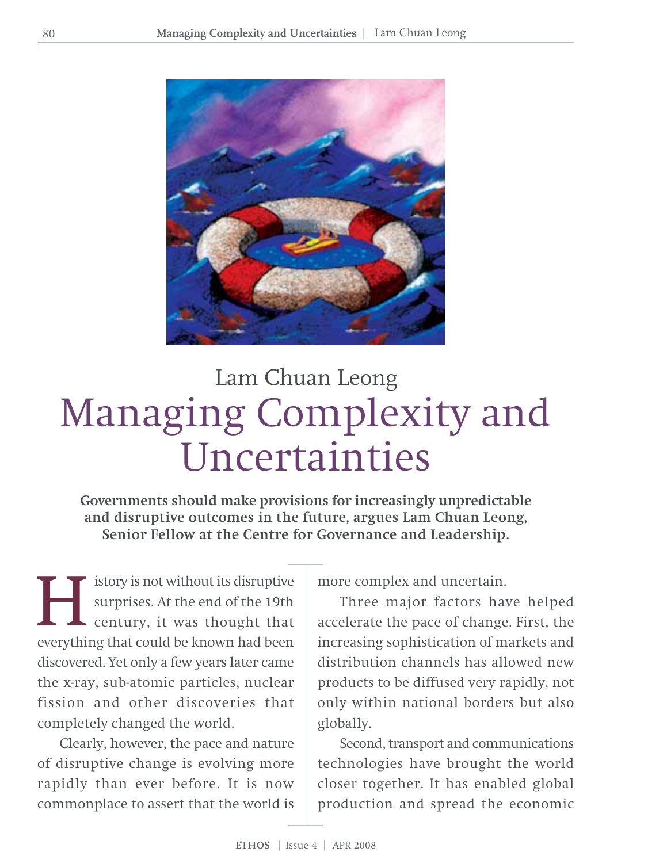

# Managing Complexity and Uncertainties Lam Chuan Leong

**Governments should make provisions for increasingly unpredictable and disruptive outcomes in the future, argues Lam Chuan Leong, Senior Fellow at the Centre for Governance and Leadership.**

istory is not without its disruptive surprises. At the end of the 19th century, it was thought that **EVALUATE:** Interprises. At the end of the 19th century, it was thought that everything that could be known had been discovered. Yet only a few years later came the x-ray, sub-atomic particles, nuclear fission and other discoveries that completely changed the world.

Clearly, however, the pace and nature of disruptive change is evolving more rapidly than ever before. It is now commonplace to assert that the world is

more complex and uncertain.

Three major factors have helped accelerate the pace of change. First, the increasing sophistication of markets and distribution channels has allowed new products to be diffused very rapidly, not only within national borders but also globally.

Second, transport and communications technologies have brought the world closer together. It has enabled global production and spread the economic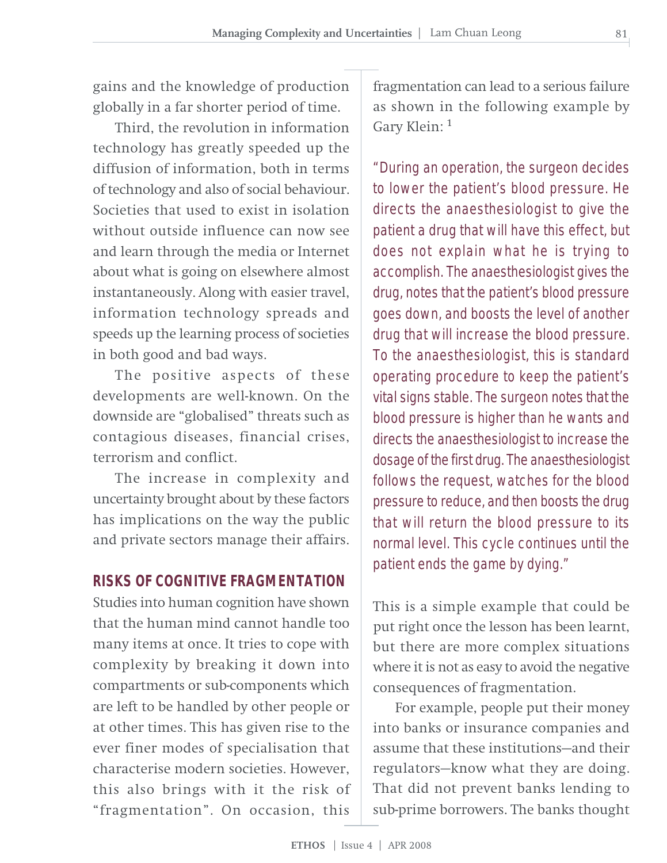gains and the knowledge of production globally in a far shorter period of time.

Third, the revolution in information technology has greatly speeded up the diffusion of information, both in terms of technology and also of social behaviour. Societies that used to exist in isolation without outside influence can now see and learn through the media or Internet about what is going on elsewhere almost instantaneously. Along with easier travel, information technology spreads and speeds up the learning process of societies in both good and bad ways.

The positive aspects of these developments are well-known. On the downside are "globalised" threats such as contagious diseases, financial crises, terrorism and conflict.

The increase in complexity and uncertainty brought about by these factors has implications on the way the public and private sectors manage their affairs.

## **RISKS OF COGNITIVE FRAGMENTATION**

Studies into human cognition have shown that the human mind cannot handle too many items at once. It tries to cope with complexity by breaking it down into compartments or sub-components which are left to be handled by other people or at other times. This has given rise to the ever finer modes of specialisation that characterise modern societies. However, this also brings with it the risk of "fragmentation". On occasion, this

fragmentation can lead to a serious failure as shown in the following example by Gary Klein: <sup>1</sup>

"During an operation, the surgeon decides to lower the patient's blood pressure. He directs the anaesthesiologist to give the patient a drug that will have this effect, but does not explain what he is trying to accomplish. The anaesthesiologist gives the drug, notes that the patient's blood pressure goes down, and boosts the level of another drug that will increase the blood pressure. To the anaesthesiologist, this is standard operating procedure to keep the patient's vital signs stable. The surgeon notes that the blood pressure is higher than he wants and directs the anaesthesiologist to increase the dosage of the first drug. The anaesthesiologist follows the request, watches for the blood pressure to reduce, and then boosts the drug that will return the blood pressure to its normal level. This cycle continues until the patient ends the game by dying."

This is a simple example that could be put right once the lesson has been learnt, but there are more complex situations where it is not as easy to avoid the negative consequences of fragmentation.

For example, people put their money into banks or insurance companies and assume that these institutions—and their regulators—know what they are doing. That did not prevent banks lending to sub-prime borrowers. The banks thought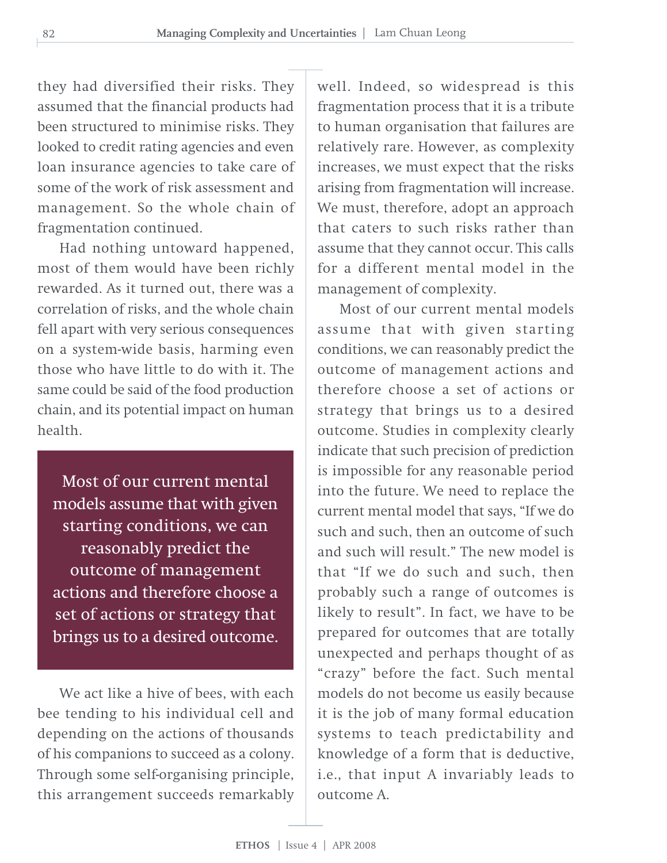they had diversified their risks. They assumed that the financial products had been structured to minimise risks. They looked to credit rating agencies and even loan insurance agencies to take care of some of the work of risk assessment and management. So the whole chain of fragmentation continued.

Had nothing untoward happened, most of them would have been richly rewarded. As it turned out, there was a correlation of risks, and the whole chain fell apart with very serious consequences on a system-wide basis, harming even those who have little to do with it. The same could be said of the food production chain, and its potential impact on human health.

Most of our current mental models assume that with given starting conditions, we can reasonably predict the outcome of management actions and therefore choose a set of actions or strategy that brings us to a desired outcome.

We act like a hive of bees, with each bee tending to his individual cell and depending on the actions of thousands of his companions to succeed as a colony. Through some self-organising principle, this arrangement succeeds remarkably

well. Indeed, so widespread is this fragmentation process that it is a tribute to human organisation that failures are relatively rare. However, as complexity increases, we must expect that the risks arising from fragmentation will increase. We must, therefore, adopt an approach that caters to such risks rather than assume that they cannot occur. This calls for a different mental model in the management of complexity.

Most of our current mental models assume that with given starting conditions, we can reasonably predict the outcome of management actions and therefore choose a set of actions or strategy that brings us to a desired outcome. Studies in complexity clearly indicate that such precision of prediction is impossible for any reasonable period into the future. We need to replace the current mental model that says, "If we do such and such, then an outcome of such and such will result." The new model is that "If we do such and such, then probably such a range of outcomes is likely to result". In fact, we have to be prepared for outcomes that are totally unexpected and perhaps thought of as "crazy" before the fact. Such mental models do not become us easily because it is the job of many formal education systems to teach predictability and knowledge of a form that is deductive, i.e., that input A invariably leads to outcome A.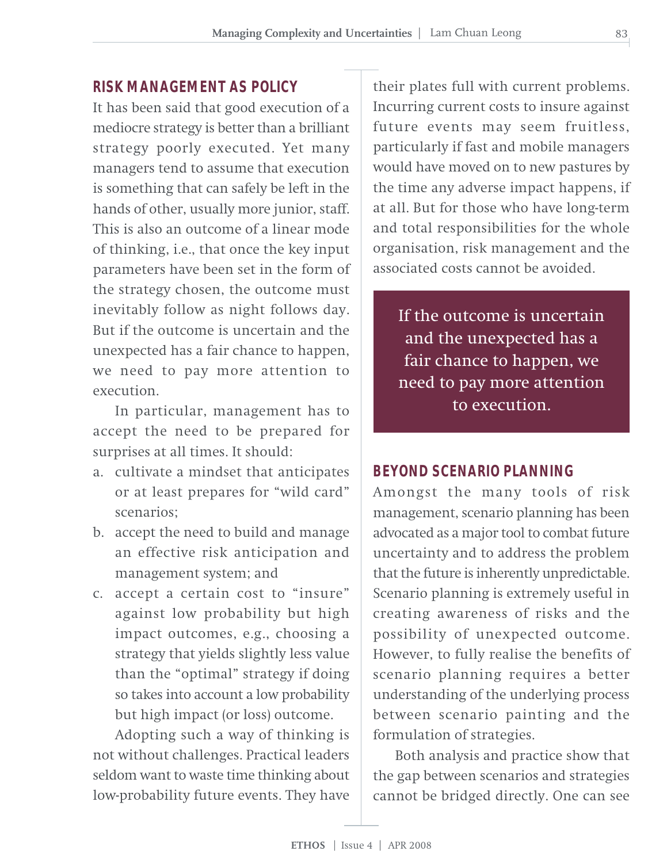# **RISK MANAGEMENT AS POLICY**

It has been said that good execution of a mediocre strategy is better than a brilliant strategy poorly executed. Yet many managers tend to assume that execution is something that can safely be left in the hands of other, usually more junior, staff. This is also an outcome of a linear mode of thinking, i.e., that once the key input parameters have been set in the form of the strategy chosen, the outcome must inevitably follow as night follows day. But if the outcome is uncertain and the unexpected has a fair chance to happen, we need to pay more attention to execution.

In particular, management has to accept the need to be prepared for surprises at all times. It should:

- a. cultivate a mindset that anticipates or at least prepares for "wild card" scenarios;
- b. accept the need to build and manage an effective risk anticipation and management system; and
- c. accept a certain cost to "insure" against low probability but high impact outcomes, e.g., choosing a strategy that yields slightly less value than the "optimal" strategy if doing so takes into account a low probability but high impact (or loss) outcome.

Adopting such a way of thinking is not without challenges. Practical leaders seldom want to waste time thinking about low-probability future events. They have

their plates full with current problems. Incurring current costs to insure against future events may seem fruitless, particularly if fast and mobile managers would have moved on to new pastures by the time any adverse impact happens, if at all. But for those who have long-term and total responsibilities for the whole organisation, risk management and the associated costs cannot be avoided.

If the outcome is uncertain and the unexpected has a fair chance to happen, we need to pay more attention to execution.

#### **BEYOND SCENARIO PLANNING**

Amongst the many tools of risk management, scenario planning has been advocated as a major tool to combat future uncertainty and to address the problem that the future is inherently unpredictable. Scenario planning is extremely useful in creating awareness of risks and the possibility of unexpected outcome. However, to fully realise the benefits of scenario planning requires a better understanding of the underlying process between scenario painting and the formulation of strategies.

Both analysis and practice show that the gap between scenarios and strategies cannot be bridged directly. One can see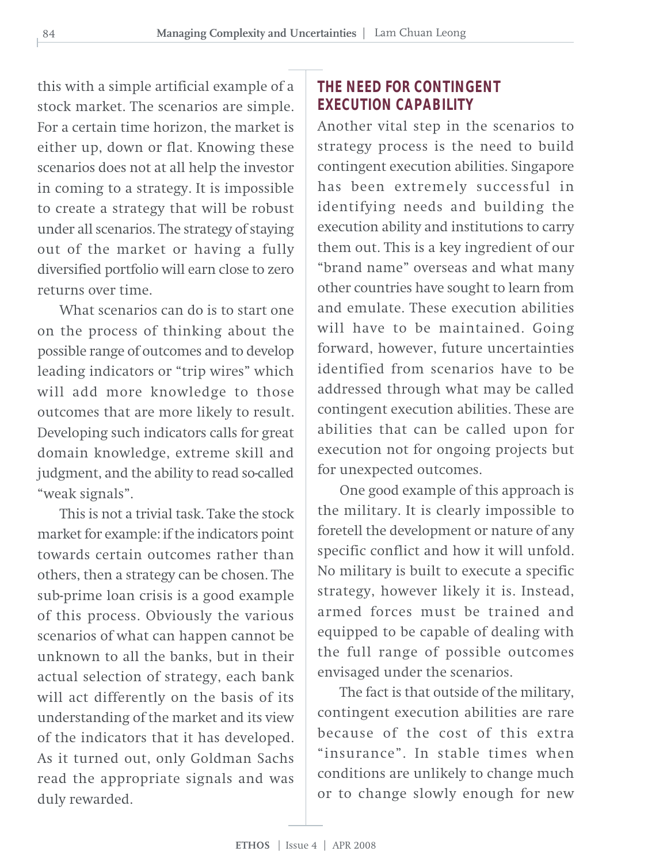this with a simple artificial example of a stock market. The scenarios are simple. For a certain time horizon, the market is either up, down or flat. Knowing these scenarios does not at all help the investor in coming to a strategy. It is impossible to create a strategy that will be robust under all scenarios. The strategy of staying out of the market or having a fully diversified portfolio will earn close to zero returns over time.

What scenarios can do is to start one on the process of thinking about the possible range of outcomes and to develop leading indicators or "trip wires" which will add more knowledge to those outcomes that are more likely to result. Developing such indicators calls for great domain knowledge, extreme skill and judgment, and the ability to read so-called "weak signals".

This is not a trivial task. Take the stock market for example: if the indicators point towards certain outcomes rather than others, then a strategy can be chosen. The sub-prime loan crisis is a good example of this process. Obviously the various scenarios of what can happen cannot be unknown to all the banks, but in their actual selection of strategy, each bank will act differently on the basis of its understanding of the market and its view of the indicators that it has developed. As it turned out, only Goldman Sachs read the appropriate signals and was duly rewarded.

# **THE NEED FOR CONTINGENT EXECUTION CAPABILITY**

Another vital step in the scenarios to strategy process is the need to build contingent execution abilities. Singapore has been extremely successful in identifying needs and building the execution ability and institutions to carry them out. This is a key ingredient of our "brand name" overseas and what many other countries have sought to learn from and emulate. These execution abilities will have to be maintained. Going forward, however, future uncertainties identified from scenarios have to be addressed through what may be called contingent execution abilities. These are abilities that can be called upon for execution not for ongoing projects but for unexpected outcomes.

One good example of this approach is the military. It is clearly impossible to foretell the development or nature of any specific conflict and how it will unfold. No military is built to execute a specific strategy, however likely it is. Instead, armed forces must be trained and equipped to be capable of dealing with the full range of possible outcomes envisaged under the scenarios.

The fact is that outside of the military, contingent execution abilities are rare because of the cost of this extra "insurance". In stable times when conditions are unlikely to change much or to change slowly enough for new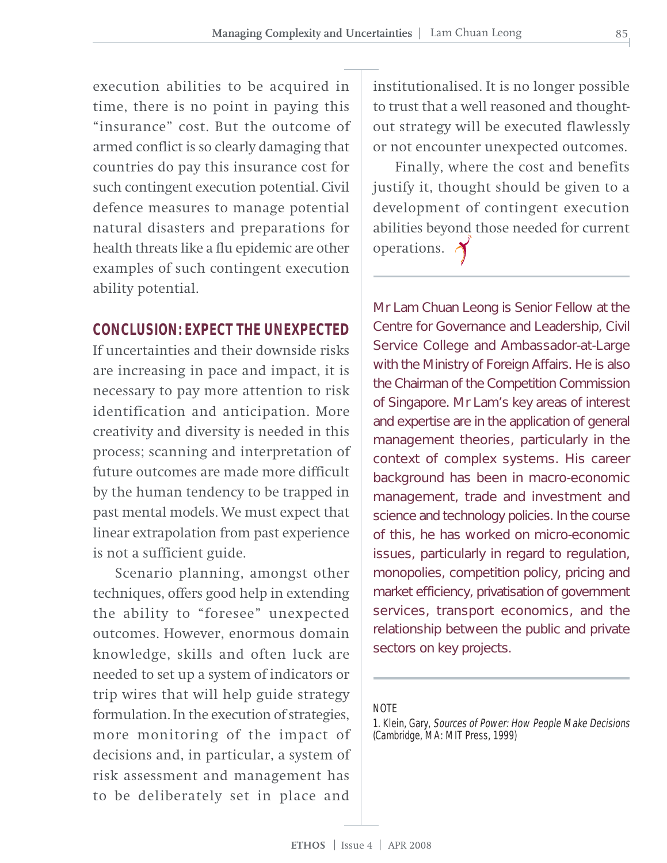execution abilities to be acquired in time, there is no point in paying this "insurance" cost. But the outcome of armed conflict is so clearly damaging that countries do pay this insurance cost for such contingent execution potential. Civil defence measures to manage potential natural disasters and preparations for health threats like a flu epidemic are other examples of such contingent execution ability potential.

#### **CONCLUSION: EXPECT THE UNEXPECTED**

If uncertainties and their downside risks are increasing in pace and impact, it is necessary to pay more attention to risk identification and anticipation. More creativity and diversity is needed in this process; scanning and interpretation of future outcomes are made more difficult by the human tendency to be trapped in past mental models. We must expect that linear extrapolation from past experience is not a sufficient guide.

Scenario planning, amongst other techniques, offers good help in extending the ability to "foresee" unexpected outcomes. However, enormous domain knowledge, skills and often luck are needed to set up a system of indicators or trip wires that will help guide strategy formulation. In the execution of strategies, more monitoring of the impact of decisions and, in particular, a system of risk assessment and management has to be deliberately set in place and

institutionalised. It is no longer possible to trust that a well reasoned and thoughtout strategy will be executed flawlessly or not encounter unexpected outcomes.

Finally, where the cost and benefits justify it, thought should be given to a development of contingent execution abilities beyond those needed for current operations.

Mr Lam Chuan Leong is Senior Fellow at the Centre for Governance and Leadership, Civil Service College and Ambassador-at-Large with the Ministry of Foreign Affairs. He is also the Chairman of the Competition Commission of Singapore. Mr Lam's key areas of interest and expertise are in the application of general management theories, particularly in the context of complex systems. His career background has been in macro-economic management, trade and investment and science and technology policies. In the course of this, he has worked on micro-economic issues, particularly in regard to regulation, monopolies, competition policy, pricing and market efficiency, privatisation of government services, transport economics, and the relationship between the public and private sectors on key projects.

#### **NOTE**

1. Klein, Gary, Sources of Power: How People Make Decisions (Cambridge, MA: MIT Press, 1999)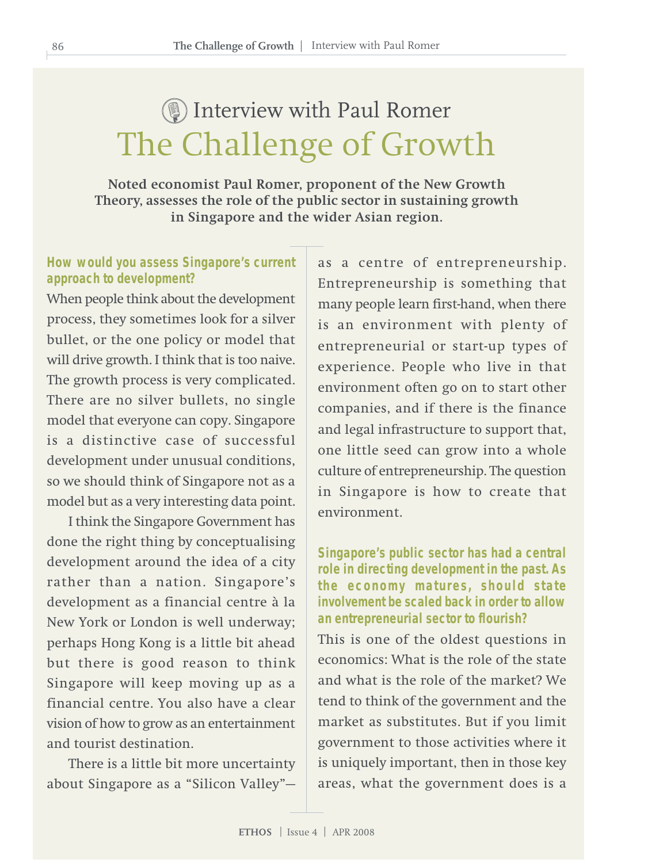# The Challenge of Growth Interview with Paul Romer

**Noted economist Paul Romer, proponent of the New Growth Theory, assesses the role of the public sector in sustaining growth in Singapore and the wider Asian region.**

#### **How would you assess Singapore's current approach to development?**

When people think about the development process, they sometimes look for a silver bullet, or the one policy or model that will drive growth. I think that is too naive. The growth process is very complicated. There are no silver bullets, no single model that everyone can copy. Singapore is a distinctive case of successful development under unusual conditions, so we should think of Singapore not as a model but as a very interesting data point.

I think the Singapore Government has done the right thing by conceptualising development around the idea of a city rather than a nation. Singapore's development as a financial centre à la New York or London is well underway; perhaps Hong Kong is a little bit ahead but there is good reason to think Singapore will keep moving up as a financial centre. You also have a clear vision of how to grow as an entertainment and tourist destination.

There is a little bit more uncertainty about Singapore as a "Silicon Valley"— as a centre of entrepreneurship. Entrepreneurship is something that many people learn first-hand, when there is an environment with plenty of entrepreneurial or start-up types of experience. People who live in that environment often go on to start other companies, and if there is the finance and legal infrastructure to support that, one little seed can grow into a whole culture of entrepreneurship. The question in Singapore is how to create that environment.

**Singapore's public sector has had a central role in directing development in the past. As the economy matures, should state involvement be scaled back in order to allow an entrepreneurial sector to flourish?**

This is one of the oldest questions in economics: What is the role of the state and what is the role of the market? We tend to think of the government and the market as substitutes. But if you limit government to those activities where it is uniquely important, then in those key areas, what the government does is a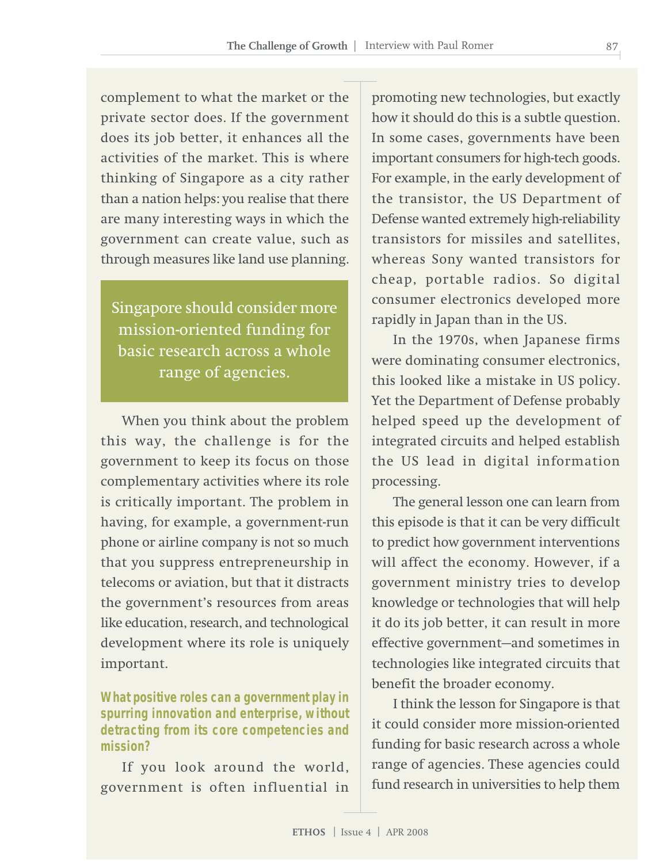complement to what the market or the private sector does. If the government does its job better, it enhances all the activities of the market. This is where thinking of Singapore as a city rather than a nation helps: you realise that there are many interesting ways in which the government can create value, such as through measures like land use planning.

Singapore should consider more mission-oriented funding for basic research across a whole range of agencies.

When you think about the problem this way, the challenge is for the government to keep its focus on those complementary activities where its role is critically important. The problem in having, for example, a government-run phone or airline company is not so much that you suppress entrepreneurship in telecoms or aviation, but that it distracts the government's resources from areas like education, research, and technological development where its role is uniquely important.

**What positive roles can a government play in spurring innovation and enterprise, without detracting from its core competencies and mission?**

If you look around the world, government is often influential in promoting new technologies, but exactly how it should do this is a subtle question. In some cases, governments have been important consumers for high-tech goods. For example, in the early development of the transistor, the US Department of Defense wanted extremely high-reliability transistors for missiles and satellites, whereas Sony wanted transistors for cheap, portable radios. So digital consumer electronics developed more rapidly in Japan than in the US.

In the 1970s, when Japanese firms were dominating consumer electronics, this looked like a mistake in US policy. Yet the Department of Defense probably helped speed up the development of integrated circuits and helped establish the US lead in digital information processing.

The general lesson one can learn from this episode is that it can be very difficult to predict how government interventions will affect the economy. However, if a government ministry tries to develop knowledge or technologies that will help it do its job better, it can result in more effective government—and sometimes in technologies like integrated circuits that benefit the broader economy.

I think the lesson for Singapore is that it could consider more mission-oriented funding for basic research across a whole range of agencies. These agencies could fund research in universities to help them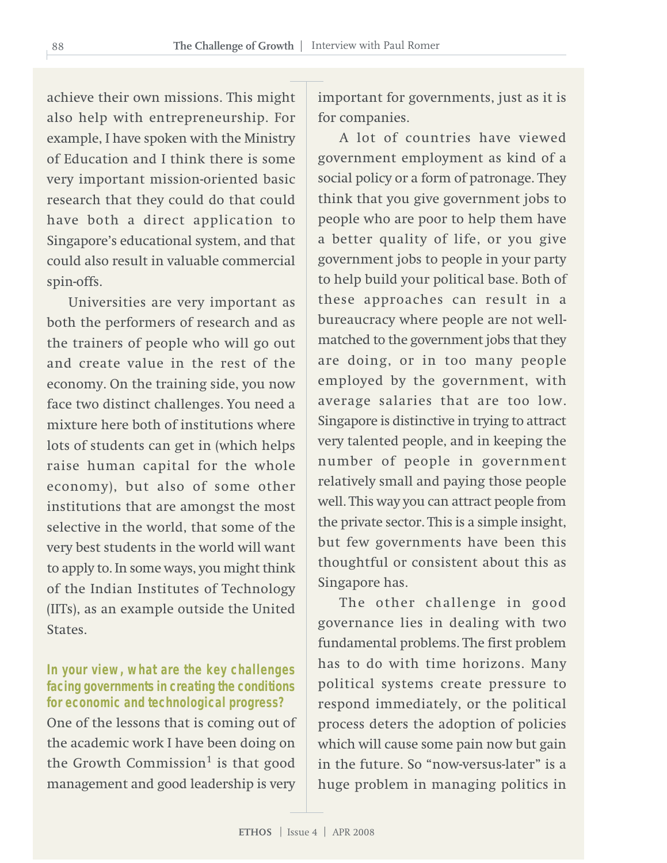achieve their own missions. This might also help with entrepreneurship. For example, I have spoken with the Ministry of Education and I think there is some very important mission-oriented basic research that they could do that could have both a direct application to Singapore's educational system, and that could also result in valuable commercial spin-offs.

Universities are very important as both the performers of research and as the trainers of people who will go out and create value in the rest of the economy. On the training side, you now face two distinct challenges. You need a mixture here both of institutions where lots of students can get in (which helps raise human capital for the whole economy), but also of some other institutions that are amongst the most selective in the world, that some of the very best students in the world will want to apply to. In some ways, you might think of the Indian Institutes of Technology (IITs), as an example outside the United **States** 

**In your view, what are the key challenges facing governments in creating the conditions for economic and technological progress?** One of the lessons that is coming out of the academic work I have been doing on the Growth Commission<sup>1</sup> is that good management and good leadership is very important for governments, just as it is for companies.

A lot of countries have viewed government employment as kind of a social policy or a form of patronage. They think that you give government jobs to people who are poor to help them have a better quality of life, or you give government jobs to people in your party to help build your political base. Both of these approaches can result in a bureaucracy where people are not wellmatched to the government jobs that they are doing, or in too many people employed by the government, with average salaries that are too low. Singapore is distinctive in trying to attract very talented people, and in keeping the number of people in government relatively small and paying those people well. This way you can attract people from the private sector. This is a simple insight, but few governments have been this thoughtful or consistent about this as Singapore has.

The other challenge in good governance lies in dealing with two fundamental problems. The first problem has to do with time horizons. Many political systems create pressure to respond immediately, or the political process deters the adoption of policies which will cause some pain now but gain in the future. So "now-versus-later" is a huge problem in managing politics in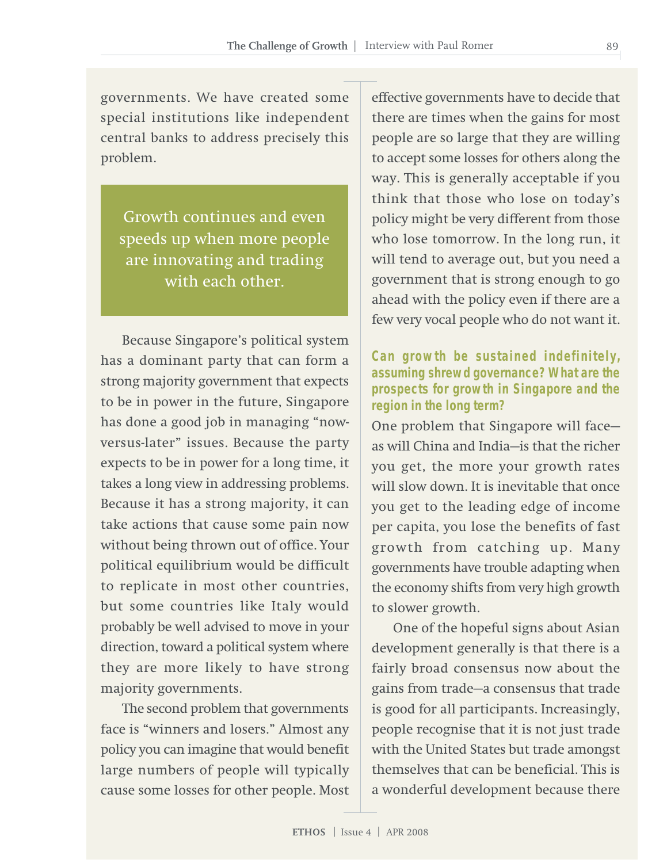governments. We have created some special institutions like independent central banks to address precisely this problem.

Growth continues and even speeds up when more people are innovating and trading with each other.

Because Singapore's political system has a dominant party that can form a strong majority government that expects to be in power in the future, Singapore has done a good job in managing "nowversus-later" issues. Because the party expects to be in power for a long time, it takes a long view in addressing problems. Because it has a strong majority, it can take actions that cause some pain now without being thrown out of office. Your political equilibrium would be difficult to replicate in most other countries, but some countries like Italy would probably be well advised to move in your direction, toward a political system where they are more likely to have strong majority governments.

The second problem that governments face is "winners and losers." Almost any policy you can imagine that would benefit large numbers of people will typically cause some losses for other people. Most

effective governments have to decide that there are times when the gains for most people are so large that they are willing to accept some losses for others along the way. This is generally acceptable if you think that those who lose on today's policy might be very different from those who lose tomorrow. In the long run, it will tend to average out, but you need a government that is strong enough to go ahead with the policy even if there are a few very vocal people who do not want it.

#### **Can growth be sustained indefinitely, assuming shrewd governance? What are the prospects for growth in Singapore and the region in the long term?**

One problem that Singapore will face as will China and India—is that the richer you get, the more your growth rates will slow down. It is inevitable that once you get to the leading edge of income per capita, you lose the benefits of fast growth from catching up. Many governments have trouble adapting when the economy shifts from very high growth to slower growth.

One of the hopeful signs about Asian development generally is that there is a fairly broad consensus now about the gains from trade—a consensus that trade is good for all participants. Increasingly, people recognise that it is not just trade with the United States but trade amongst themselves that can be beneficial. This is a wonderful development because there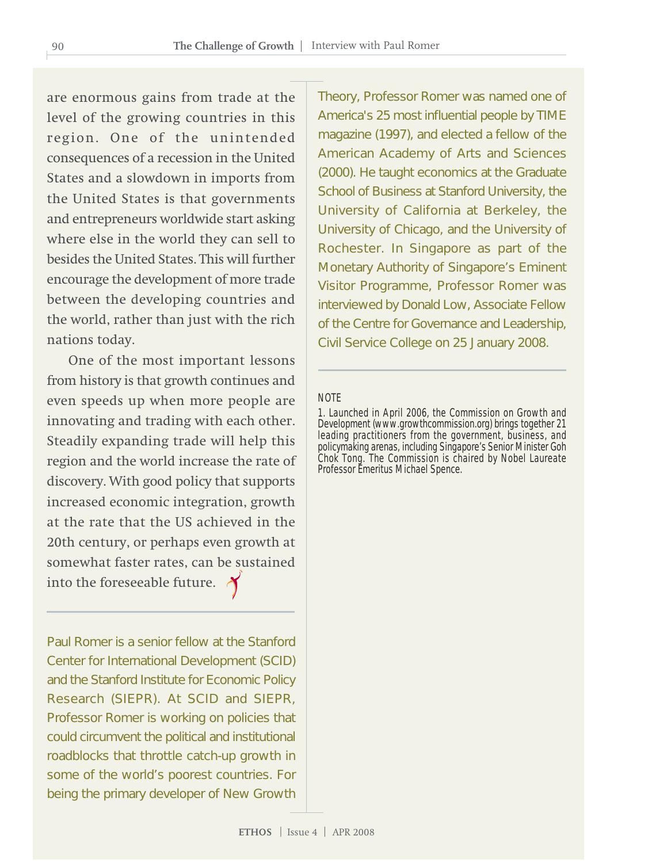are enormous gains from trade at the level of the growing countries in this region. One of the unintended consequences of a recession in the United States and a slowdown in imports from the United States is that governments and entrepreneurs worldwide start asking where else in the world they can sell to besides the United States. This will further encourage the development of more trade between the developing countries and the world, rather than just with the rich nations today.

One of the most important lessons from history is that growth continues and even speeds up when more people are innovating and trading with each other. Steadily expanding trade will help this region and the world increase the rate of discovery. With good policy that supports increased economic integration, growth at the rate that the US achieved in the 20th century, or perhaps even growth at somewhat faster rates, can be sustained into the foreseeable future.

Paul Romer is a senior fellow at the Stanford Center for International Development (SCID) and the Stanford Institute for Economic Policy Research (SIEPR). At SCID and SIEPR, Professor Romer is working on policies that could circumvent the political and institutional roadblocks that throttle catch-up growth in some of the world's poorest countries. For being the primary developer of New Growth

Theory, Professor Romer was named one of America's 25 most influential people by TIME magazine (1997), and elected a fellow of the American Academy of Arts and Sciences (2000). He taught economics at the Graduate School of Business at Stanford University, the University of California at Berkeley, the University of Chicago, and the University of Rochester. In Singapore as part of the Monetary Authority of Singapore's Eminent Visitor Programme, Professor Romer was interviewed by Donald Low, Associate Fellow of the Centre for Governance and Leadership, Civil Service College on 25 January 2008.

#### **NOTE**

1. Launched in April 2006, the Commission on Growth and Development (www.growthcommission.org) brings together 21 leading practitioners from the government, business, and policymaking arenas, including Singapore's Senior Minister Goh Chok Tong. The Commission is chaired by Nobel Laureate Professor Emeritus Michael Spence.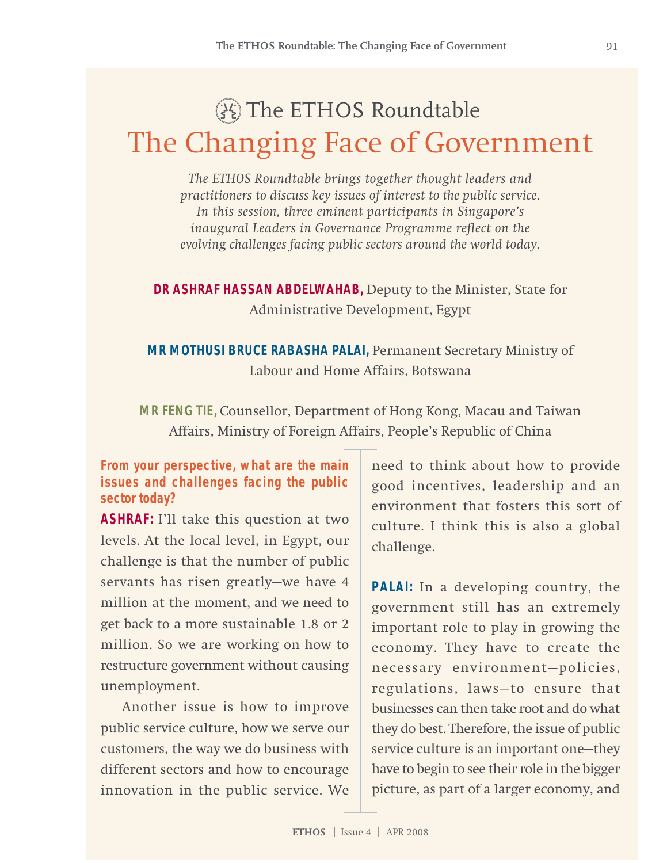# The Changing Face of Government

**The ETHOS Roundtable: The Changing Face of Government**

The ETHOS Roundtable

*The ETHOS Roundtable brings together thought leaders and practitioners to discuss key issues of interest to the public service. In this session, three eminent participants in Singapore's inaugural Leaders in Governance Programme reflect on the evolving challenges facing public sectors around the world today.*

**DR ASHRAF HASSAN ABDELWAHAB,** Deputy to the Minister, State for Administrative Development, Egypt

**MR MOTHUSI BRUCE RABASHA PALAI,** Permanent Secretary Ministry of Labour and Home Affairs, Botswana

**MR FENG TIE,** Counsellor, Department of Hong Kong, Macau and Taiwan Affairs, Ministry of Foreign Affairs, People's Republic of China

**From your perspective, what are the main issues and challenges facing the public sector today?**

**ASHRAF:** I'll take this question at two levels. At the local level, in Egypt, our challenge is that the number of public servants has risen greatly—we have 4 million at the moment, and we need to get back to a more sustainable 1.8 or 2 million. So we are working on how to restructure government without causing unemployment.

Another issue is how to improve public service culture, how we serve our customers, the way we do business with different sectors and how to encourage innovation in the public service. We need to think about how to provide good incentives, leadership and an environment that fosters this sort of culture. I think this is also a global challenge.

**PALAI:** In a developing country, the government still has an extremely important role to play in growing the economy. They have to create the necessary environment—policies, regulations, laws—to ensure that businesses can then take root and do what they do best. Therefore, the issue of public service culture is an important one—they have to begin to see their role in the bigger picture, as part of a larger economy, and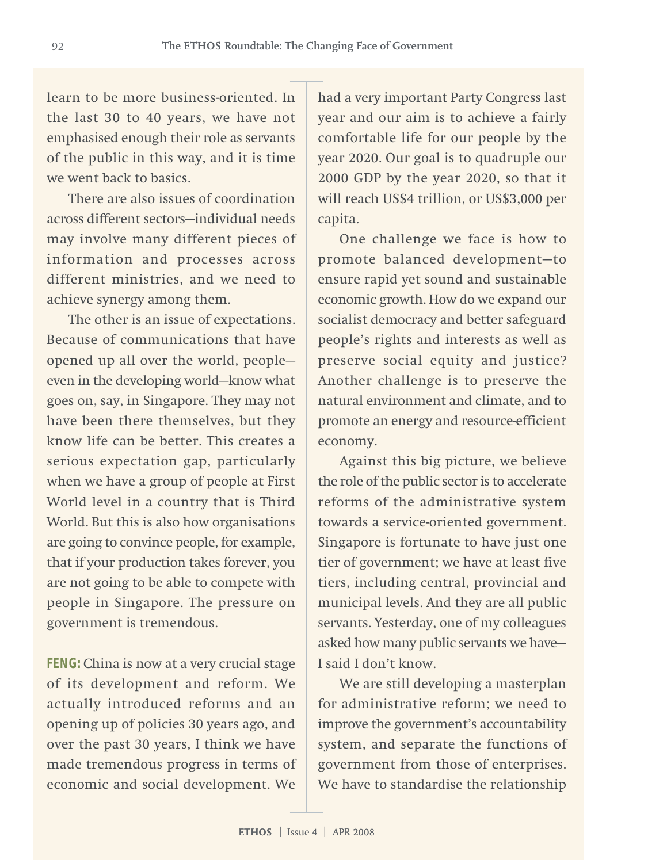learn to be more business-oriented. In the last 30 to 40 years, we have not emphasised enough their role as servants of the public in this way, and it is time we went back to basics.

There are also issues of coordination across different sectors—individual needs may involve many different pieces of information and processes across different ministries, and we need to achieve synergy among them.

The other is an issue of expectations. Because of communications that have opened up all over the world, people even in the developing world—know what goes on, say, in Singapore. They may not have been there themselves, but they know life can be better. This creates a serious expectation gap, particularly when we have a group of people at First World level in a country that is Third World. But this is also how organisations are going to convince people, for example, that if your production takes forever, you are not going to be able to compete with people in Singapore. The pressure on government is tremendous.

**FENG:** China is now at a very crucial stage of its development and reform. We actually introduced reforms and an opening up of policies 30 years ago, and over the past 30 years, I think we have made tremendous progress in terms of economic and social development. We

had a very important Party Congress last year and our aim is to achieve a fairly comfortable life for our people by the year 2020. Our goal is to quadruple our 2000 GDP by the year 2020, so that it will reach US\$4 trillion, or US\$3,000 per capita.

One challenge we face is how to promote balanced development—to ensure rapid yet sound and sustainable economic growth. How do we expand our socialist democracy and better safeguard people's rights and interests as well as preserve social equity and justice? Another challenge is to preserve the natural environment and climate, and to promote an energy and resource-efficient economy.

Against this big picture, we believe the role of the public sector is to accelerate reforms of the administrative system towards a service-oriented government. Singapore is fortunate to have just one tier of government; we have at least five tiers, including central, provincial and municipal levels. And they are all public servants. Yesterday, one of my colleagues asked how many public servants we have— I said I don't know.

We are still developing a masterplan for administrative reform; we need to improve the government's accountability system, and separate the functions of government from those of enterprises. We have to standardise the relationship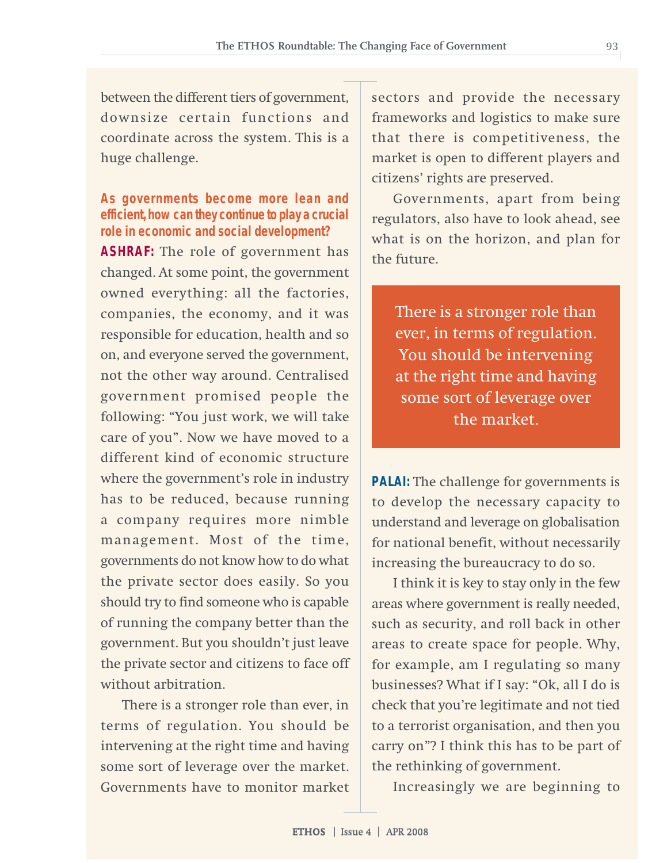between the different tiers of government, downsize certain functions and coordinate across the system. This is a huge challenge.

#### **As governments become more lean and efficient, how can they continue to play a crucial role in economic and social development?**

**ASHRAF:** The role of government has changed. At some point, the government owned everything: all the factories, companies, the economy, and it was responsible for education, health and so on, and everyone served the government, not the other way around. Centralised government promised people the following: "You just work, we will take care of you". Now we have moved to a different kind of economic structure where the government's role in industry has to be reduced, because running a company requires more nimble management. Most of the time, governments do not know how to do what the private sector does easily. So you should try to find someone who is capable of running the company better than the government. But you shouldn't just leave the private sector and citizens to face off without arbitration.

There is a stronger role than ever, in terms of regulation. You should be intervening at the right time and having some sort of leverage over the market. Governments have to monitor market

sectors and provide the necessary frameworks and logistics to make sure that there is competitiveness, the market is open to different players and citizens' rights are preserved.

Governments, apart from being regulators, also have to look ahead, see what is on the horizon, and plan for the future.

There is a stronger role than ever, in terms of regulation. You should be intervening at the right time and having some sort of leverage over the market.

**PALAI:** The challenge for governments is to develop the necessary capacity to understand and leverage on globalisation for national benefit, without necessarily increasing the bureaucracy to do so.

I think it is key to stay only in the few areas where government is really needed, such as security, and roll back in other areas to create space for people. Why, for example, am I regulating so many businesses? What if I say: "Ok, all I do is check that you're legitimate and not tied to a terrorist organisation, and then you carry on"? I think this has to be part of the rethinking of government.

Increasingly we are beginning to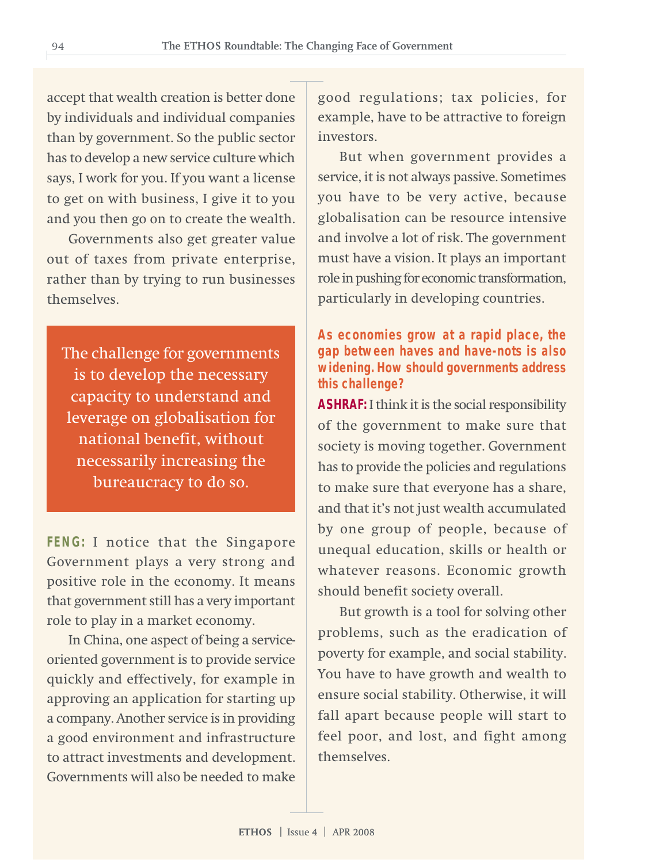accept that wealth creation is better done by individuals and individual companies than by government. So the public sector has to develop a new service culture which says, I work for you. If you want a license to get on with business, I give it to you and you then go on to create the wealth.

Governments also get greater value out of taxes from private enterprise, rather than by trying to run businesses themselves.

The challenge for governments is to develop the necessary capacity to understand and leverage on globalisation for national benefit, without necessarily increasing the bureaucracy to do so.

**FENG:** I notice that the Singapore Government plays a very strong and positive role in the economy. It means that government still has a very important role to play in a market economy.

In China, one aspect of being a serviceoriented government is to provide service quickly and effectively, for example in approving an application for starting up a company. Another service is in providing a good environment and infrastructure to attract investments and development. Governments will also be needed to make good regulations; tax policies, for example, have to be attractive to foreign investors.

But when government provides a service, it is not always passive. Sometimes you have to be very active, because globalisation can be resource intensive and involve a lot of risk. The government must have a vision. It plays an important role in pushing for economic transformation, particularly in developing countries.

#### **As economies grow at a rapid place, the gap between haves and have-nots is also widening. How should governments address this challenge?**

**ASHRAF:** I think it is the social responsibility of the government to make sure that society is moving together. Government has to provide the policies and regulations to make sure that everyone has a share, and that it's not just wealth accumulated by one group of people, because of unequal education, skills or health or whatever reasons. Economic growth should benefit society overall.

But growth is a tool for solving other problems, such as the eradication of poverty for example, and social stability. You have to have growth and wealth to ensure social stability. Otherwise, it will fall apart because people will start to feel poor, and lost, and fight among themselves.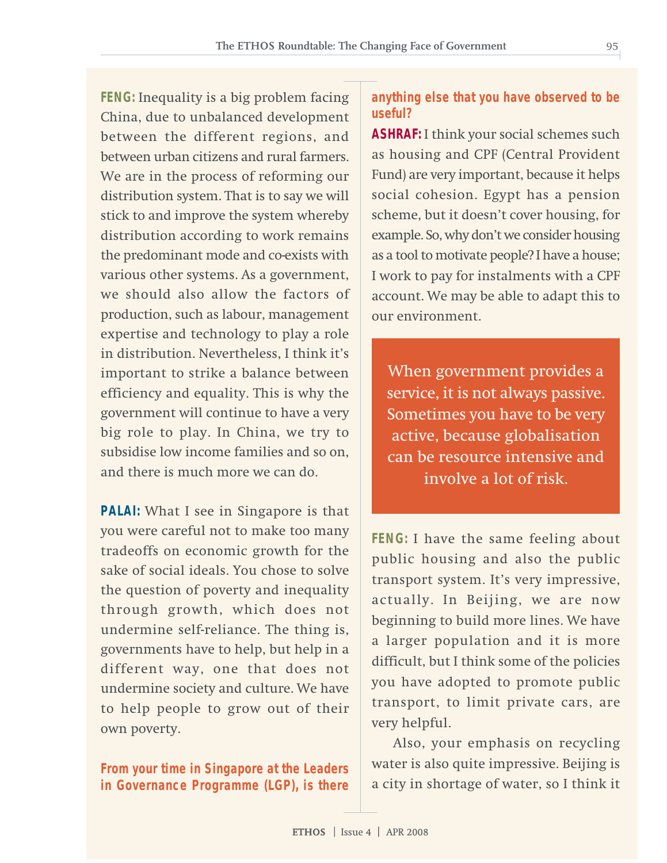**FENG:** Inequality is a big problem facing China, due to unbalanced development between the different regions, and between urban citizens and rural farmers. We are in the process of reforming our distribution system. That is to say we will stick to and improve the system whereby distribution according to work remains the predominant mode and co-exists with various other systems. As a government, we should also allow the factors of production, such as labour, management expertise and technology to play a role in distribution. Nevertheless, I think it's important to strike a balance between efficiency and equality. This is why the government will continue to have a very big role to play. In China, we try to subsidise low income families and so on, and there is much more we can do.

**PALAI:** What I see in Singapore is that you were careful not to make too many tradeoffs on economic growth for the sake of social ideals. You chose to solve the question of poverty and inequality through growth, which does not undermine self-reliance. The thing is, governments have to help, but help in a different way, one that does not undermine society and culture. We have to help people to grow out of their own poverty.

**From your time in Singapore at the Leaders in Governance Programme (LGP), is there**

#### **anything else that you have observed to be useful?**

**ASHRAF:** I think your social schemes such as housing and CPF (Central Provident Fund) are very important, because it helps social cohesion. Egypt has a pension scheme, but it doesn't cover housing, for example. So, why don't we consider housing as a tool to motivate people? I have a house; I work to pay for instalments with a CPF account. We may be able to adapt this to our environment.

When government provides a service, it is not always passive. Sometimes you have to be very active, because globalisation can be resource intensive and involve a lot of risk.

**FENG:** I have the same feeling about public housing and also the public transport system. It's very impressive, actually. In Beijing, we are now beginning to build more lines. We have a larger population and it is more difficult, but I think some of the policies you have adopted to promote public transport, to limit private cars, are very helpful.

Also, your emphasis on recycling water is also quite impressive. Beijing is a city in shortage of water, so I think it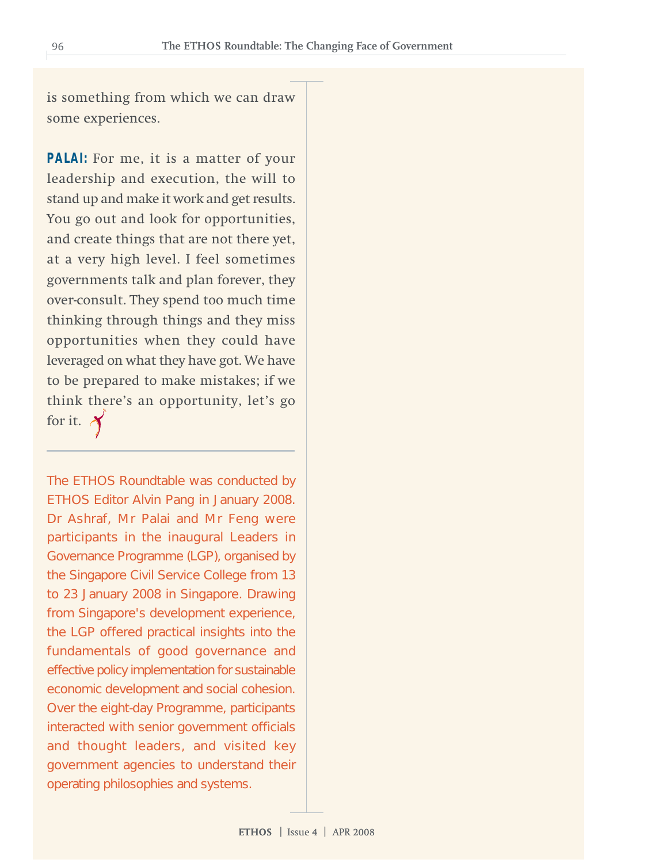is something from which we can draw some experiences.

**PALAI:** For me, it is a matter of your leadership and execution, the will to stand up and make it work and get results. You go out and look for opportunities, and create things that are not there yet, at a very high level. I feel sometimes governments talk and plan forever, they over-consult. They spend too much time thinking through things and they miss opportunities when they could have leveraged on what they have got. We have to be prepared to make mistakes; if we think there's an opportunity, let's go for it.  $\lambda$ 

The ETHOS Roundtable was conducted by ETHOS Editor Alvin Pang in January 2008. Dr Ashraf, Mr Palai and Mr Feng were participants in the inaugural Leaders in Governance Programme (LGP), organised by the Singapore Civil Service College from 13 to 23 January 2008 in Singapore. Drawing from Singapore's development experience, the LGP offered practical insights into the fundamentals of good governance and effective policy implementation for sustainable economic development and social cohesion. Over the eight-day Programme, participants interacted with senior government officials and thought leaders, and visited key government agencies to understand their operating philosophies and systems.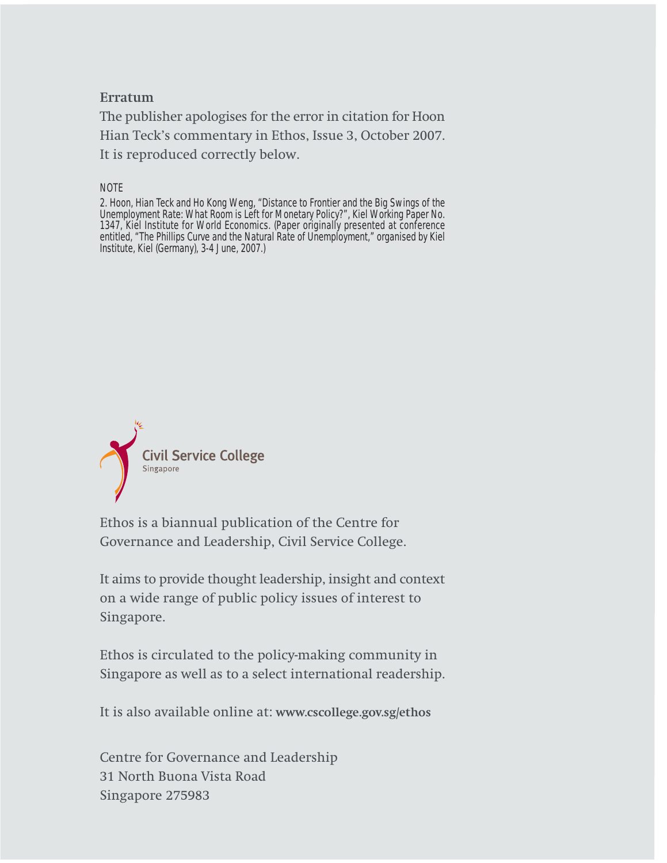#### **Erratum**

The publisher apologises for the error in citation for Hoon Hian Teck's commentary in Ethos, Issue 3, October 2007. It is reproduced correctly below.

NOTE

2. Hoon, Hian Teck and Ho Kong Weng, "Distance to Frontier and the Big Swings of the Unemployment Rate: What Room is Left for Monetary Policy?", Kiel Working Paper No. 1347, Kiel Institute for World Economics. (Paper originally presented at conference entitled, "The Phillips Curve and the Natural Rate of Unemployment," organised by Kiel Institute, Kiel (Germany), 3-4 June, 2007.)



Ethos is a biannual publication of the Centre for Governance and Leadership, Civil Service College.

It aims to provide thought leadership, insight and context on a wide range of public policy issues of interest to Singapore.

Ethos is circulated to the policy-making community in Singapore as well as to a select international readership.

It is also available online at: **www.cscollege.gov.sg/ethos**

Centre for Governance and Leadership 31 North Buona Vista Road Singapore 275983